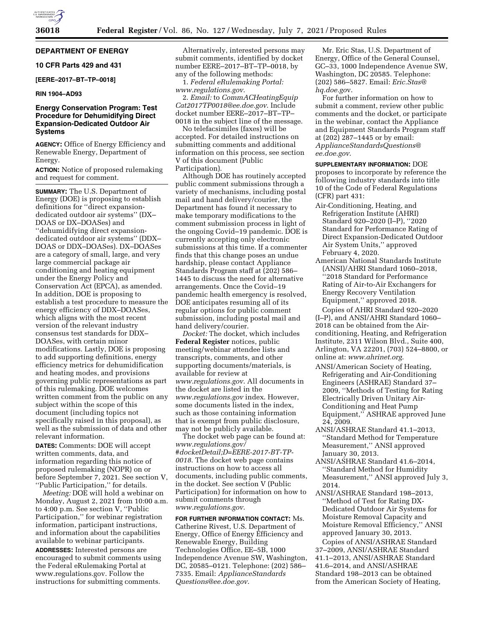

# **DEPARTMENT OF ENERGY**

**10 CFR Parts 429 and 431** 

### **[EERE–2017–BT–TP–0018]**

## **RIN 1904–AD93**

# **Energy Conservation Program: Test Procedure for Dehumidifying Direct Expansion-Dedicated Outdoor Air Systems**

**AGENCY:** Office of Energy Efficiency and Renewable Energy, Department of Energy.

**ACTION:** Notice of proposed rulemaking and request for comment.

**SUMMARY:** The U.S. Department of Energy (DOE) is proposing to establish definitions for ''direct expansiondedicated outdoor air systems'' (DX– DOAS or DX–DOASes) and ''dehumidifying direct expansiondedicated outdoor air systems'' (DDX– DOAS or DDX–DOASes). DX–DOASes are a category of small, large, and very large commercial package air conditioning and heating equipment under the Energy Policy and Conservation Act (EPCA), as amended. In addition, DOE is proposing to establish a test procedure to measure the energy efficiency of DDX–DOASes, which aligns with the most recent version of the relevant industry consensus test standards for DDX– DOASes, with certain minor modifications. Lastly, DOE is proposing to add supporting definitions, energy efficiency metrics for dehumidification and heating modes, and provisions governing public representations as part of this rulemaking. DOE welcomes written comment from the public on any subject within the scope of this document (including topics not specifically raised in this proposal), as well as the submission of data and other relevant information.

**DATES:** Comments: DOE will accept written comments, data, and information regarding this notice of proposed rulemaking (NOPR) on or before September 7, 2021. See section V, ''Public Participation,'' for details.

*Meeting:* DOE will hold a webinar on Monday, August 2, 2021 from 10:00 a.m. to 4:00 p.m. See section V, ''Public Participation,'' for webinar registration information, participant instructions, and information about the capabilities available to webinar participants.

**ADDRESSES:** Interested persons are encouraged to submit comments using the Federal eRulemaking Portal at [www.regulations.gov.](http://www.regulations.gov) Follow the instructions for submitting comments.

Alternatively, interested persons may submit comments, identified by docket number EERE–2017–BT–TP–0018, by any of the following methods:

1. *Federal eRulemaking Portal: [www.regulations.gov](http://www.regulations.gov)*.

2. *Email:* to *[CommACHeatingEquip](mailto:CommACHeatingEquipCat2017TP0018@ee.doe.gov) [Cat2017TP0018@ee.doe.gov](mailto:CommACHeatingEquipCat2017TP0018@ee.doe.gov)*. Include docket number EERE–2017–BT–TP– 0018 in the subject line of the message.

No telefacsimiles (faxes) will be accepted. For detailed instructions on submitting comments and additional information on this process, see section V of this document (Public Participation).

Although DOE has routinely accepted public comment submissions through a variety of mechanisms, including postal mail and hand delivery/courier, the Department has found it necessary to make temporary modifications to the comment submission process in light of the ongoing Covid–19 pandemic. DOE is currently accepting only electronic submissions at this time. If a commenter finds that this change poses an undue hardship, please contact Appliance Standards Program staff at (202) 586– 1445 to discuss the need for alternative arrangements. Once the Covid–19 pandemic health emergency is resolved, DOE anticipates resuming all of its regular options for public comment submission, including postal mail and hand delivery/courier.

*Docket:* The docket, which includes **Federal Register** notices, public meeting/webinar attendee lists and transcripts, comments, and other supporting documents/materials, is available for review at *[www.regulations.gov](http://www.regulations.gov)*. All documents in the docket are listed in the *[www.regulations.gov](http://www.regulations.gov)* index. However, some documents listed in the index, such as those containing information that is exempt from public disclosure, may not be publicly available.

The docket web page can be found at: *[www.regulations.gov/](http://www.regulations.gov/#docketDetail;D=EERE-2017-BT-TP-0018) [#docketDetail;D=EERE-2017-BT-TP-](http://www.regulations.gov/#docketDetail;D=EERE-2017-BT-TP-0018)[0018](http://www.regulations.gov/#docketDetail;D=EERE-2017-BT-TP-0018)*. The docket web page contains instructions on how to access all documents, including public comments, in the docket. See section V (Public Participation) for information on how to submit comments through *[www.regulations.gov](http://www.regulations.gov)*.

**FOR FURTHER INFORMATION CONTACT:** Ms. Catherine Rivest, U.S. Department of Energy, Office of Energy Efficiency and Renewable Energy, Building Technologies Office, EE–5B, 1000 Independence Avenue SW, Washington, DC, 20585–0121. Telephone: (202) 586– 7335. Email: *[ApplianceStandards](mailto:ApplianceStandardsQuestions@ee.doe.gov) [Questions@ee.doe.gov](mailto:ApplianceStandardsQuestions@ee.doe.gov)*.

Mr. Eric Stas, U.S. Department of Energy, Office of the General Counsel, GC–33, 1000 Independence Avenue SW, Washington, DC 20585. Telephone: (202) 586–5827. Email: *[Eric.Stas@](mailto:Eric.Stas@hq.doe.gov) [hq.doe.go](mailto:Eric.Stas@hq.doe.gov)*v.

For further information on how to submit a comment, review other public comments and the docket, or participate in the webinar, contact the Appliance and Equipment Standards Program staff at (202) 287–1445 or by email: *[ApplianceStandardsQuestions@](mailto:ApplianceStandardsQuestions@ee.doe.gov) [ee.doe.gov](mailto:ApplianceStandardsQuestions@ee.doe.gov)*.

**SUPPLEMENTARY INFORMATION:** DOE proposes to incorporate by reference the following industry standards into title 10 of the Code of Federal Regulations (CFR) part 431:

- Air-Conditioning, Heating, and Refrigeration Institute (AHRI) Standard 920–2020 (I–P), ''2020 Standard for Performance Rating of Direct Expansion-Dedicated Outdoor Air System Units,'' approved February 4, 2020.
- American National Standards Institute (ANSI)/AHRI Standard 1060–2018, ''2018 Standard for Performance Rating of Air-to-Air Exchangers for Energy Recovery Ventilation Equipment,'' approved 2018.

Copies of AHRI Standard 920–2020 (I–P), and ANSI/AHRI Standard 1060– 2018 can be obtained from the Airconditioning, Heating, and Refrigeration Institute, 2311 Wilson Blvd., Suite 400, Arlington, VA 22201, (703) 524–8800, or online at: *[www.ahrinet.org](http://www.ahrinet.org)*.

- ANSI/American Society of Heating, Refrigerating and Air-Conditioning Engineers (ASHRAE) Standard 37– 2009, ''Methods of Testing for Rating Electrically Driven Unitary Air-Conditioning and Heat Pump Equipment,'' ASHRAE approved June 24, 2009.
- ANSI/ASHRAE Standard 41.1–2013, ''Standard Method for Temperature Measurement,'' ANSI approved January 30, 2013.
- ANSI/ASHRAE Standard 41.6–2014, ''Standard Method for Humidity Measurement,'' ANSI approved July 3, 2014.

ANSI/ASHRAE Standard 198–2013, ''Method of Test for Rating DX-Dedicated Outdoor Air Systems for Moisture Removal Capacity and Moisture Removal Efficiency,'' ANSI approved January 30, 2013.

Copies of ANSI/ASHRAE Standard 37–2009, ANSI/ASHRAE Standard 41.1–2013, ANSI/ASHRAE Standard 41.6–2014, and ANSI/ASHRAE Standard 198–2013 can be obtained from the American Society of Heating,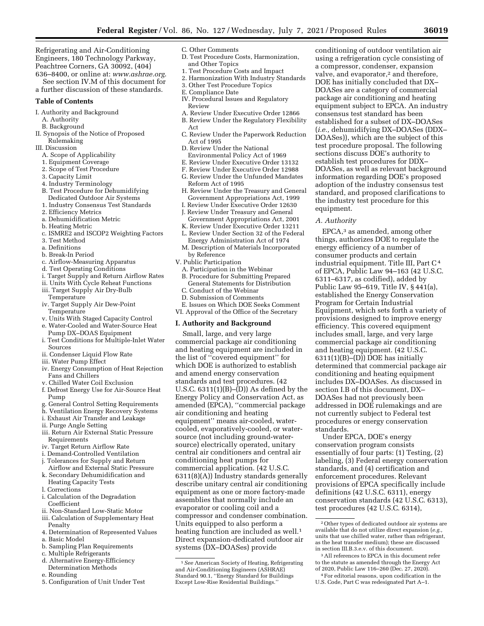Refrigerating and Air-Conditioning Engineers, 180 Technology Parkway, Peachtree Corners, GA 30092, (404)

636–8400, or online at: *[www.ashrae.org](http://www.ashrae.org)*. See section IV.M of this document for a further discussion of these standards.

### **Table of Contents**

- I. Authority and Background
	- A. Authority
	- B. Background
- II. Synopsis of the Notice of Proposed Rulemaking
- III. Discussion
	- A. Scope of Applicability
	- 1. Equipment Coverage
	- 2. Scope of Test Procedure
	- 3. Capacity Limit
	- 4. Industry Terminology
	- B. Test Procedure for Dehumidifying Dedicated Outdoor Air Systems
	- 1. Industry Consensus Test Standards
	- 2. Efficiency Metrics
	- a. Dehumidification Metric
	- b. Heating Metric
	-
	- c. ISMRE2 and ISCOP2 Weighting Factors 3. Test Method
	- a. Definitions
	- b. Break-In Period
	- c. Airflow-Measuring Apparatus
	- d. Test Operating Conditions
	- i. Target Supply and Return Airflow Rates
	- ii. Units With Cycle Reheat Functions
	- iii. Target Supply Air Dry-Bulb Temperature
	- iv. Target Supply Air Dew-Point **Temperature**
	- v. Units With Staged Capacity Control
	- e. Water-Cooled and Water-Source Heat Pump DX–DOAS Equipment
	- i. Test Conditions for Multiple-Inlet Water Sources
	- ii. Condenser Liquid Flow Rate
	- iii. Water Pump Effect
	- iv. Energy Consumption of Heat Rejection Fans and Chillers
	- v. Chilled Water Coil Exclusion
	- f. Defrost Energy Use for Air-Source Heat Pump
	- g. General Control Setting Requirements
	- h. Ventilation Energy Recovery Systems
	- i. Exhaust Air Transfer and Leakage
	- ii. Purge Angle Setting
	- iii. Return Air External Static Pressure Requirements
	- iv. Target Return Airflow Rate
	- i. Demand-Controlled Ventilation
	- j. Tolerances for Supply and Return Airflow and External Static Pressure
	- k. Secondary Dehumidification and Heating Capacity Tests
	- l. Corrections
	- i. Calculation of the Degradation Coefficient
	- ii. Non-Standard Low-Static Motor
	- iii. Calculation of Supplementary Heat Penalty
	- 4. Determination of Represented Values a. Basic Model
	-
	- b. Sampling Plan Requirements
	- c. Multiple Refrigerants
	- d. Alternative Energy-Efficiency Determination Methods
	- e. Rounding
	- 5. Configuration of Unit Under Test
- C. Other Comments
- D. Test Procedure Costs, Harmonization, and Other Topics
- 1. Test Procedure Costs and Impact
- 2. Harmonization With Industry Standards
- 3. Other Test Procedure Topics
- E. Compliance Date
- IV. Procedural Issues and Regulatory
	- Review
- A. Review Under Executive Order 12866
- B. Review Under the Regulatory Flexibility Act
- C. Review Under the Paperwork Reduction Act of 1995
- D. Review Under the National
- Environmental Policy Act of 1969
- E. Review Under Executive Order 13132
- F. Review Under Executive Order 12988
- G. Review Under the Unfunded Mandates
- Reform Act of 1995 H. Review Under the Treasury and General
- Government Appropriations Act, 1999 I. Review Under Executive Order 12630
- J. Review Under Treasury and General
- Government Appropriations Act, 2001
- K. Review Under Executive Order 13211
- L. Review Under Section 32 of the Federal Energy Administration Act of 1974
- M. Description of Materials Incorporated by Reference
- V. Public Participation
- A. Participation in the Webinar
- B. Procedure for Submitting Prepared General Statements for Distribution
- C. Conduct of the Webinar
- D. Submission of Comments
- E. Issues on Which DOE Seeks Comment VI. Approval of the Office of the Secretary

#### **I. Authority and Background**

Small, large, and very large commercial package air conditioning and heating equipment are included in the list of ''covered equipment'' for which DOE is authorized to establish and amend energy conservation standards and test procedures. (42 U.S.C. 6311(1)(B)–(D)) As defined by the Energy Policy and Conservation Act, as amended (EPCA), ''commercial package air conditioning and heating equipment'' means air-cooled, watercooled, evaporatively-cooled, or watersource (not including ground-watersource) electrically operated, unitary central air conditioners and central air conditioning heat pumps for commercial application. (42 U.S.C. 6311(8)(A)) Industry standards generally describe unitary central air conditioning equipment as one or more factory-made assemblies that normally include an evaporator or cooling coil and a compressor and condenser combination. Units equipped to also perform a heating function are included as well.<sup>1</sup> Direct expansion-dedicated outdoor air systems (DX–DOASes) provide

conditioning of outdoor ventilation air using a refrigeration cycle consisting of a compressor, condenser, expansion valve, and evaporator,<sup>2</sup> and therefore, DOE has initially concluded that DX– DOASes are a category of commercial package air conditioning and heating equipment subject to EPCA. An industry consensus test standard has been established for a subset of DX–DOASes (*i.e.,* dehumidifying DX–DOASes (DDX– DOASes)), which are the subject of this test procedure proposal. The following sections discuss DOE's authority to establish test procedures for DDX– DOASes, as well as relevant background information regarding DOE's proposed adoption of the industry consensus test standard, and proposed clarifications to the industry test procedure for this equipment.

# *A. Authority*

EPCA,3 as amended, among other things, authorizes DOE to regulate the energy efficiency of a number of consumer products and certain industrial equipment. Title III, Part C4 of EPCA, Public Law 94–163 (42 U.S.C. 6311–6317, as codified), added by Public Law 95–619, Title IV, § 441(a), established the Energy Conservation Program for Certain Industrial Equipment, which sets forth a variety of provisions designed to improve energy efficiency. This covered equipment includes small, large, and very large commercial package air conditioning and heating equipment. (42 U.S.C. 6311(1)(B)–(D)) DOE has initially determined that commercial package air conditioning and heating equipment includes DX–DOASes. As discussed in section I.B of this document, DX– DOASes had not previously been addressed in DOE rulemakings and are not currently subject to Federal test procedures or energy conservation standards.

Under EPCA, DOE's energy conservation program consists essentially of four parts: (1) Testing, (2) labeling, (3) Federal energy conservation standards, and (4) certification and enforcement procedures. Relevant provisions of EPCA specifically include definitions (42 U.S.C. 6311), energy conservation standards (42 U.S.C. 6313), test procedures (42 U.S.C. 6314),

<sup>1</sup>*See* American Society of Heating, Refrigerating and Air-Conditioning Engineers (ASHRAE) Standard 90.1, ''Energy Standard for Buildings Except Low-Rise Residential Buildings.''

<sup>2</sup>Other types of dedicated outdoor air systems are available that do not utilize direct expansion (*e.g.,*  units that use chilled water, rather than refrigerant, as the heat transfer medium); these are discussed in section III.B.3.e.v. of this document.

<sup>3</sup>All references to EPCA in this document refer to the statute as amended through the Energy Act of 2020, Public Law 116–260 (Dec. 27, 2020).

<sup>4</sup>For editorial reasons, upon codification in the U.S. Code, Part C was redesignated Part A–1.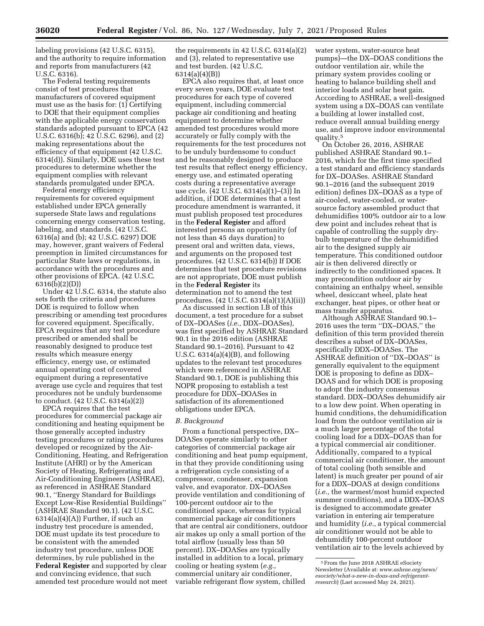labeling provisions (42 U.S.C. 6315), and the authority to require information and reports from manufacturers (42 U.S.C. 6316).

The Federal testing requirements consist of test procedures that manufacturers of covered equipment must use as the basis for: (1) Certifying to DOE that their equipment complies with the applicable energy conservation standards adopted pursuant to EPCA (42 U.S.C. 6316(b); 42 U.S.C. 6296), and (2) making representations about the efficiency of that equipment (42 U.S.C. 6314(d)). Similarly, DOE uses these test procedures to determine whether the equipment complies with relevant standards promulgated under EPCA.

Federal energy efficiency requirements for covered equipment established under EPCA generally supersede State laws and regulations concerning energy conservation testing, labeling, and standards. (42 U.S.C. 6316(a) and (b); 42 U.S.C. 6297) DOE may, however, grant waivers of Federal preemption in limited circumstances for particular State laws or regulations, in accordance with the procedures and other provisions of EPCA. (42 U.S.C. 6316(b)(2)(D))

Under 42 U.S.C. 6314, the statute also sets forth the criteria and procedures DOE is required to follow when prescribing or amending test procedures for covered equipment. Specifically, EPCA requires that any test procedure prescribed or amended shall be reasonably designed to produce test results which measure energy efficiency, energy use, or estimated annual operating cost of covered equipment during a representative average use cycle and requires that test procedures not be unduly burdensome to conduct. (42 U.S.C. 6314(a)(2))

EPCA requires that the test procedures for commercial package air conditioning and heating equipment be those generally accepted industry testing procedures or rating procedures developed or recognized by the Air-Conditioning, Heating, and Refrigeration Institute (AHRI) or by the American Society of Heating, Refrigerating and Air-Conditioning Engineers (ASHRAE), as referenced in ASHRAE Standard 90.1, ''Energy Standard for Buildings Except Low-Rise Residential Buildings'' (ASHRAE Standard 90.1). (42 U.S.C.  $6314(a)(4)(A)$  Further, if such an industry test procedure is amended, DOE must update its test procedure to be consistent with the amended industry test procedure, unless DOE determines, by rule published in the **Federal Register** and supported by clear and convincing evidence, that such amended test procedure would not meet

the requirements in 42 U.S.C. 6314(a)(2) and (3), related to representative use and test burden. (42 U.S.C. 6314(a)(4)(B))

EPCA also requires that, at least once every seven years, DOE evaluate test procedures for each type of covered equipment, including commercial package air conditioning and heating equipment to determine whether amended test procedures would more accurately or fully comply with the requirements for the test procedures not to be unduly burdensome to conduct and be reasonably designed to produce test results that reflect energy efficiency, energy use, and estimated operating costs during a representative average use cycle. (42 U.S.C. 6314(a)(1)–(3)) In addition, if DOE determines that a test procedure amendment is warranted, it must publish proposed test procedures in the **Federal Register** and afford interested persons an opportunity (of not less than 45 days duration) to present oral and written data, views, and arguments on the proposed test procedures. (42 U.S.C. 6314(b)) If DOE determines that test procedure revisions are not appropriate, DOE must publish in the **Federal Register** its determination not to amend the test

procedures. (42 U.S.C. 6314(a)(1)(A)(ii)) As discussed in section I.B of this document, a test procedure for a subset of DX–DOASes (*i.e.,* DDX–DOASes), was first specified by ASHRAE Standard 90.1 in the 2016 edition (ASHRAE Standard 90.1–2016). Pursuant to 42 U.S.C.  $6314(a)(4)(B)$ , and following updates to the relevant test procedures which were referenced in ASHRAE Standard 90.1, DOE is publishing this NOPR proposing to establish a test procedure for DDX–DOASes in satisfaction of its aforementioned obligations under EPCA.

### *B. Background*

From a functional perspective, DX– DOASes operate similarly to other categories of commercial package air conditioning and heat pump equipment, in that they provide conditioning using a refrigeration cycle consisting of a compressor, condenser, expansion valve, and evaporator. DX–DOASes provide ventilation and conditioning of 100-percent outdoor air to the conditioned space, whereas for typical commercial package air conditioners that are central air conditioners, outdoor air makes up only a small portion of the total airflow (usually less than 50 percent). DX–DOASes are typically installed in addition to a local, primary cooling or heating system (*e.g.,*  commercial unitary air conditioner, variable refrigerant flow system, chilled

water system, water-source heat pumps)—the DX–DOAS conditions the outdoor ventilation air, while the primary system provides cooling or heating to balance building shell and interior loads and solar heat gain. According to ASHRAE, a well-designed system using a DX–DOAS can ventilate a building at lower installed cost, reduce overall annual building energy use, and improve indoor environmental quality.5

On October 26, 2016, ASHRAE published ASHRAE Standard 90.1– 2016, which for the first time specified a test standard and efficiency standards for DX–DOASes. ASHRAE Standard 90.1–2016 (and the subsequent 2019 edition) defines DX–DOAS as a type of air-cooled, water-cooled, or watersource factory assembled product that dehumidifies 100% outdoor air to a low dew point and includes reheat that is capable of controlling the supply drybulb temperature of the dehumidified air to the designed supply air temperature. This conditioned outdoor air is then delivered directly or indirectly to the conditioned spaces. It may precondition outdoor air by containing an enthalpy wheel, sensible wheel, desiccant wheel, plate heat exchanger, heat pipes, or other heat or mass transfer apparatus.

Although ASHRAE Standard 90.1– 2016 uses the term ''DX–DOAS,'' the definition of this term provided therein describes a subset of DX–DOASes, specifically DDX–DOASes. The ASHRAE definition of ''DX–DOAS'' is generally equivalent to the equipment DOE is proposing to define as DDX– DOAS and for which DOE is proposing to adopt the industry consensus standard. DDX–DOASes dehumidify air to a low dew point. When operating in humid conditions, the dehumidification load from the outdoor ventilation air is a much larger percentage of the total cooling load for a DDX–DOAS than for a typical commercial air conditioner. Additionally, compared to a typical commercial air conditioner, the amount of total cooling (both sensible and latent) is much greater per pound of air for a DDX–DOAS at design conditions (*i.e.,* the warmest/most humid expected summer conditions), and a DDX–DOAS is designed to accommodate greater variation in entering air temperature and humidity (*i.e.,* a typical commercial air conditioner would not be able to dehumidify 100-percent outdoor ventilation air to the levels achieved by

<sup>5</sup>From the June 2018 ASHRAE eSociety Newsletter (Available at: *[www.ashrae.org/news/](http://www.ashrae.org/news/esociety/what-s-new-in-doas-and-refrigerant-research)  [esociety/what-s-new-in-doas-and-refrigerant](http://www.ashrae.org/news/esociety/what-s-new-in-doas-and-refrigerant-research)[research](http://www.ashrae.org/news/esociety/what-s-new-in-doas-and-refrigerant-research)*) (Last accessed May 24, 2021).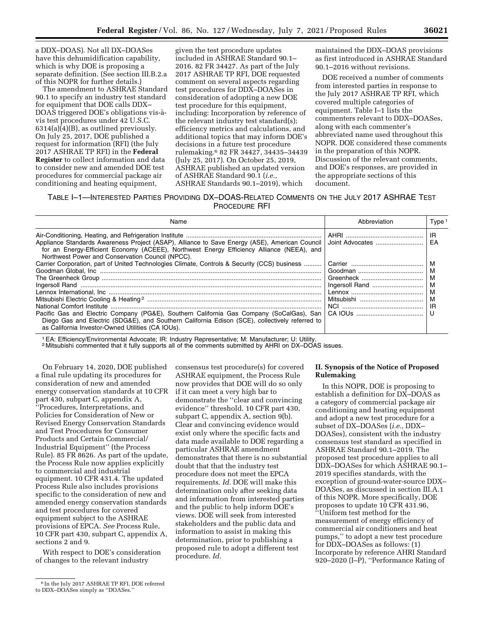a DDX–DOAS). Not all DX–DOASes have this dehumidification capability, which is why DOE is proposing a separate definition. (See section III.B.2.a of this NOPR for further details.)

The amendment to ASHRAE Standard 90.1 to specify an industry test standard for equipment that DOE calls DDX– DOAS triggered DOE's obligations vis-a` vis test procedures under 42 U.S.C.  $6314(a)(4)(B)$ , as outlined previously. On July 25, 2017, DOE published a request for information (RFI) (the July 2017 ASHRAE TP RFI) in the **Federal Register** to collect information and data to consider new and amended DOE test procedures for commercial package air conditioning and heating equipment,

given the test procedure updates included in ASHRAE Standard 90.1– 2016. 82 FR 34427. As part of the July 2017 ASHRAE TP RFI, DOE requested comment on several aspects regarding test procedures for DDX–DOASes in consideration of adopting a new DOE test procedure for this equipment, including: Incorporation by reference of the relevant industry test standard(s); efficiency metrics and calculations, and additional topics that may inform DOE's decisions in a future test procedure rulemaking.6 82 FR 34427, 34435–34439 (July 25, 2017). On October 25, 2019, ASHRAE published an updated version of ASHRAE Standard 90.1 (*i.e.,*  ASHRAE Standards 90.1–2019), which

maintained the DDX–DOAS provisions as first introduced in ASHRAE Standard 90.1–2016 without revisions.

DOE received a number of comments from interested parties in response to the July 2017 ASHRAE TP RFI, which covered multiple categories of equipment. Table I–1 lists the commenters relevant to DDX–DOASes, along with each commenter's abbreviated name used throughout this NOPR. DOE considered these comments in the preparation of this NOPR. Discussion of the relevant comments, and DOE's responses, are provided in the appropriate sections of this document.

### TABLE I–1—INTERESTED PARTIES PROVIDING DX–DOAS-RELATED COMMENTS ON THE JULY 2017 ASHRAE TEST PROCEDURE RFI

| Name                                                                                                                                                                                                                                                                                                                                            | Abbreviation    | Type <sup>1</sup>           |
|-------------------------------------------------------------------------------------------------------------------------------------------------------------------------------------------------------------------------------------------------------------------------------------------------------------------------------------------------|-----------------|-----------------------------|
| Appliance Standards Awareness Project (ASAP), Alliance to Save Energy (ASE), American Council<br>for an Energy-Efficient Economy (ACEEE), Northwest Energy Efficiency Alliance (NEEA), and<br>Northwest Power and Conservation Council (NPCC).                                                                                                  | Joint Advocates | IR.<br>EA                   |
| Carrier Corporation, part of United Technologies Climate, Controls & Security (CCS) business<br>Pacific Gas and Electric Company (PG&E), Southern California Gas Company (SoCalGas), San<br>Diego Gas and Electric (SDG&E), and Southern California Edison (SCE), collectively referred to<br>as California Investor-Owned Utilities (CA IOUs). | Ingersoll Rand  | м<br>м<br>м<br>м<br>м<br>IR |

1EA: Efficiency/Environmental Advocate; IR: Industry Representative; M: Manufacturer; U: Utility.

2 Mitsubishi commented that it fully supports all of the comments submitted by AHRI on DX–DOAS issues.

On February 14, 2020, DOE published a final rule updating its procedures for consideration of new and amended energy conservation standards at 10 CFR part 430, subpart C, appendix A, ''Procedures, Interpretations, and Policies for Consideration of New or Revised Energy Conservation Standards and Test Procedures for Consumer Products and Certain Commercial/ Industrial Equipment'' (the Process Rule). 85 FR 8626. As part of the update, the Process Rule now applies explicitly to commercial and industrial equipment. 10 CFR 431.4. The updated Process Rule also includes provisions specific to the consideration of new and amended energy conservation standards and test procedures for covered equipment subject to the ASHRAE provisions of EPCA. *See* Process Rule, 10 CFR part 430, subpart C, appendix A, sections 2 and 9.

With respect to DOE's consideration of changes to the relevant industry

consensus test procedure(s) for covered ASHRAE equipment, the Process Rule now provides that DOE will do so only if it can meet a very high bar to demonstrate the ''clear and convincing evidence'' threshold. 10 CFR part 430, subpart C, appendix A, section 9(b). Clear and convincing evidence would exist only where the specific facts and data made available to DOE regarding a particular ASHRAE amendment demonstrates that there is no substantial doubt that that the industry test procedure does not meet the EPCA requirements. *Id.* DOE will make this determination only after seeking data and information from interested parties and the public to help inform DOE's views. DOE will seek from interested stakeholders and the public data and information to assist in making this determination, prior to publishing a proposed rule to adopt a different test procedure. *Id.* 

### **II. Synopsis of the Notice of Proposed Rulemaking**

In this NOPR, DOE is proposing to establish a definition for DX–DOAS as a category of commercial package air conditioning and heating equipment and adopt a new test procedure for a subset of DX–DOASes (*i.e.,* DDX– DOASes), consistent with the industry consensus test standard as specified in ASHRAE Standard 90.1–2019. The proposed test procedure applies to all DDX–DOASes for which ASHRAE 90.1– 2019 specifies standards, with the exception of ground-water-source DDX– DOASes, as discussed in section III.A.1 of this NOPR. More specifically, DOE proposes to update 10 CFR 431.96, ''Uniform test method for the measurement of energy efficiency of commercial air conditioners and heat pumps,'' to adopt a new test procedure for DDX–DOASes as follows: (1) Incorporate by reference AHRI Standard 920–2020 (I–P), "Performance Rating of

<sup>6</sup> In the July 2017 ASHRAE TP RFI, DOE referred to DDX–DOASes simply as ''DOASes.''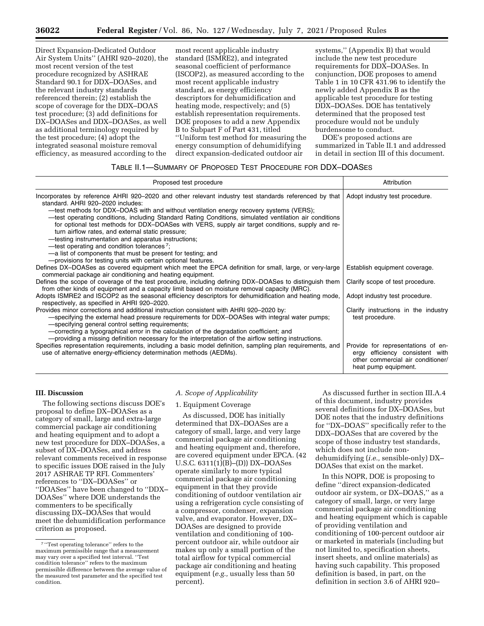Direct Expansion-Dedicated Outdoor Air System Units'' (AHRI 920–2020), the most recent version of the test procedure recognized by ASHRAE Standard 90.1 for DDX–DOASes, and the relevant industry standards referenced therein; (2) establish the scope of coverage for the DDX–DOAS test procedure; (3) add definitions for DX–DOASes and DDX–DOASes, as well as additional terminology required by the test procedure; (4) adopt the integrated seasonal moisture removal efficiency, as measured according to the

most recent applicable industry standard (ISMRE2), and integrated seasonal coefficient of performance (ISCOP2), as measured according to the most recent applicable industry standard, as energy efficiency descriptors for dehumidification and heating mode, respectively; and (5) establish representation requirements. DOE proposes to add a new Appendix B to Subpart F of Part 431, titled ''Uniform test method for measuring the energy consumption of dehumidifying direct expansion-dedicated outdoor air

systems,'' (Appendix B) that would include the new test procedure requirements for DDX–DOASes. In conjunction, DOE proposes to amend Table 1 in 10 CFR 431.96 to identify the newly added Appendix B as the applicable test procedure for testing DDX–DOASes. DOE has tentatively determined that the proposed test procedure would not be unduly burdensome to conduct.

DOE's proposed actions are summarized in Table II.1 and addressed in detail in section III of this document.

### TABLE II.1—SUMMARY OF PROPOSED TEST PROCEDURE FOR DDX–DOASES

| Proposed test procedure                                                                                                                                                                                                                                                                                                                                                                                                                                                                                                                                                                                                                                                                                                                                      | Attribution                                                                                                                        |
|--------------------------------------------------------------------------------------------------------------------------------------------------------------------------------------------------------------------------------------------------------------------------------------------------------------------------------------------------------------------------------------------------------------------------------------------------------------------------------------------------------------------------------------------------------------------------------------------------------------------------------------------------------------------------------------------------------------------------------------------------------------|------------------------------------------------------------------------------------------------------------------------------------|
| Incorporates by reference AHRI 920–2020 and other relevant industry test standards referenced by that<br>standard, AHRI 920-2020 includes:<br>-test methods for DDX-DOAS with and without ventilation energy recovery systems (VERS);<br>-test operating conditions, including Standard Rating Conditions, simulated ventilation air conditions<br>for optional test methods for DDX-DOASes with VERS, supply air target conditions, supply and re-<br>turn airflow rates, and external static pressure;<br>-testing instrumentation and apparatus instructions;<br>-test operating and condition tolerances <sup>7</sup> ;<br>—a list of components that must be present for testing; and<br>- provisions for testing units with certain optional features. | Adopt industry test procedure.                                                                                                     |
| Defines DX-DOASes as covered equipment which meet the EPCA definition for small, large, or very-large<br>commercial package air conditioning and heating equipment.                                                                                                                                                                                                                                                                                                                                                                                                                                                                                                                                                                                          | Establish equipment coverage.                                                                                                      |
| Defines the scope of coverage of the test procedure, including defining DDX-DOASes to distinguish them<br>from other kinds of equipment and a capacity limit based on moisture removal capacity (MRC).                                                                                                                                                                                                                                                                                                                                                                                                                                                                                                                                                       | Clarify scope of test procedure.                                                                                                   |
| Adopts ISMRE2 and ISCOP2 as the seasonal efficiency descriptors for dehumidification and heating mode,<br>respectively, as specified in AHRI 920-2020.                                                                                                                                                                                                                                                                                                                                                                                                                                                                                                                                                                                                       | Adopt industry test procedure.                                                                                                     |
| Provides minor corrections and additional instruction consistent with AHRI 920–2020 by:<br>-specifying the external head pressure requirements for DDX-DOASes with integral water pumps;<br>-specifying general control setting requirements;<br>-correcting a typographical error in the calculation of the degradation coefficient; and<br>---providing a missing definition necessary for the interpretation of the airflow setting instructions.                                                                                                                                                                                                                                                                                                         | Clarify instructions in the industry<br>test procedure.                                                                            |
| Specifies representation requirements, including a basic model definition, sampling plan requirements, and<br>use of alternative energy-efficiency determination methods (AEDMs).                                                                                                                                                                                                                                                                                                                                                                                                                                                                                                                                                                            | Provide for representations of en-<br>ergy efficiency consistent with<br>other commercial air conditioner/<br>heat pump equipment. |

# **III. Discussion**

The following sections discuss DOE's proposal to define DX–DOASes as a category of small, large and extra-large commercial package air conditioning and heating equipment and to adopt a new test procedure for DDX–DOASes, a subset of DX–DOASes, and address relevant comments received in response to specific issues DOE raised in the July 2017 ASHRAE TP RFI. Commenters' references to ''DX–DOASes'' or ''DOASes'' have been changed to ''DDX– DOASes'' where DOE understands the commenters to be specifically discussing DX–DOASes that would meet the dehumidification performance criterion as proposed.

#### *A. Scope of Applicability*

### 1. Equipment Coverage

As discussed, DOE has initially determined that DX–DOASes are a category of small, large, and very large commercial package air conditioning and heating equipment and, therefore, are covered equipment under EPCA. (42 U.S.C.  $6311(1)(B) - (D)$ ) DX-DOASes operate similarly to more typical commercial package air conditioning equipment in that they provide conditioning of outdoor ventilation air using a refrigeration cycle consisting of a compressor, condenser, expansion valve, and evaporator. However, DX– DOASes are designed to provide ventilation and conditioning of 100 percent outdoor air, while outdoor air makes up only a small portion of the total airflow for typical commercial package air conditioning and heating equipment (*e.g.,* usually less than 50 percent).

As discussed further in section III.A.4 of this document, industry provides several definitions for DX–DOASes, but DOE notes that the industry definitions for ''DX–DOAS'' specifically refer to the DDX–DOASes that are covered by the scope of those industry test standards, which does not include nondehumidifying (*i.e.,* sensible-only) DX– DOASes that exist on the market.

In this NOPR, DOE is proposing to define ''direct expansion-dedicated outdoor air system, or DX–DOAS,'' as a category of small, large, or very large commercial package air conditioning and heating equipment which is capable of providing ventilation and conditioning of 100-percent outdoor air or marketed in materials (including but not limited to, specification sheets, insert sheets, and online materials) as having such capability. This proposed definition is based, in part, on the definition in section 3.6 of AHRI 920–

<sup>7</sup> ''Test operating tolerance'' refers to the maximum permissible range that a measurement may vary over a specified test interval. ''Test condition tolerance'' refers to the maximum permissible difference between the average value of the measured test parameter and the specified test condition.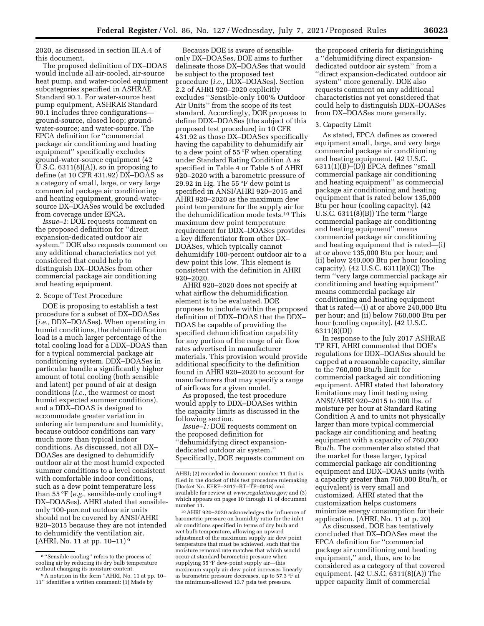2020, as discussed in section III.A.4 of this document.

The proposed definition of DX–DOAS would include all air-cooled, air-source heat pump, and water-cooled equipment subcategories specified in ASHRAE Standard 90.1. For water-source heat pump equipment, ASHRAE Standard 90.1 includes three configurations ground-source, closed loop; groundwater-source; and water-source. The EPCA definition for ''commercial package air conditioning and heating equipment'' specifically excludes ground-water-source equipment (42 U.S.C. 6311(8)(A)), so in proposing to define (at 10 CFR 431.92) DX–DOAS as a category of small, large, or very large commercial package air conditioning and heating equipment, ground-watersource DX–DOASes would be excluded from coverage under EPCA.

*Issue–1*: DOE requests comment on the proposed definition for ''direct expansion-dedicated outdoor air system.'' DOE also requests comment on any additional characteristics not yet considered that could help to distinguish DX–DOASes from other commercial package air conditioning and heating equipment.

### 2. Scope of Test Procedure

DOE is proposing to establish a test procedure for a subset of DX–DOASes (*i.e.,* DDX–DOASes). When operating in humid conditions, the dehumidification load is a much larger percentage of the total cooling load for a DDX–DOAS than for a typical commercial package air conditioning system. DDX–DOASes in particular handle a significantly higher amount of total cooling (both sensible and latent) per pound of air at design conditions (*i.e.,* the warmest or most humid expected summer conditions), and a DDX–DOAS is designed to accommodate greater variation in entering air temperature and humidity, because outdoor conditions can vary much more than typical indoor conditions. As discussed, not all DX– DOASes are designed to dehumidify outdoor air at the most humid expected summer conditions to a level consistent with comfortable indoor conditions, such as a dew point temperature less than 55 °F (*e.g.,* sensible-only cooling 8 DX–DOASes). AHRI stated that sensibleonly 100-percent outdoor air units should not be covered by ANSI/AHRI 920–2015 because they are not intended to dehumidify the ventilation air.  $(AHRI, No. 11 at pp. 10–11)<sup>9</sup>$ 

Because DOE is aware of sensibleonly DX–DOASes, DOE aims to further delineate those DX–DOASes that would be subject to the proposed test procedure (*i.e.,* DDX–DOASes). Section 2.2 of AHRI 920–2020 explicitly excludes ''Sensible-only 100% Outdoor Air Units'' from the scope of its test standard. Accordingly, DOE proposes to define DDX–DOASes (the subject of this proposed test procedure) in 10 CFR 431.92 as those DX–DOASes specifically having the capability to dehumidify air to a dew point of 55 °F when operating under Standard Rating Condition A as specified in Table 4 or Table 5 of AHRI 920–2020 with a barometric pressure of 29.92 in Hg. The 55 °F dew point is specified in ANSI/AHRI 920–2015 and AHRI 920–2020 as the maximum dew point temperature for the supply air for the dehumidification mode tests.10 This maximum dew point temperature requirement for DDX–DOASes provides a key differentiator from other DX– DOASes, which typically cannot dehumidify 100-percent outdoor air to a dew point this low. This element is consistent with the definition in AHRI 920–2020.

AHRI 920–2020 does not specify at what airflow the dehumidification element is to be evaluated. DOE proposes to include within the proposed definition of DDX–DOAS that the DDX– DOAS be capable of providing the specified dehumidification capability for any portion of the range of air flow rates advertised in manufacturer materials. This provision would provide additional specificity to the definition found in AHRI 920–2020 to account for manufacturers that may specify a range of airflows for a given model.

As proposed, the test procedure would apply to DDX–DOASes within the capacity limits as discussed in the following section.

*Issue–1:* DOE requests comment on the proposed definition for ''dehumidifying direct expansiondedicated outdoor air system.'' Specifically, DOE requests comment on

the proposed criteria for distinguishing a ''dehumidifying direct expansiondedicated outdoor air system'' from a ''direct expansion-dedicated outdoor air system'' more generally. DOE also requests comment on any additional characteristics not yet considered that could help to distinguish DDX–DOASes from DX–DOASes more generally.

### 3. Capacity Limit

As stated, EPCA defines as covered equipment small, large, and very large commercial package air conditioning and heating equipment. (42 U.S.C. 6311(1)(B)–(D)) EPCA defines ''small commercial package air conditioning and heating equipment'' as commercial package air conditioning and heating equipment that is rated below 135,000 Btu per hour (cooling capacity). (42 U.S.C. 6311(8)(B)) The term ''large commercial package air conditioning and heating equipment'' means commercial package air conditioning and heating equipment that is rated—(i) at or above 135,000 Btu per hour; and (ii) below 240,000 Btu per hour (cooling capacity). (42 U.S.C. 6311(8)(C)) The term ''very large commercial package air conditioning and heating equipment'' means commercial package air conditioning and heating equipment that is rated—(i) at or above 240,000 Btu per hour; and (ii) below 760,000 Btu per hour (cooling capacity). (42 U.S.C. 6311(8)(D))

In response to the July 2017 ASHRAE TP RFI, AHRI commented that DOE's regulations for DDX–DOASes should be capped at a reasonable capacity, similar to the 760,000 Btu/h limit for commercial packaged air conditioning equipment. AHRI stated that laboratory limitations may limit testing using ANSI/AHRI 920–2015 to 300 lbs. of moisture per hour at Standard Rating Condition A and to units not physically larger than more typical commercial package air conditioning and heating equipment with a capacity of 760,000 Btu/h. The commenter also stated that the market for these larger, typical commercial package air conditioning equipment and DDX–DOAS units (with a capacity greater than 760,000 Btu/h, or equivalent) is very small and customized. AHRI stated that the customization helps customers minimize energy consumption for their application. (AHRI, No. 11 at p. 20)

As discussed, DOE has tentatively concluded that DX–DOASes meet the EPCA definition for ''commercial package air conditioning and heating equipment,'' and, thus, are to be considered as a category of that covered equipment. (42 U.S.C. 6311(8)(A)) The upper capacity limit of commercial

<sup>8</sup> ''Sensible cooling'' refers to the process of cooling air by reducing its dry bulb temperature<br>without changing its moisture content.

<sup>&</sup>lt;sup>9</sup> A notation in the form "AHRI, No. 11 at pp. 10– 11'' identifies a written comment: (1) Made by

AHRI; (2) recorded in document number 11 that is filed in the docket of this test procedure rulemaking (Docket No. EERE–2017–BT–TP–0018) and available for review at *[www.regulations.gov;](http://www.regulations.gov)* and (3) which appears on pages 10 through 11 of document number 11.

<sup>10</sup>AHRI 920–2020 acknowledges the influence of barometric pressure on humidity ratio for the inlet air conditions specified in terms of dry bulb and wet bulb temperature, allowing an upward adjustment of the maximum supply air dew point temperature that must be achieved, such that the moisture removal rate matches that which would occur at standard barometric pressure when supplying 55 °F dew-point supply air—this maximum supply air dew point increases linearly as barometric pressure decreases, up to 57.3 °F at the minimum-allowed 13.7 psia test pressure.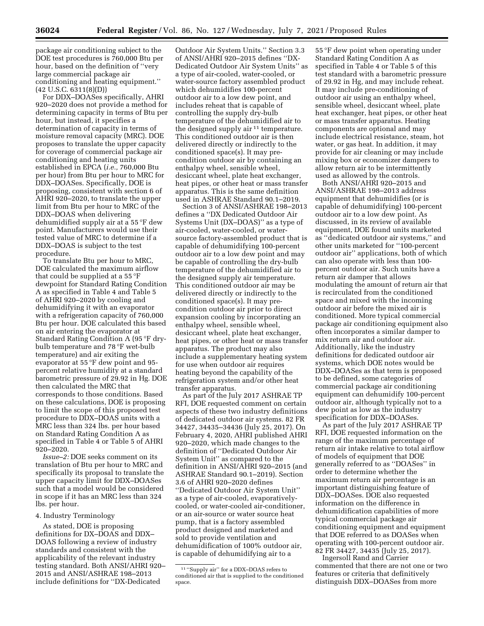package air conditioning subject to the DOE test procedures is 760,000 Btu per hour, based on the definition of ''very large commercial package air conditioning and heating equipment.'' (42 U.S.C. 6311(8)(D))

For DDX–DOASes specifically, AHRI 920–2020 does not provide a method for determining capacity in terms of Btu per hour, but instead, it specifies a determination of capacity in terms of moisture removal capacity (MRC). DOE proposes to translate the upper capacity for coverage of commercial package air conditioning and heating units established in EPCA (*i.e.,* 760,000 Btu per hour) from Btu per hour to MRC for DDX–DOASes. Specifically, DOE is proposing, consistent with section 6 of AHRI 920–2020, to translate the upper limit from Btu per hour to MRC of the DDX–DOAS when delivering dehumidified supply air at a 55 °F dew point. Manufacturers would use their tested value of MRC to determine if a DDX–DOAS is subject to the test procedure.

To translate Btu per hour to MRC, DOE calculated the maximum airflow that could be supplied at a 55 °F dewpoint for Standard Rating Condition A as specified in Table 4 and Table 5 of AHRI 920–2020 by cooling and dehumidifying it with an evaporator with a refrigeration capacity of 760,000 Btu per hour. DOE calculated this based on air entering the evaporator at Standard Rating Condition A (95 °F drybulb temperature and 78 °F wet-bulb temperature) and air exiting the evaporator at 55 °F dew point and 95 percent relative humidity at a standard barometric pressure of 29.92 in Hg. DOE then calculated the MRC that corresponds to those conditions. Based on these calculations, DOE is proposing to limit the scope of this proposed test procedure to DDX–DOAS units with a MRC less than 324 lbs. per hour based on Standard Rating Condition A as specified in Table 4 or Table 5 of AHRI 920–2020.

*Issue–2:* DOE seeks comment on its translation of Btu per hour to MRC and specifically its proposal to translate the upper capacity limit for DDX–DOASes such that a model would be considered in scope if it has an MRC less than 324 lbs. per hour.

### 4. Industry Terminology

As stated, DOE is proposing definitions for DX–DOAS and DDX– DOAS following a review of industry standards and consistent with the applicability of the relevant industry testing standard. Both ANSI/AHRI 920– 2015 and ANSI/ASHRAE 198–2013 include definitions for ''DX-Dedicated

Outdoor Air System Units.'' Section 3.3 of ANSI/AHRI 920–2015 defines ''DX-Dedicated Outdoor Air System Units'' as a type of air-cooled, water-cooled, or water-source factory assembled product which dehumidifies 100-percent outdoor air to a low dew point, and includes reheat that is capable of controlling the supply dry-bulb temperature of the dehumidified air to the designed supply air  $11$  temperature. This conditioned outdoor air is then delivered directly or indirectly to the conditioned space(s). It may precondition outdoor air by containing an enthalpy wheel, sensible wheel, desiccant wheel, plate heat exchanger, heat pipes, or other heat or mass transfer apparatus. This is the same definition used in ASHRAE Standard 90.1–2019.

Section 3 of ANSI/ASHRAE 198–2013 defines a ''DX Dedicated Outdoor Air Systems Unit (DX–DOAS)'' as a type of air-cooled, water-cooled, or watersource factory-assembled product that is capable of dehumidifying 100-percent outdoor air to a low dew point and may be capable of controlling the dry-bulb temperature of the dehumidified air to the designed supply air temperature. This conditioned outdoor air may be delivered directly or indirectly to the conditioned space(s). It may precondition outdoor air prior to direct expansion cooling by incorporating an enthalpy wheel, sensible wheel, desiccant wheel, plate heat exchanger, heat pipes, or other heat or mass transfer apparatus. The product may also include a supplementary heating system for use when outdoor air requires heating beyond the capability of the refrigeration system and/or other heat transfer apparatus.

As part of the July 2017 ASHRAE TP RFI, DOE requested comment on certain aspects of these two industry definitions of dedicated outdoor air systems. 82 FR 34427, 34435–34436 (July 25, 2017). On February 4, 2020, AHRI published AHRI 920–2020, which made changes to the definition of ''Dedicated Outdoor Air System Unit'' as compared to the definition in ANSI/AHRI 920–2015 (and ASHRAE Standard 90.1–2019). Section 3.6 of AHRI 920–2020 defines ''Dedicated Outdoor Air System Unit'' as a type of air-cooled, evaporativelycooled, or water-cooled air-conditioner, or an air-source or water source heat pump, that is a factory assembled product designed and marketed and sold to provide ventilation and dehumidification of 100% outdoor air, is capable of dehumidifying air to a

55 °F dew point when operating under Standard Rating Condition A as specified in Table 4 or Table 5 of this test standard with a barometric pressure of 29.92 in Hg, and may include reheat. It may include pre-conditioning of outdoor air using an enthalpy wheel, sensible wheel, desiccant wheel, plate heat exchanger, heat pipes, or other heat or mass transfer apparatus. Heating components are optional and may include electrical resistance, steam, hot water, or gas heat. In addition, it may provide for air cleaning or may include mixing box or economizer dampers to allow return air to be intermittently used as allowed by the controls.

Both ANSI/AHRI 920–2015 and ANSI/ASHRAE 198–2013 address equipment that dehumidifies (or is capable of dehumidifying) 100-percent outdoor air to a low dew point. As discussed, in its review of available equipment, DOE found units marketed as ''dedicated outdoor air systems,'' and other units marketed for ''100-percent outdoor air'' applications, both of which can also operate with less than 100 percent outdoor air. Such units have a return air damper that allows modulating the amount of return air that is recirculated from the conditioned space and mixed with the incoming outdoor air before the mixed air is conditioned. More typical commercial package air conditioning equipment also often incorporates a similar damper to mix return air and outdoor air. Additionally, like the industry definitions for dedicated outdoor air systems, which DOE notes would be DDX–DOASes as that term is proposed to be defined, some categories of commercial package air conditioning equipment can dehumidify 100-percent outdoor air, although typically not to a dew point as low as the industry specification for DDX–DOASes.

As part of the July 2017 ASHRAE TP RFI, DOE requested information on the range of the maximum percentage of return air intake relative to total airflow of models of equipment that DOE generally referred to as ''DOASes'' in order to determine whether the maximum return air percentage is an important distinguishing feature of DDX–DOASes. DOE also requested information on the difference in dehumidification capabilities of more typical commercial package air conditioning equipment and equipment that DOE referred to as DOASes when operating with 100-percent outdoor air. 82 FR 34427, 34435 (July 25, 2017).

Ingersoll Rand and Carrier commented that there are not one or two features or criteria that definitively distinguish DDX–DOASes from more

<sup>11 &</sup>quot;Supply air" for a DDX-DOAS refers to conditioned air that is supplied to the conditioned space.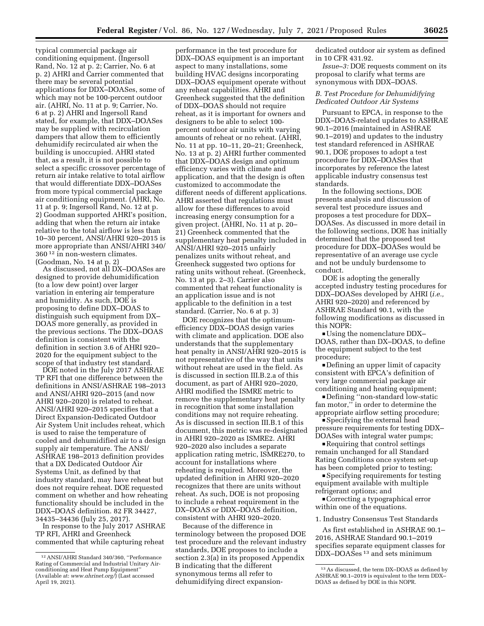typical commercial package air conditioning equipment. (Ingersoll Rand, No. 12 at p. 2; Carrier, No. 6 at p. 2) AHRI and Carrier commented that there may be several potential applications for DDX–DOASes, some of which may not be 100-percent outdoor air. (AHRI, No. 11 at p. 9; Carrier, No. 6 at p. 2) AHRI and Ingersoll Rand stated, for example, that DDX–DOASes may be supplied with recirculation dampers that allow them to efficiently

dehumidify recirculated air when the building is unoccupied. AHRI stated that, as a result, it is not possible to select a specific crossover percentage of return air intake relative to total airflow that would differentiate DDX–DOASes from more typical commercial package air conditioning equipment. (AHRI, No. 11 at p. 9; Ingersoll Rand, No. 12 at p. 2) Goodman supported AHRI's position, adding that when the return air intake relative to the total airflow is less than 10–30 percent, ANSI/AHRI 920–2015 is more appropriate than ANSI/AHRI 340/ 360 12 in non-western climates. (Goodman, No. 14 at p. 2)

As discussed, not all DX–DOASes are designed to provide dehumidification (to a low dew point) over larger variation in entering air temperature and humidity. As such, DOE is proposing to define DDX–DOAS to distinguish such equipment from DX– DOAS more generally, as provided in the previous sections. The DDX–DOAS definition is consistent with the definition in section 3.6 of AHRI 920– 2020 for the equipment subject to the scope of that industry test standard.

DOE noted in the July 2017 ASHRAE TP RFI that one difference between the definitions in ANSI/ASHRAE 198–2013 and ANSI/AHRI 920–2015 (and now AHRI 920–2020) is related to reheat. ANSI/AHRI 920–2015 specifies that a Direct Expansion-Dedicated Outdoor Air System Unit includes reheat, which is used to raise the temperature of cooled and dehumidified air to a design supply air temperature. The ANSI/ ASHRAE 198–2013 definition provides that a DX Dedicated Outdoor Air Systems Unit, as defined by that industry standard, may have reheat but does not require reheat. DOE requested comment on whether and how reheating functionality should be included in the DDX–DOAS definition. 82 FR 34427, 34435–34436 (July 25, 2017).

In response to the July 2017 ASHRAE TP RFI, AHRI and Greenheck commented that while capturing reheat

performance in the test procedure for DDX–DOAS equipment is an important aspect to many installations, some building HVAC designs incorporating DDX–DOAS equipment operate without any reheat capabilities. AHRI and Greenheck suggested that the definition of DDX–DOAS should not require reheat, as it is important for owners and designers to be able to select 100 percent outdoor air units with varying amounts of reheat or no reheat. (AHRI, No. 11 at pp. 10–11, 20–21; Greenheck, No. 13 at p. 2) AHRI further commented that DDX–DOAS design and optimum efficiency varies with climate and application, and that the design is often customized to accommodate the different needs of different applications. AHRI asserted that regulations must allow for these differences to avoid increasing energy consumption for a given project. (AHRI, No. 11 at p. 20– 21) Greenheck commented that the supplementary heat penalty included in ANSI/AHRI 920–2015 unfairly penalizes units without reheat, and Greenheck suggested two options for rating units without reheat. (Greenheck, No. 13 at pp. 2–3). Carrier also commented that reheat functionality is an application issue and is not applicable to the definition in a test standard. (Carrier, No. 6 at p. 3)

DOE recognizes that the optimumefficiency DDX–DOAS design varies with climate and application. DOE also understands that the supplementary heat penalty in ANSI/AHRI 920–2015 is not representative of the way that units without reheat are used in the field. As is discussed in section III.B.2.a of this document, as part of AHRI 920–2020, AHRI modified the ISMRE metric to remove the supplementary heat penalty in recognition that some installation conditions may not require reheating. As is discussed in section III.B.1 of this document, this metric was re-designated in AHRI 920–2020 as ISMRE2. AHRI 920–2020 also includes a separate application rating metric, ISMRE270, to account for installations where reheating is required. Moreover, the updated definition in AHRI 920–2020 recognizes that there are units without reheat. As such, DOE is not proposing to include a reheat requirement in the DX–DOAS or DDX–DOAS definition, consistent with AHRI 920–2020.

Because of the difference in terminology between the proposed DOE test procedure and the relevant industry standards, DOE proposes to include a section 2.3(a) in its proposed Appendix B indicating that the different synonymous terms all refer to dehumidifying direct expansiondedicated outdoor air system as defined in 10 CFR 431.92.

*Issue–3:* DOE requests comment on its proposal to clarify what terms are synonymous with DDX–DOAS.

### *B. Test Procedure for Dehumidifying Dedicated Outdoor Air Systems*

Pursuant to EPCA, in response to the DDX–DOAS-related updates to ASHRAE 90.1–2016 (maintained in ASHRAE 90.1–2019) and updates to the industry test standard referenced in ASHRAE 90.1, DOE proposes to adopt a test procedure for DDX–DOASes that incorporates by reference the latest applicable industry consensus test standards.

In the following sections, DOE presents analysis and discussion of several test procedure issues and proposes a test procedure for DDX– DOASes. As discussed in more detail in the following sections, DOE has initially determined that the proposed test procedure for DDX–DOASes would be representative of an average use cycle and not be unduly burdensome to conduct.

DOE is adopting the generally accepted industry testing procedures for DDX–DOASes developed by AHRI (*i.e.,*  AHRI 920–2020) and referenced by ASHRAE Standard 90.1, with the following modifications as discussed in this NOPR:

Using the nomenclature  $DDX-$ DOAS, rather than DX–DOAS, to define the equipment subject to the test procedure;

Defining an upper limit of capacity consistent with EPCA's definition of very large commercial package air conditioning and heating equipment;

Defining "non-standard low-static fan motor,'' in order to determine the appropriate airflow setting procedure;

■ Specifying the external head pressure requirements for testing DDX– DOASes with integral water pumps;

 $\blacksquare$  Requiring that control settings remain unchanged for all Standard Rating Conditions once system set-up has been completed prior to testing;

■ Specifying requirements for testing equipment available with multiple refrigerant options; and

D Correcting a typographical error within one of the equations.

#### 1. Industry Consensus Test Standards

As first established in ASHRAE 90.1– 2016, ASHRAE Standard 90.1–2019 specifies separate equipment classes for DDX–DOASes 13 and sets minimum

<sup>12</sup>ANSI/AHRI Standard 340/360, ''Performance Rating of Commercial and Industrial Unitary Airconditioning and Heat Pump Equipment'' (Available at: *[www.ahrinet.org/](http://www.ahrinet.org/)*) (Last accessed April 19, 2021).

<sup>13</sup>As discussed, the term DX–DOAS as defined by ASHRAE 90.1–2019 is equivalent to the term DDX– DOAS as defined by DOE in this NOPR.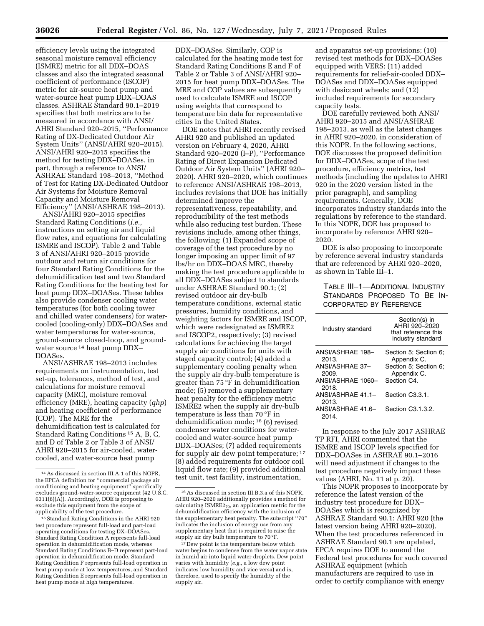efficiency levels using the integrated seasonal moisture removal efficiency (ISMRE) metric for all DDX–DOAS classes and also the integrated seasonal coefficient of performance (ISCOP) metric for air-source heat pump and water-source heat pump DDX–DOAS classes. ASHRAE Standard 90.1–2019 specifies that both metrics are to be measured in accordance with ANSI/ AHRI Standard 920–2015, ''Performance Rating of DX-Dedicated Outdoor Air System Units'' (ANSI/AHRI 920–2015). ANSI/AHRI 920–2015 specifies the method for testing DDX–DOASes, in part, through a reference to ANSI/ ASHRAE Standard 198–2013, ''Method of Test for Rating DX-Dedicated Outdoor Air Systems for Moisture Removal Capacity and Moisture Removal Efficiency'' (ANSI/ASHRAE 198–2013).

ANSI/AHRI 920–2015 specifies Standard Rating Conditions (*i.e.,*  instructions on setting air and liquid flow rates, and equations for calculating ISMRE and ISCOP). Table 2 and Table 3 of ANSI/AHRI 920–2015 provide outdoor and return air conditions for four Standard Rating Conditions for the dehumidification test and two Standard Rating Conditions for the heating test for heat pump DDX–DOASes. These tables also provide condenser cooling water temperatures (for both cooling tower and chilled water condensers) for watercooled (cooling-only) DDX–DOASes and water temperatures for water-source, ground-source closed-loop, and groundwater source <sup>14</sup> heat pump DDX-DOASes.

ANSI/ASHRAE 198–2013 includes requirements on instrumentation, test set-up, tolerances, method of test, and calculations for moisture removal capacity (MRC), moisture removal efficiency (MRE), heating capacity (*qhp*) and heating coefficient of performance (COP). The MRE for the dehumidification test is calculated for Standard Rating Conditions 15 A, B, C, and D of Table 2 or Table 3 of ANSI/ AHRI 920–2015 for air-cooled, watercooled, and water-source heat pump

DDX–DOASes. Similarly, COP is calculated for the heating mode test for Standard Rating Conditions E and F of Table 2 or Table 3 of ANSI/AHRI 920– 2015 for heat pump DDX–DOASes. The MRE and COP values are subsequently used to calculate ISMRE and ISCOP using weights that correspond to temperature bin data for representative cities in the United States.

DOE notes that AHRI recently revised AHRI 920 and published an updated version on February 4, 2020, AHRI Standard 920–2020 (I–P), ''Performance Rating of Direct Expansion Dedicated Outdoor Air System Units'' (AHRI 920– 2020). AHRI 920–2020, which continues to reference ANSI/ASHRAE 198–2013, includes revisions that DOE has initially determined improve the representativeness, repeatability, and reproducibility of the test methods while also reducing test burden. These revisions include, among other things, the following: (1) Expanded scope of coverage of the test procedure by no longer imposing an upper limit of 97 lbs/hr on DDX–DOAS MRC, thereby making the test procedure applicable to all DDX–DOASes subject to standards under ASHRAE Standard 90.1; (2) revised outdoor air dry-bulb temperature conditions, external static pressures, humidity conditions, and weighting factors for ISMRE and ISCOP, which were redesignated as ISMRE2 and ISCOP2, respectively; (3) revised calculations for achieving the target supply air conditions for units with staged capacity control; (4) added a supplementary cooling penalty when the supply air dry-bulb temperature is greater than 75 °F in dehumidification mode; (5) removed a supplementary heat penalty for the efficiency metric ISMRE2 when the supply air dry-bulb temperature is less than 70 °F in dehumidification mode; 16 (6) revised condenser water conditions for watercooled and water-source heat pump DDX–DOASes; (7) added requirements for supply air dew point temperature; 17 (8) added requirements for outdoor coil liquid flow rate; (9) provided additional test unit, test facility, instrumentation,

and apparatus set-up provisions; (10) revised test methods for DDX–DOASes equipped with VERS; (11) added requirements for relief-air-cooled DDX– DOASes and DDX–DOASes equipped with desiccant wheels; and  $(12)$ included requirements for secondary capacity tests.

DOE carefully reviewed both ANSI/ AHRI 920–2015 and ANSI/ASHRAE 198–2013, as well as the latest changes in AHRI 920–2020, in consideration of this NOPR. In the following sections, DOE discusses the proposed definition for DDX–DOASes, scope of the test procedure, efficiency metrics, test methods (including the updates to AHRI 920 in the 2020 version listed in the prior paragraph), and sampling requirements. Generally, DOE incorporates industry standards into the regulations by reference to the standard. In this NOPR, DOE has proposed to incorporate by reference AHRI 920– 2020.

DOE is also proposing to incorporate by reference several industry standards that are referenced by AHRI 920–2020, as shown in Table III–1.

# TABLE III–1—ADDITIONAL INDUSTRY STANDARDS PROPOSED TO BE IN-CORPORATED BY REFERENCE

| Industry standard                                                                                                                               | Section(s) in<br>AHRI 920-2020<br>that reference this<br>industry standard                                                          |
|-------------------------------------------------------------------------------------------------------------------------------------------------|-------------------------------------------------------------------------------------------------------------------------------------|
| ANSI/ASHRAE 198-<br>2013.<br>ANSI/ASHRAE 37-<br>2009.<br>ANSI/ASHRAE 1060-<br>2018.<br>ANSI/ASHRAE 41.1-<br>2013.<br>ANSI/ASHRAE 41.6-<br>2014. | Section 5; Section 6;<br>Appendix C.<br>Section 5: Section 6:<br>Appendix C.<br>Section C4.<br>Section C3.3.1.<br>Section C3.1.3.2. |

In response to the July 2017 ASHRAE TP RFI, AHRI commented that the ISMRE and ISCOP levels specified for DDX–DOASes in ASHRAE 90.1–2016 will need adjustment if changes to the test procedure negatively impact these values (AHRI, No. 11 at p. 20).

This NOPR proposes to incorporate by reference the latest version of the industry test procedure for DDX– DOASes which is recognized by ASHRAE Standard 90.1: AHRI 920 (the latest version being AHRI 920–2020). When the test procedures referenced in ASHRAE Standard 90.1 are updated, EPCA requires DOE to amend the Federal test procedures for such covered ASHRAE equipment (which manufacturers are required to use in order to certify compliance with energy

<sup>14</sup>As discussed in section III.A.1 of this NOPR, the EPCA definition for ''commercial package air conditioning and heating equipment'' specifically excludes ground-water-source equipment (42 U.S.C. 6311(8)(A)). Accordingly, DOE is proposing to exclude this equipment from the scope of applicability of the test procedure.

<sup>15</sup>Standard Rating Conditions in the AHRI 920 test procedure represent full-load and part-load operating conditions for testing DX–DOASes. Standard Rating Condition A represents full-load operation in dehumidification mode, whereas Standard Rating Conditions B–D represent part-load operation in dehumidification mode. Standard Rating Condition F represents full-load operation in heat pump mode at low temperatures, and Standard Rating Condition E represents full-load operation in heat pump mode at high temperatures.

<sup>16</sup>As discussed in section III.B.3.a of this NOPR, AHRI 920–2020 additionally provides a method for calculating ISMRE2<sub>70</sub>, an application metric for the dehumidification efficiency with the inclusion of the supplementary heat penalty. The subscript ''70'' indicates the inclusion of energy use from any supplementary heat that is required to raise the supply air dry bulb temperature to 70 °F.

 $^{\rm 17}$  Dew point is the temperature below which water begins to condense from the water vapor state in humid air into liquid water droplets. Dew point varies with humidity (*e.g.,* a low dew point indicates low humidity and vice versa) and is, therefore, used to specify the humidity of the supply air.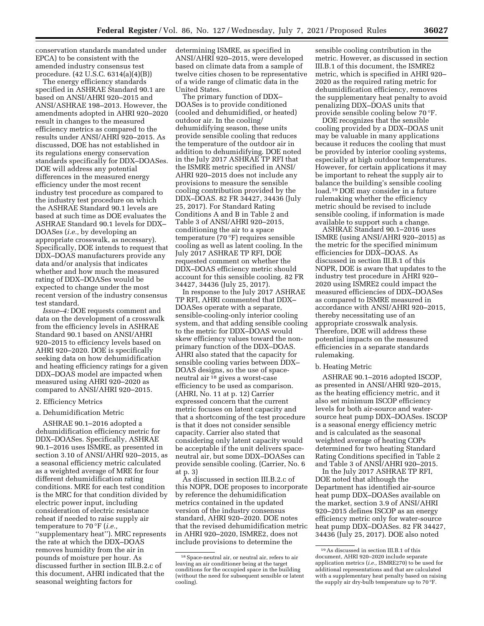conservation standards mandated under EPCA) to be consistent with the amended industry consensus test procedure. (42 U.S.C. 6314(a)(4)(B))

The energy efficiency standards specified in ASHRAE Standard 90.1 are based on ANSI/AHRI 920–2015 and ANSI/ASHRAE 198–2013. However, the amendments adopted in AHRI 920–2020 result in changes to the measured efficiency metrics as compared to the results under ANSI/AHRI 920–2015. As discussed, DOE has not established in its regulations energy conservation standards specifically for DDX–DOASes. DOE will address any potential differences in the measured energy efficiency under the most recent industry test procedure as compared to the industry test procedure on which the ASHRAE Standard 90.1 levels are based at such time as DOE evaluates the ASHRAE Standard 90.1 levels for DDX– DOASes (*i.e.,* by developing an appropriate crosswalk, as necessary). Specifically, DOE intends to request that DDX–DOAS manufacturers provide any data and/or analysis that indicates whether and how much the measured rating of DDX–DOASes would be expected to change under the most recent version of the industry consensus test standard.

*Issue–4:* DOE requests comment and data on the development of a crosswalk from the efficiency levels in ASHRAE Standard 90.1 based on ANSI/AHRI 920–2015 to efficiency levels based on AHRI 920–2020. DOE is specifically seeking data on how dehumidification and heating efficiency ratings for a given DDX–DOAS model are impacted when measured using AHRI 920–2020 as compared to ANSI/AHRI 920–2015.

#### 2. Efficiency Metrics

### a. Dehumidification Metric

ASHRAE 90.1–2016 adopted a dehumidification efficiency metric for DDX–DOASes. Specifically, ASHRAE 90.1–2016 uses ISMRE, as presented in section 3.10 of ANSI/AHRI 920–2015, as a seasonal efficiency metric calculated as a weighted average of MRE for four different dehumidification rating conditions. MRE for each test condition is the MRC for that condition divided by electric power input, including consideration of electric resistance reheat if needed to raise supply air temperature to 70 °F (*i.e.,*  ''supplementary heat''). MRC represents the rate at which the DDX–DOAS removes humidity from the air in pounds of moisture per hour. As discussed further in section III.B.2.c of this document, AHRI indicated that the seasonal weighting factors for

determining ISMRE, as specified in ANSI/AHRI 920–2015, were developed based on climate data from a sample of twelve cities chosen to be representative of a wide range of climatic data in the United States.

The primary function of DDX– DOASes is to provide conditioned (cooled and dehumidified, or heated) outdoor air. In the cooling/ dehumidifying season, these units provide sensible cooling that reduces the temperature of the outdoor air in addition to dehumidifying. DOE noted in the July 2017 ASHRAE TP RFI that the ISMRE metric specified in ANSI/ AHRI 920–2015 does not include any provisions to measure the sensible cooling contribution provided by the DDX–DOAS. 82 FR 34427, 34436 (July 25, 2017). For Standard Rating Conditions A and B in Table 2 and Table 3 of ANSI/AHRI 920–2015, conditioning the air to a space temperature (70 °F) requires sensible cooling as well as latent cooling. In the July 2017 ASHRAE TP RFI, DOE requested comment on whether the DDX–DOAS efficiency metric should account for this sensible cooling. 82 FR 34427, 34436 (July 25, 2017).

In response to the July 2017 ASHRAE TP RFI, AHRI commented that DDX– DOASes operate with a separate, sensible-cooling-only interior cooling system, and that adding sensible cooling to the metric for DDX–DOAS would skew efficiency values toward the nonprimary function of the DDX–DOAS. AHRI also stated that the capacity for sensible cooling varies between DDX– DOAS designs, so the use of spaceneutral air 18 gives a worst-case efficiency to be used as comparison. (AHRI, No. 11 at p. 12) Carrier expressed concern that the current metric focuses on latent capacity and that a shortcoming of the test procedure is that it does not consider sensible capacity. Carrier also stated that considering only latent capacity would be acceptable if the unit delivers spaceneutral air, but some DDX–DOASes can provide sensible cooling. (Carrier, No. 6 at p. 3)

As discussed in section III.B.2.c of this NOPR, DOE proposes to incorporate by reference the dehumidification metrics contained in the updated version of the industry consensus standard, AHRI 920–2020. DOE notes that the revised dehumidification metric in AHRI 920–2020, ISMRE2, does not include provisions to determine the

sensible cooling contribution in the metric. However, as discussed in section III.B.1 of this document, the ISMRE2 metric, which is specified in AHRI 920– 2020 as the required rating metric for dehumidification efficiency, removes the supplementary heat penalty to avoid penalizing DDX–DOAS units that provide sensible cooling below 70 °F.

DOE recognizes that the sensible cooling provided by a DDX–DOAS unit may be valuable in many applications because it reduces the cooling that must be provided by interior cooling systems, especially at high outdoor temperatures. However, for certain applications it may be important to reheat the supply air to balance the building's sensible cooling load.19 DOE may consider in a future rulemaking whether the efficiency metric should be revised to include sensible cooling, if information is made available to support such a change.

ASHRAE Standard 90.1–2016 uses ISMRE (using ANSI/AHRI 920–2015) as the metric for the specified minimum efficiencies for DDX–DOAS. As discussed in section III.B.1 of this NOPR, DOE is aware that updates to the industry test procedure in AHRI 920– 2020 using ISMRE2 could impact the measured efficiencies of DDX–DOASes as compared to ISMRE measured in accordance with ANSI/AHRI 920–2015, thereby necessitating use of an appropriate crosswalk analysis. Therefore, DOE will address these potential impacts on the measured efficiencies in a separate standards rulemaking.

#### b. Heating Metric

ASHRAE 90.1–2016 adopted ISCOP, as presented in ANSI/AHRI 920–2015, as the heating efficiency metric, and it also set minimum ISCOP efficiency levels for both air-source and watersource heat pump DDX–DOASes. ISCOP is a seasonal energy efficiency metric and is calculated as the seasonal weighted average of heating COPs determined for two heating Standard Rating Conditions specified in Table 2 and Table 3 of ANSI/AHRI 920–2015.

In the July 2017 ASHRAE TP RFI, DOE noted that although the Department has identified air-source heat pump DDX–DOASes available on the market, section 3.9 of ANSI/AHRI 920–2015 defines ISCOP as an energy efficiency metric only for water-source heat pump DDX–DOASes. 82 FR 34427, 34436 (July 25, 2017). DOE also noted

<sup>18</sup>Space-neutral air, or neutral air, refers to air leaving an air conditioner being at the target conditions for the occupied space in the building (without the need for subsequent sensible or latent cooling).

<sup>19</sup>As discussed in section III.B.1 of this document, AHRI 920–2020 include separate application metrics (*i.e.,* ISMRE270) to be used for additional representations and that are calculated with a supplementary heat penalty based on raising the supply air dry-bulb temperature up to 70 °F.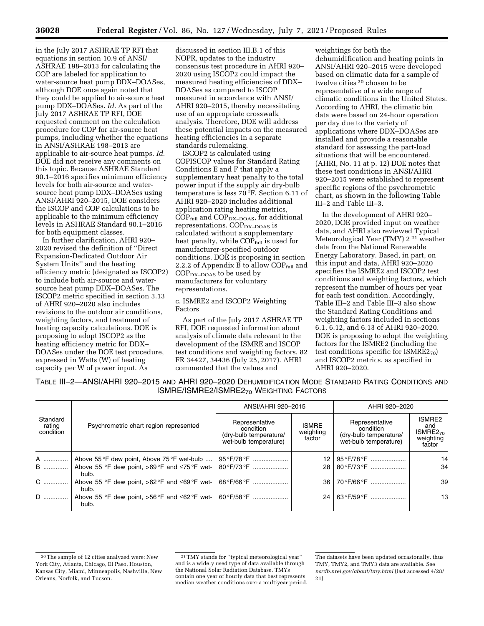in the July 2017 ASHRAE TP RFI that equations in section 10.9 of ANSI/ ASHRAE 198–2013 for calculating the COP are labeled for application to water-source heat pump DDX–DOASes, although DOE once again noted that they could be applied to air-source heat pump DDX–DOASes. *Id.* As part of the July 2017 ASHRAE TP RFI, DOE requested comment on the calculation procedure for COP for air-source heat pumps, including whether the equations in ANSI/ASHRAE 198–2013 are applicable to air-source heat pumps. *Id.*  DOE did not receive any comments on this topic. Because ASHRAE Standard 90.1–2016 specifies minimum efficiency levels for both air-source and watersource heat pump DDX–DOASes using ANSI/AHRI 920–2015, DOE considers the ISCOP and COP calculations to be applicable to the minimum efficiency levels in ASHRAE Standard 90.1–2016 for both equipment classes.

In further clarification, AHRI 920– 2020 revised the definition of ''Direct Expansion-Dedicated Outdoor Air System Units'' and the heating efficiency metric (designated as ISCOP2) to include both air-source and watersource heat pump DDX–DOASes. The ISCOP2 metric specified in section 3.13 of AHRI 920–2020 also includes revisions to the outdoor air conditions, weighting factors, and treatment of heating capacity calculations. DOE is proposing to adopt ISCOP2 as the heating efficiency metric for DDX– DOASes under the DOE test procedure, expressed in Watts (W) of heating capacity per W of power input. As

discussed in section III.B.1 of this NOPR, updates to the industry consensus test procedure in AHRI 920– 2020 using ISCOP2 could impact the measured heating efficiencies of DDX– DOASes as compared to ISCOP measured in accordance with ANSI/ AHRI 920–2015, thereby necessitating use of an appropriate crosswalk analysis. Therefore, DOE will address these potential impacts on the measured heating efficiencies in a separate standards rulemaking.

ISCOP2 is calculated using COPISCOP values for Standard Rating Conditions E and F that apply a supplementary heat penalty to the total power input if the supply air dry-bulb temperature is less 70 °F. Section 6.11 of AHRI 920–2020 includes additional application rating heating metrics,  $COP_{\text{full}}$  and  $COP_{\text{DX-DOAS}}$ , for additional representations.  $\text{COP}_\text{DX-DOAS}$  is calculated without a supplementary heat penalty, while COP<sub>full</sub> is used for manufacturer-specified outdoor conditions. DOE is proposing in section 2.2.2 of Appendix B to allow COP<sub>full</sub> and  $COP<sub>DX–DOAS</sub>$  to be used by manufacturers for voluntary representations.

c. ISMRE2 and ISCOP2 Weighting Factors

As part of the July 2017 ASHRAE TP RFI, DOE requested information about analysis of climate data relevant to the development of the ISMRE and ISCOP test conditions and weighting factors. 82 FR 34427, 34436 (July 25, 2017). AHRI commented that the values and

weightings for both the dehumidification and heating points in ANSI/AHRI 920–2015 were developed based on climatic data for a sample of twelve cities 20 chosen to be representative of a wide range of climatic conditions in the United States. According to AHRI, the climatic bin data were based on 24-hour operation per day due to the variety of applications where DDX–DOASes are installed and provide a reasonable standard for assessing the part-load situations that will be encountered. (AHRI, No. 11 at p. 12) DOE notes that these test conditions in ANSI/AHRI 920–2015 were established to represent specific regions of the psychrometric chart, as shown in the following Table III–2 and Table III–3.

In the development of AHRI 920– 2020, DOE provided input on weather data, and AHRI also reviewed Typical Meteorological Year (TMY) 2 21 weather data from the National Renewable Energy Laboratory. Based, in part, on this input and data, AHRI 920–2020 specifies the ISMRE2 and ISCOP2 test conditions and weighting factors, which represent the number of hours per year for each test condition. Accordingly, Table III–2 and Table III–3 also show the Standard Rating Conditions and weighting factors included in sections 6.1, 6.12, and 6.13 of AHRI 920–2020. DOE is proposing to adopt the weighting factors for the ISMRE2 (including the test conditions specific for  $ISMRE2_{70}$ and ISCOP2 metrics, as specified in AHRI 920–2020.

TABLE III–2—ANSI/AHRI 920–2015 AND AHRI 920–2020 DEHUMIDIFICATION MODE STANDARD RATING CONDITIONS AND ISMRE/ISMRE2/ISMRE270 WEIGHTING FACTORS

|                                 |                                                              | ANSI/AHRI 920-2015                                                             |                                     | AHRI 920-2020                                                                  |                                                              |
|---------------------------------|--------------------------------------------------------------|--------------------------------------------------------------------------------|-------------------------------------|--------------------------------------------------------------------------------|--------------------------------------------------------------|
| Standard<br>rating<br>condition | Psychrometric chart region represented                       | Representative<br>condition<br>(dry-bulb temperature/<br>wet-bulb temperature) | <b>ISMRE</b><br>weighting<br>factor | Representative<br>condition<br>(dry-bulb temperature/<br>wet-bulb temperature) | ISMRE2<br>and<br>ISMRE2 <sub>70</sub><br>weighting<br>factor |
|                                 | A    Above 55°F dew point, Above 75°F wet-bulb               |                                                                                | 12 <sub>1</sub>                     | 95 ° F/78 ° F …………………                                                          | 14                                                           |
| <b>B</b>                        | Above 55 °F dew point, >69 °F and $\leq 75$ °F wet-<br>bulb. | 80 °F/73 °F                                                                    | 28 <sup>1</sup>                     | 80 °F/73 °F                                                                    | 34                                                           |
| C                               | Above 55 °F dew point, >62 °F and $\leq 69$ °F wet-<br>bulb. | 68 °F/66 °F                                                                    | 36                                  | 70 °F/66 °F                                                                    | 39                                                           |
| D                               | Above 55 °F dew point, >56 °F and $\leq 62$ °F wet-<br>bulb. | $60^{\circ}$ F/58 $^{\circ}$ F                                                 | 24                                  | 63 ° F/59 ° F                                                                  | 13                                                           |

<sup>&</sup>lt;sup>20</sup>The sample of 12 cities analyzed were: New York City, Atlanta, Chicago, El Paso, Houston, Kansas City, Miami, Minneapolis, Nashville, New Orleans, Norfolk, and Tucson.

<sup>21</sup>TMY stands for ''typical meteorological year'' and is a widely used type of data available through the National Solar Radiation Database. TMYs contain one year of hourly data that best represents median weather conditions over a multiyear period.

The datasets have been updated occasionally, thus TMY, TMY2, and TMY3 data are available. See *nsrdb.nrel.gov/about/tmy.html* (last accessed 4/28/ 21).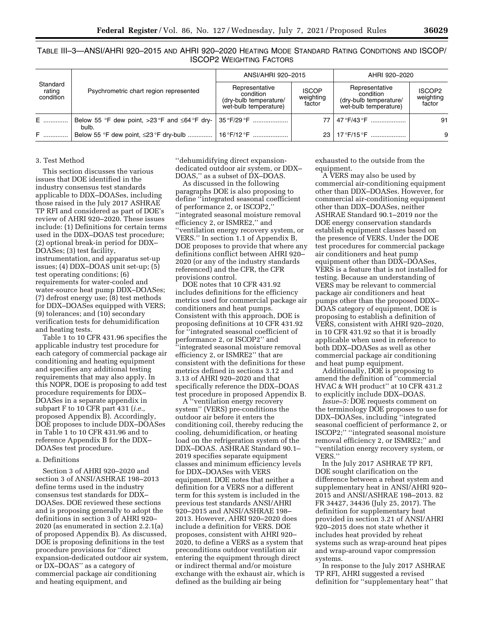|                                 |                                                              | ANSI/AHRI 920-2015                                                             |                                     | AHRI 920-2020                                                                  |                                           |
|---------------------------------|--------------------------------------------------------------|--------------------------------------------------------------------------------|-------------------------------------|--------------------------------------------------------------------------------|-------------------------------------------|
| Standard<br>rating<br>condition | Psychrometric chart region represented                       | Representative<br>condition<br>(dry-bulb temperature/<br>wet-bulb temperature) | <b>ISCOP</b><br>weighting<br>factor | Representative<br>condition<br>(dry-bulb temperature/<br>wet-bulb temperature) | ISCOP <sub>2</sub><br>weighting<br>factor |
| E ……………                         | Below 55 °F dew point, >23 °F and $\leq 64$ °F dry-<br>bulb. |                                                                                | 77                                  | 47 °F/43 °F                                                                    | 91                                        |
| F ()                            |                                                              |                                                                                | 23                                  | 17 ° F/15 ° F                                                                  | 9                                         |

TABLE III–3—ANSI/AHRI 920–2015 AND AHRI 920–2020 HEATING MODE STANDARD RATING CONDITIONS AND ISCOP/ ISCOP2 WEIGHTING FACTORS

## 3. Test Method

This section discusses the various issues that DOE identified in the industry consensus test standards applicable to DDX–DOASes, including those raised in the July 2017 ASHRAE TP RFI and considered as part of DOE's review of AHRI 920–2020. These issues include: (1) Definitions for certain terms used in the DDX–DOAS test procedure; (2) optional break-in period for DDX– DOASes; (3) test facility, instrumentation, and apparatus set-up issues; (4) DDX–DOAS unit set-up; (5) test operating conditions; (6) requirements for water-cooled and water-source heat pump DDX–DOASes; (7) defrost energy use; (8) test methods for DDX–DOASes equipped with VERS; (9) tolerances; and (10) secondary verification tests for dehumidification and heating tests.

Table 1 to 10 CFR 431.96 specifies the applicable industry test procedure for each category of commercial package air conditioning and heating equipment and specifies any additional testing requirements that may also apply. In this NOPR, DOE is proposing to add test procedure requirements for DDX– DOASes in a separate appendix in subpart F to 10 CFR part 431 (*i.e.,*  proposed Appendix B). Accordingly, DOE proposes to include DDX–DOASes in Table 1 to 10 CFR 431.96 and to reference Appendix B for the DDX– DOASes test procedure.

#### a. Definitions

Section 3 of AHRI 920–2020 and section 3 of ANSI/ASHRAE 198–2013 define terms used in the industry consensus test standards for DDX– DOASes. DOE reviewed these sections and is proposing generally to adopt the definitions in section 3 of AHRI 920– 2020 (as enumerated in section 2.2.1(a) of proposed Appendix B). As discussed, DOE is proposing definitions in the test procedure provisions for ''direct expansion-dedicated outdoor air system, or DX–DOAS'' as a category of commercial package air conditioning and heating equipment, and

''dehumidifying direct expansiondedicated outdoor air system, or DDX– DOAS,'' as a subset of DX–DOAS.

As discussed in the following paragraphs DOE is also proposing to define ''integrated seasonal coefficient of performance 2, or ISCOP2,'' ''integrated seasonal moisture removal efficiency 2, or ISMRE2,'' and ''ventilation energy recovery system, or VERS.'' In section 1.1 of Appendix B, DOE proposes to provide that where any definitions conflict between AHRI 920– 2020 (or any of the industry standards referenced) and the CFR, the CFR provisions control.

DOE notes that 10 CFR 431.92 includes definitions for the efficiency metrics used for commercial package air conditioners and heat pumps. Consistent with this approach, DOE is proposing definitions at 10 CFR 431.92 for ''integrated seasonal coefficient of performance 2, or ISCOP2'' and ''integrated seasonal moisture removal efficiency 2, or ISMRE2'' that are consistent with the definitions for these metrics defined in sections 3.12 and 3.13 of AHRI 920–2020 and that specifically reference the DDX–DOAS test procedure in proposed Appendix B.

A ''ventilation energy recovery system'' (VERS) pre-conditions the outdoor air before it enters the conditioning coil, thereby reducing the cooling, dehumidification, or heating load on the refrigeration system of the DDX–DOAS. ASHRAE Standard 90.1– 2019 specifies separate equipment classes and minimum efficiency levels for DDX–DOASes with VERS equipment. DOE notes that neither a definition for a VERS nor a different term for this system is included in the previous test standards ANSI/AHRI 920–2015 and ANSI/ASHRAE 198– 2013. However, AHRI 920–2020 does include a definition for VERS. DOE proposes, consistent with AHRI 920– 2020, to define a VERS as a system that preconditions outdoor ventilation air entering the equipment through direct or indirect thermal and/or moisture exchange with the exhaust air, which is defined as the building air being

exhausted to the outside from the equipment.

A VERS may also be used by commercial air-conditioning equipment other than DDX–DOASes. However, for commercial air-conditioning equipment other than DDX–DOASes, neither ASHRAE Standard 90.1–2019 nor the DOE energy conservation standards establish equipment classes based on the presence of VERS. Under the DOE test procedures for commercial package air conditioners and heat pump equipment other than DDX–DOASes, VERS is a feature that is not installed for testing. Because an understanding of VERS may be relevant to commercial package air conditioners and heat pumps other than the proposed DDX– DOAS category of equipment, DOE is proposing to establish a definition of VERS, consistent with AHRI 920–2020, in 10 CFR 431.92 so that it is broadly applicable when used in reference to both DDX–DOASes as well as other commercial package air conditioning and heat pump equipment.

Additionally, DOE is proposing to amend the definition of ''commercial HVAC & WH product'' at 10 CFR 431.2 to explicitly include DDX–DOAS.

*Issue–5:* DOE requests comment on the terminology DOE proposes to use for DDX–DOASes, including ''integrated seasonal coefficient of performance 2, or ISCOP2;'' ''integrated seasonal moisture removal efficiency 2, or ISMRE2;'' and ''ventilation energy recovery system, or VERS.''

In the July 2017 ASHRAE TP RFI, DOE sought clarification on the difference between a reheat system and supplementary heat in ANSI/AHRI 920– 2015 and ANSI/ASHRAE 198–2013. 82 FR 34427, 34436 (July 25, 2017). The definition for supplementary heat provided in section 3.21 of ANSI/AHRI 920–2015 does not state whether it includes heat provided by reheat systems such as wrap-around heat pipes and wrap-around vapor compression systems.

In response to the July 2017 ASHRAE TP RFI, AHRI suggested a revised definition for ''supplementary heat'' that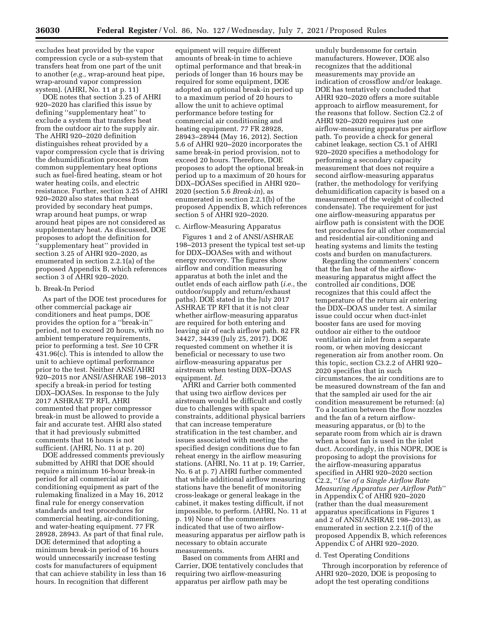excludes heat provided by the vapor compression cycle or a sub-system that transfers heat from one part of the unit to another (*e.g.,* wrap-around heat pipe, wrap-around vapor compression system). (AHRI, No. 11 at p. 11)

DOE notes that section 3.25 of AHRI 920–2020 has clarified this issue by defining ''supplementary heat'' to exclude a system that transfers heat from the outdoor air to the supply air. The AHRI 920–2020 definition distinguishes reheat provided by a vapor compression cycle that is driving the dehumidification process from common supplementary heat options such as fuel-fired heating, steam or hot water heating coils, and electric resistance. Further, section 3.25 of AHRI 920–2020 also states that reheat provided by secondary heat pumps, wrap around heat pumps, or wrap around heat pipes are not considered as supplementary heat. As discussed, DOE proposes to adopt the definition for ''supplementary heat'' provided in section 3.25 of AHRI 920–2020, as enumerated in section 2.2.1(a) of the proposed Appendix B, which references section 3 of AHRI 920–2020.

### b. Break-In Period

As part of the DOE test procedures for other commercial package air conditioners and heat pumps, DOE provides the option for a ''break-in'' period, not to exceed 20 hours, with no ambient temperature requirements, prior to performing a test. *See* 10 CFR 431.96(c). This is intended to allow the unit to achieve optimal performance prior to the test. Neither ANSI/AHRI 920–2015 nor ANSI/ASHRAE 198–2013 specify a break-in period for testing DDX–DOASes. In response to the July 2017 ASHRAE TP RFI, AHRI commented that proper compressor break-in must be allowed to provide a fair and accurate test. AHRI also stated that it had previously submitted comments that 16 hours is not sufficient. (AHRI, No. 11 at p. 20)

DOE addressed comments previously submitted by AHRI that DOE should require a minimum 16-hour break-in period for all commercial air conditioning equipment as part of the rulemaking finalized in a May 16, 2012 final rule for energy conservation standards and test procedures for commercial heating, air-conditioning, and water-heating equipment. 77 FR 28928, 28943. As part of that final rule, DOE determined that adopting a minimum break-in period of 16 hours would unnecessarily increase testing costs for manufacturers of equipment that can achieve stability in less than 16 hours. In recognition that different

equipment will require different amounts of break-in time to achieve optimal performance and that break-in periods of longer than 16 hours may be required for some equipment, DOE adopted an optional break-in period up to a maximum period of 20 hours to allow the unit to achieve optimal performance before testing for commercial air conditioning and heating equipment. 77 FR 28928, 28943–28944 (May 16, 2012). Section 5.6 of AHRI 920–2020 incorporates the same break-in period provision, not to exceed 20 hours. Therefore, DOE proposes to adopt the optional break-in period up to a maximum of 20 hours for DDX–DOASes specified in AHRI 920– 2020 (section 5.6 *Break-in*), as enumerated in section 2.2.1(b) of the proposed Appendix B, which references section 5 of AHRI 920–2020.

#### c. Airflow-Measuring Apparatus

Figures 1 and 2 of ANSI/ASHRAE 198–2013 present the typical test set-up for DDX–DOASes with and without energy recovery. The figures show airflow and condition measuring apparatus at both the inlet and the outlet ends of each airflow path (*i.e.,* the outdoor/supply and return/exhaust paths). DOE stated in the July 2017 ASHRAE TP RFI that it is not clear whether airflow-measuring apparatus are required for both entering and leaving air of each airflow path. 82 FR 34427, 34439 (July 25, 2017). DOE requested comment on whether it is beneficial or necessary to use two airflow-measuring apparatus per airstream when testing DDX–DOAS equipment. *Id.* 

AHRI and Carrier both commented that using two airflow devices per airstream would be difficult and costly due to challenges with space constraints, additional physical barriers that can increase temperature stratification in the test chamber, and issues associated with meeting the specified design conditions due to fan reheat energy in the airflow measuring stations. (AHRI, No. 11 at p. 19; Carrier, No. 6 at p. 7) AHRI further commented that while additional airflow measuring stations have the benefit of monitoring cross-leakage or general leakage in the cabinet, it makes testing difficult, if not impossible, to perform. (AHRI, No. 11 at p. 19) None of the commenters indicated that use of two airflowmeasuring apparatus per airflow path is necessary to obtain accurate measurements.

Based on comments from AHRI and Carrier, DOE tentatively concludes that requiring two airflow-measuring apparatus per airflow path may be

unduly burdensome for certain manufacturers. However, DOE also recognizes that the additional measurements may provide an indication of crossflow and/or leakage. DOE has tentatively concluded that AHRI 920–2020 offers a more suitable approach to airflow measurement, for the reasons that follow. Section C2.2 of AHRI 920–2020 requires just one airflow-measuring apparatus per airflow path. To provide a check for general cabinet leakage, section C5.1 of AHRI 920–2020 specifies a methodology for performing a secondary capacity measurement that does not require a second airflow-measuring apparatus (rather, the methodology for verifying dehumidification capacity is based on a measurement of the weight of collected condensate). The requirement for just one airflow-measuring apparatus per airflow path is consistent with the DOE test procedures for all other commercial and residential air-conditioning and heating systems and limits the testing costs and burden on manufacturers.

Regarding the commenters' concern that the fan heat of the airflowmeasuring apparatus might affect the controlled air conditions, DOE recognizes that this could affect the temperature of the return air entering the DDX–DOAS under test. A similar issue could occur when duct-inlet booster fans are used for moving outdoor air either to the outdoor ventilation air inlet from a separate room, or when moving desiccant regeneration air from another room. On this topic, section C3.2.2 of AHRI 920– 2020 specifies that in such circumstances, the air conditions are to be measured downstream of the fan and that the sampled air used for the air condition measurement be returned: (a) To a location between the flow nozzles and the fan of a return airflowmeasuring apparatus, or (b) to the separate room from which air is drawn when a boost fan is used in the inlet duct. Accordingly, in this NOPR, DOE is proposing to adopt the provisions for the airflow-measuring apparatus specified in AHRI 920–2020 section C2.2, ''*Use of a Single Airflow Rate Measuring Apparatus per Airflow Path*'' in Appendix C of AHRI 920–2020 (rather than the dual measurement apparatus specifications in Figures 1 and 2 of ANSI/ASHRAE 198–2013), as enumerated in section 2.2.1(f) of the proposed Appendix B, which references Appendix C of AHRI 920–2020.

#### d. Test Operating Conditions

Through incorporation by reference of AHRI 920–2020, DOE is proposing to adopt the test operating conditions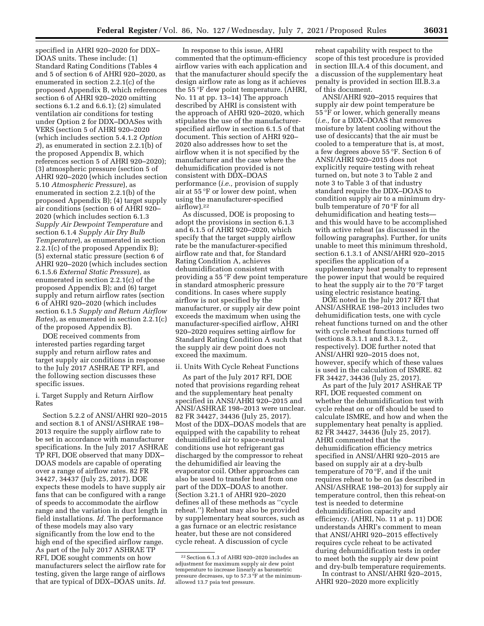specified in AHRI 920–2020 for DDX– DOAS units. These include: (1) Standard Rating Conditions (Tables 4 and 5 of section 6 of AHRI 920–2020, as enumerated in section 2.2.1(c) of the proposed Appendix B, which references section 6 of AHRI 920–2020 omitting sections 6.1.2 and 6.6.1); (2) simulated ventilation air conditions for testing under Option 2 for DDX–DOASes with VERS (section 5 of AHRI 920–2020 (which includes section 5.4.1.2 *Option 2*), as enumerated in section 2.2.1(b) of the proposed Appendix B, which references section 5 of AHRI 920–2020); (3) atmospheric pressure (section 5 of AHRI 920–2020 (which includes section 5.10 *Atmospheric Pressure*), as enumerated in section 2.2.1(b) of the proposed Appendix B); (4) target supply air conditions (section 6 of AHRI 920– 2020 (which includes section 6.1.3 *Supply Air Dewpoint Temperature* and section 6.1.4 *Supply Air Dry Bulb Temperature*), as enumerated in section 2.2.1(c) of the proposed Appendix B); (5) external static pressure (section 6 of AHRI 920–2020 (which includes section 6.1.5.6 *External Static Pressure*), as enumerated in section 2.2.1(c) of the proposed Appendix B); and (6) target supply and return airflow rates (section 6 of AHRI 920–2020 (which includes section 6.1.5 *Supply and Return Airflow Rates*), as enumerated in section 2.2.1(c) of the proposed Appendix B).

DOE received comments from interested parties regarding target supply and return airflow rates and target supply air conditions in response to the July 2017 ASHRAE TP RFI, and the following section discusses these specific issues.

# i. Target Supply and Return Airflow Rates

Section 5.2.2 of ANSI/AHRI 920–2015 and section 8.1 of ANSI/ASHRAE 198– 2013 require the supply airflow rate to be set in accordance with manufacturer specifications. In the July 2017 ASHRAE TP RFI, DOE observed that many DDX– DOAS models are capable of operating over a range of airflow rates. 82 FR 34427, 34437 (July 25, 2017). DOE expects these models to have supply air fans that can be configured with a range of speeds to accommodate the airflow range and the variation in duct length in field installations. *Id.* The performance of these models may also vary significantly from the low end to the high end of the specified airflow range. As part of the July 2017 ASHRAE TP RFI, DOE sought comments on how manufacturers select the airflow rate for testing, given the large range of airflows that are typical of DDX–DOAS units. *Id.* 

In response to this issue, AHRI commented that the optimum-efficiency airflow varies with each application and that the manufacturer should specify the design airflow rate as long as it achieves the 55 °F dew point temperature. (AHRI, No. 11 at pp. 13–14) The approach described by AHRI is consistent with the approach of AHRI 920–2020, which stipulates the use of the manufacturerspecified airflow in section 6.1.5 of that document. This section of AHRI 920– 2020 also addresses how to set the airflow when it is not specified by the manufacturer and the case where the dehumidification provided is not consistent with DDX–DOAS performance (*i.e.,* provision of supply air at 55 °F or lower dew point, when using the manufacturer-specified airflow).22

As discussed, DOE is proposing to adopt the provisions in section 6.1.3 and 6.1.5 of AHRI 920–2020, which specify that the target supply airflow rate be the manufacturer-specified airflow rate and that, for Standard Rating Condition A, achieves dehumidification consistent with providing a 55 °F dew point temperature in standard atmospheric pressure conditions. In cases where supply airflow is not specified by the manufacturer, or supply air dew point exceeds the maximum when using the manufacturer-specified airflow, AHRI 920–2020 requires setting airflow for Standard Rating Condition A such that the supply air dew point does not exceed the maximum.

# ii. Units With Cycle Reheat Functions

As part of the July 2017 RFI, DOE noted that provisions regarding reheat and the supplementary heat penalty specified in ANSI/AHRI 920–2015 and ANSI/ASHRAE 198–2013 were unclear. 82 FR 34427, 34436 (July 25, 2017). Most of the DDX–DOAS models that are equipped with the capability to reheat dehumidified air to space-neutral conditions use hot refrigerant gas discharged by the compressor to reheat the dehumidified air leaving the evaporator coil. Other approaches can also be used to transfer heat from one part of the DDX–DOAS to another. (Section 3.21.1 of AHRI 920–2020 defines all of these methods as ''cycle reheat.'') Reheat may also be provided by supplementary heat sources, such as a gas furnace or an electric resistance heater, but these are not considered cycle reheat. A discussion of cycle

reheat capability with respect to the scope of this test procedure is provided in section III.A.4 of this document, and a discussion of the supplementary heat penalty is provided in section III.B.3.a of this document.

ANSI/AHRI 920–2015 requires that supply air dew point temperature be 55 °F or lower, which generally means (*i.e.,* for a DDX–DOAS that removes moisture by latent cooling without the use of desiccants) that the air must be cooled to a temperature that is, at most, a few degrees above 55 °F. Section 6 of ANSI/AHRI 920–2015 does not explicitly require testing with reheat turned on, but note 3 to Table 2 and note 3 to Table 3 of that industry standard require the DDX–DOAS to condition supply air to a minimum drybulb temperature of 70 °F for all dehumidification and heating tests and this would have to be accomplished with active reheat (as discussed in the following paragraphs). Further, for units unable to meet this minimum threshold, section 6.1.3.1 of ANSI/AHRI 920–2015 specifies the application of a supplementary heat penalty to represent the power input that would be required to heat the supply air to the 70 °F target using electric resistance heating.

DOE noted in the July 2017 RFI that ANSI/ASHRAE 198–2013 includes two dehumidification tests, one with cycle reheat functions turned on and the other with cycle reheat functions turned off (sections 8.3.1.1 and 8.3.1.2, respectively). DOE further noted that ANSI/AHRI 920–2015 does not, however, specify which of these values is used in the calculation of ISMRE. 82 FR 34427, 34436 (July 25, 2017).

As part of the July 2017 ASHRAE TP RFI, DOE requested comment on whether the dehumidification test with cycle reheat on or off should be used to calculate ISMRE, and how and when the supplementary heat penalty is applied. 82 FR 34427, 34436 (July 25, 2017). AHRI commented that the dehumidification efficiency metrics specified in ANSI/AHRI 920–2015 are based on supply air at a dry-bulb temperature of 70 °F, and if the unit requires reheat to be on (as described in ANSI/ASHRAE 198–2013) for supply air temperature control, then this reheat-on test is needed to determine dehumidification capacity and efficiency. (AHRI, No. 11 at p. 11) DOE understands AHRI's comment to mean that ANSI/AHRI 920–2015 effectively requires cycle reheat to be activated during dehumidification tests in order to meet both the supply air dew point and dry-bulb temperature requirements.

In contrast to ANSI/AHRI 920-2015, AHRI 920–2020 more explicitly

<sup>22</sup>Section 6.1.3 of AHRI 920–2020 includes an adjustment for maximum supply air dew point temperature to increase linearly as barometric pressure decreases, up to 57.3  $\,{}^{\circ}\text{F}$  at the minimumallowed 13.7 psia test pressure.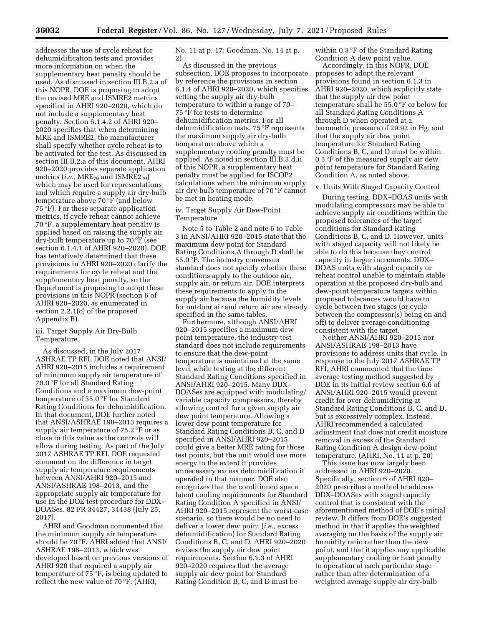addresses the use of cycle reheat for dehumidification tests and provides more information on when the supplementary heat penalty should be used. As discussed in section III.B.2.a of this NOPR, DOE is proposing to adopt the revised MRE and ISMRE2 metrics specified in AHRI 920–2020, which do not include a supplementary heat penalty. Section 6.1.4.2 of AHRI 920– 2020 specifies that when determining MRE and ISMRE2, the manufacturer shall specify whether cycle reheat is to be activated for the test. As discussed in section III.B.2.a of this document, AHRI 920–2020 provides separate application metrics (*i.e.*, MRE<sub>70</sub> and ISMRE2<sub>70</sub>) which may be used for representations and which require a supply air dry-bulb temperature above 70 °F (and below 75 °F). For these separate application metrics, if cycle reheat cannot achieve 70 °F, a supplementary heat penalty is applied based on raising the supply air dry-bulb temperature up to 70 °F (see section 6.1.4.1 of AHRI 920–2020). DOE has tentatively determined that these provisions in AHRI 920–2020 clarify the requirements for cycle reheat and the supplementary heat penalty, so the Department is proposing to adopt these provisions in this NOPR (section 6 of AHRI 920–2020, as enumerated in section 2.2.1(c) of the proposed Appendix B).

### iii. Target Supply Air Dry-Bulb Temperature

As discussed, in the July 2017 ASHRAE TP RFI, DOE noted that ANSI/ AHRI 920–2015 includes a requirement of minimum supply air temperature of 70.0 °F for all Standard Rating Conditions and a maximum dew-point temperature of 55.0 °F for Standard Rating Conditions for dehumidification. In that document, DOE further noted that ANSI/ASHRAE 198–2013 requires a supply air temperature of 75.2 °F or as close to this value as the controls will allow during testing. As part of the July 2017 ASHRAE TP RFI, DOE requested comment on the difference in target supply air temperature requirements between ANSI/AHRI 920–2015 and ANSI/ASHRAE 198–2013, and the appropriate supply air temperature for use in the DOE test procedure for DDX– DOASes. 82 FR 34427, 34438 (July 25, 2017).

AHRI and Goodman commented that the minimum supply air temperature should be 70 °F. AHRI added that ANSI/ ASHRAE 198–2013, which was developed based on previous versions of AHRI 920 that required a supply air temperature of 75 °F, is being updated to reflect the new value of 70 °F. (AHRI,

No. 11 at p. 17; Goodman, No. 14 at p. 2)

As discussed in the previous subsection, DOE proposes to incorporate by reference the provisions in section 6.1.4 of AHRI 920–2020, which specifies setting the supply air dry-bulb temperature to within a range of 70– 75 °F for tests to determine dehumidification metrics. For all dehumidification tests, 75 °F represents the maximum supply air dry-bulb temperature above which a supplementary cooling penalty must be applied. As noted in section III.B.3.d.ii of this NOPR, a supplementary heat penalty must be applied for ISCOP2 calculations when the minimum supply air dry-bulb temperature of 70 °F cannot be met in heating mode.

### iv. Target Supply Air Dew-Point Temperature

Note 5 to Table 2 and note 6 to Table 3 in ANSI/AHRI 920–2015 state that the maximum dew point for Standard Rating Conditions A through D shall be 55.0 °F. The industry consensus standard does not specify whether these conditions apply to the outdoor air, supply air, or return air. DOE interprets these requirements to apply to the supply air because the humidity levels for outdoor air and return air are already specified in the same tables.

Furthermore, although ANSI/AHRI 920–2015 specifies a maximum dew point temperature, the industry test standard does not include requirements to ensure that the dew-point temperature is maintained at the same level while testing at the different Standard Rating Conditions specified in ANSI/AHRI 920–2015. Many DDX– DOASes are equipped with modulating/ variable capacity compressors, thereby allowing control for a given supply air dew point temperature. Allowing a lower dew point temperature for Standard Rating Conditions B, C, and D specified in ANSI/AHRI 920–2015 could give a better MRE rating for those test points, but the unit would use more energy to the extent it provides unnecessary excess dehumidification if operated in that manner. DOE also recognizes that the conditioned space latent cooling requirements for Standard Rating Condition A specified in ANSI/ AHRI 920–2015 represent the worst-case scenario, so there would be no need to deliver a lower dew point (*i.e.,* excess dehumidification) for Standard Rating Conditions B, C, and D. AHRI 920–2020 revises the supply air dew point requirements. Section 6.1.3 of AHRI 920–2020 requires that the average supply air dew point for Standard Rating Condition B, C, and D must be

within 0.3 °F of the Standard Rating Condition A dew point value.

Accordingly, in this NOPR, DOE proposes to adopt the relevant provisions found in section 6.1.3 in AHRI 920–2020, which explicitly state that the supply air dew point temperature shall be 55.0 °F or below for all Standard Rating Conditions A through D when operated at a barometric pressure of 29.92 in Hg, and that the supply air dew point temperature for Standard Rating Conditions B, C, and D must be within 0.3 °F of the measured supply air dew point temperature for Standard Rating Condition A, as noted above.

### v. Units With Staged Capacity Control

During testing, DDX–DOAS units with modulating compressors may be able to achieve supply air conditions within the proposed tolerances of the target conditions for Standard Rating Conditions B, C, and D. However, units with staged capacity will not likely be able to do this because they control capacity in larger increments. DDX– DOAS units with staged capacity or reheat control unable to maintain stable operation at the proposed dry-bulb and dew-point temperature targets within proposed tolerances would have to cycle between two stages (or cycle between the compressor(s) being on and off) to deliver average conditioning consistent with the target.

Neither ANSI/AHRI 920–2015 nor ANSI/ASHRAE 198–2013 have provisions to address units that cycle. In response to the July 2017 ASHRAE TP RFI, AHRI commented that the time average testing method suggested by DOE in its initial review section 6.6 of ANSI/AHRI 920–2015 would prevent credit for over-dehumidifying at Standard Rating Conditions B, C, and D, but is excessively complex. Instead, AHRI recommended a calculated adjustment that does not credit moisture removal in excess of the Standard Rating Condition A design dew-point temperature. (AHRI, No. 11 at p. 20)

This issue has now largely been addressed in AHRI 920–2020. Specifically, section 6 of AHRI 920– 2020 prescribes a method to address DDX–DOASes with staged capacity control that is consistent with the aforementioned method of DOE's initial review. It differs from DOE's suggested method in that it applies the weighted averaging on the basis of the supply air humidity ratio rather than the dew point, and that it applies any applicable supplementary cooling or heat penalty to operation at each particular stage rather than after determination of a weighted average supply air dry-bulb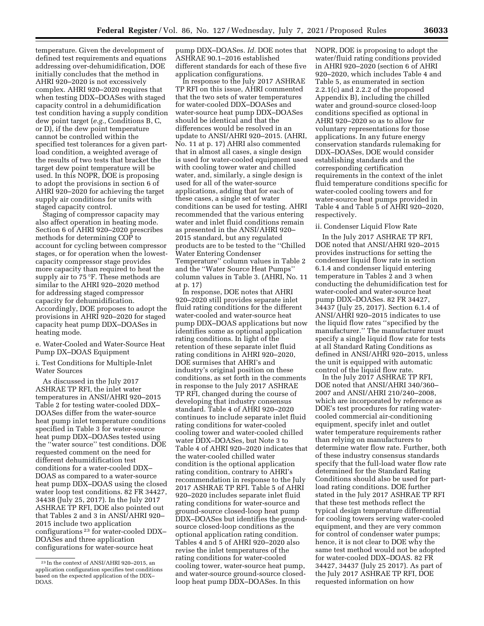temperature. Given the development of defined test requirements and equations addressing over-dehumidification, DOE initially concludes that the method in AHRI 920–2020 is not excessively complex. AHRI 920–2020 requires that when testing DDX–DOASes with staged capacity control in a dehumidification test condition having a supply condition dew point target (*e.g.,* Conditions B, C, or D), if the dew point temperature cannot be controlled within the specified test tolerances for a given partload condition, a weighted average of the results of two tests that bracket the target dew point temperature will be used. In this NOPR, DOE is proposing to adopt the provisions in section 6 of AHRI 920–2020 for achieving the target supply air conditions for units with staged capacity control.

Staging of compressor capacity may also affect operation in heating mode. Section 6 of AHRI 920–2020 prescribes methods for determining COP to account for cycling between compressor stages, or for operation when the lowestcapacity compressor stage provides more capacity than required to heat the supply air to 75 °F. These methods are similar to the AHRI 920–2020 method for addressing staged compressor capacity for dehumidification. Accordingly, DOE proposes to adopt the provisions in AHRI 920–2020 for staged capacity heat pump DDX–DOASes in heating mode.

e. Water-Cooled and Water-Source Heat Pump DX–DOAS Equipment

i. Test Conditions for Multiple-Inlet Water Sources

As discussed in the July 2017 ASHRAE TP RFI, the inlet water temperatures in ANSI/AHRI 920–2015 Table 2 for testing water-cooled DDX– DOASes differ from the water-source heat pump inlet temperature conditions specified in Table 3 for water-source heat pump DDX–DOASes tested using the ''water source'' test conditions. DOE requested comment on the need for different dehumidification test conditions for a water-cooled DDX– DOAS as compared to a water-source heat pump DDX–DOAS using the closed water loop test conditions. 82 FR 34427, 34438 (July 25, 2017). In the July 2017 ASHRAE TP RFI, DOE also pointed out that Tables 2 and 3 in ANSI/AHRI 920– 2015 include two application configurations 23 for water-cooled DDX– DOASes and three application configurations for water-source heat

pump DDX–DOASes. *Id.* DOE notes that ASHRAE 90.1–2016 established different standards for each of these five application configurations.

In response to the July 2017 ASHRAE TP RFI on this issue, AHRI commented that the two sets of water temperatures for water-cooled DDX–DOASes and water-source heat pump DDX–DOASes should be identical and that the differences would be resolved in an update to ANSI/AHRI 920–2015. (AHRI, No. 11 at p. 17) AHRI also commented that in almost all cases, a single design is used for water-cooled equipment used with cooling tower water and chilled water, and, similarly, a single design is used for all of the water-source applications, adding that for each of these cases, a single set of water conditions can be used for testing. AHRI recommended that the various entering water and inlet fluid conditions remain as presented in the ANSI/AHRI 920– 2015 standard, but any regulated products are to be tested to the ''Chilled Water Entering Condenser Temperature'' column values in Table 2 and the ''Water Source Heat Pumps'' column values in Table 3. (AHRI, No. 11 at p. 17)

In response, DOE notes that AHRI 920–2020 still provides separate inlet fluid rating conditions for the different water-cooled and water-source heat pump DDX–DOAS applications but now identifies some as optional application rating conditions. In light of the retention of these separate inlet fluid rating conditions in AHRI 920–2020, DOE surmises that AHRI's and industry's original position on these conditions, as set forth in the comments in response to the July 2017 ASHRAE TP RFI, changed during the course of developing that industry consensus standard. Table 4 of AHRI 920–2020 continues to include separate inlet fluid rating conditions for water-cooled cooling tower and water-cooled chilled water DDX–DOASes, but Note 3 to Table 4 of AHRI 920–2020 indicates that the water-cooled chilled water condition is the optional application rating condition, contrary to AHRI's recommendation in response to the July 2017 ASHRAE TP RFI. Table 5 of AHRI 920–2020 includes separate inlet fluid rating conditions for water-source and ground-source closed-loop heat pump DDX–DOASes but identifies the groundsource closed-loop conditions as the optional application rating condition. Tables 4 and 5 of AHRI 920–2020 also revise the inlet temperatures of the rating conditions for water-cooled cooling tower, water-source heat pump, and water-source ground-source closedloop heat pump DDX–DOASes. In this

NOPR, DOE is proposing to adopt the water/fluid rating conditions provided in AHRI 920–2020 (section 6 of AHRI 920–2020, which includes Table 4 and Table 5, as enumerated in section 2.2.1(c) and 2.2.2 of the proposed Appendix B), including the chilled water and ground-source closed-loop conditions specified as optional in AHRI 920–2020 so as to allow for voluntary representations for those applications. In any future energy conservation standards rulemaking for DDX–DOASes, DOE would consider establishing standards and the corresponding certification requirements in the context of the inlet fluid temperature conditions specific for water-cooled cooling towers and for water-source heat pumps provided in Table 4 and Table 5 of AHRI 920–2020, respectively.

#### ii. Condenser Liquid Flow Rate

In the July 2017 ASHRAE TP RFI, DOE noted that ANSI/AHRI 920–2015 provides instructions for setting the condenser liquid flow rate in section 6.1.4 and condenser liquid entering temperature in Tables 2 and 3 when conducting the dehumidification test for water-cooled and water-source heat pump DDX–DOASes. 82 FR 34427, 34437 (July 25, 2017). Section 6.1.4 of ANSI/AHRI 920–2015 indicates to use the liquid flow rates ''specified by the manufacturer.'' The manufacturer must specify a single liquid flow rate for tests at all Standard Rating Conditions as defined in ANSI/AHRI 920–2015, unless the unit is equipped with automatic control of the liquid flow rate.

In the July 2017 ASHRAE TP RFI, DOE noted that ANSI/AHRI 340/360– 2007 and ANSI/AHRI 210/240–2008, which are incorporated by reference as DOE's test procedures for rating watercooled commercial air-conditioning equipment, specify inlet and outlet water temperature requirements rather than relying on manufacturers to determine water flow rate. Further, both of these industry consensus standards specify that the full-load water flow rate determined for the Standard Rating Conditions should also be used for partload rating conditions. DOE further stated in the July 2017 ASHRAE TP RFI that these test methods reflect the typical design temperature differential for cooling towers serving water-cooled equipment, and they are very common for control of condenser water pumps; hence, it is not clear to DOE why the same test method would not be adopted for water-cooled DDX–DOAS. 82 FR 34427, 34437 (July 25 2017). As part of the July 2017 ASHRAE TP RFI, DOE requested information on how

<sup>23</sup> In the context of ANSI/AHRI 920–2015, an application configuration specifies test conditions based on the expected application of the DDX– DOAS.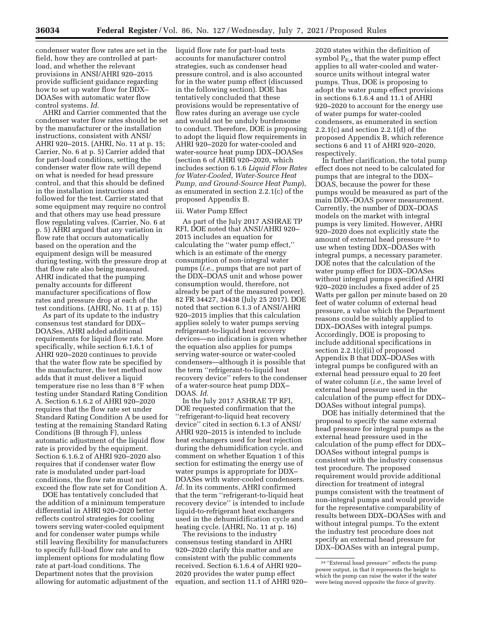condenser water flow rates are set in the field, how they are controlled at partload, and whether the relevant provisions in ANSI/AHRI 920–2015 provide sufficient guidance regarding how to set up water flow for DDX– DOASes with automatic water flow control systems. *Id*.

AHRI and Carrier commented that the condenser water flow rates should be set by the manufacturer or the installation instructions, consistent with ANSI/ AHRI 920–2015. (AHRI, No. 11 at p. 15; Carrier, No. 6 at p. 5) Carrier added that for part-load conditions, setting the condenser water flow rate will depend on what is needed for head pressure control, and that this should be defined in the installation instructions and followed for the test. Carrier stated that some equipment may require no control and that others may use head pressure flow regulating valves. (Carrier, No. 6 at p. 5) AHRI argued that any variation in flow rate that occurs automatically based on the operation and the equipment design will be measured during testing, with the pressure drop at that flow rate also being measured. AHRI indicated that the pumping penalty accounts for different manufacturer specifications of flow rates and pressure drop at each of the test conditions. (AHRI, No. 11 at p. 15)

As part of its update to the industry consensus test standard for DDX– DOASes, AHRI added additional requirements for liquid flow rate. More specifically, while section 6.1.6.1 of AHRI 920–2020 continues to provide that the water flow rate be specified by the manufacturer, the test method now adds that it must deliver a liquid temperature rise no less than 8 °F when testing under Standard Rating Condition A. Section 6.1.6.2 of AHRI 920–2020 requires that the flow rate set under Standard Rating Condition A be used for testing at the remaining Standard Rating Conditions (B through F), unless automatic adjustment of the liquid flow rate is provided by the equipment. Section 6.1.6.2 of AHRI 920–2020 also requires that if condenser water flow rate is modulated under part-load conditions, the flow rate must not exceed the flow rate set for Condition A.

DOE has tentatively concluded that the addition of a minimum temperature differential in AHRI 920–2020 better reflects control strategies for cooling towers serving water-cooled equipment and for condenser water pumps while still leaving flexibility for manufacturers to specify full-load flow rate and to implement options for modulating flow rate at part-load conditions. The Department notes that the provision allowing for automatic adjustment of the liquid flow rate for part-load tests accounts for manufacturer control strategies, such as condenser head pressure control, and is also accounted for in the water pump effect (discussed in the following section). DOE has tentatively concluded that these provisions would be representative of flow rates during an average use cycle and would not be unduly burdensome to conduct. Therefore, DOE is proposing to adopt the liquid flow requirements in AHRI 920–2020 for water-cooled and water-source heat pump DDX–DOASes (section 6 of AHRI 920–2020, which includes section 6.1.6 *Liquid Flow Rates for Water-Cooled, Water-Source Heat Pump, and Ground-Source Heat Pump*), as enumerated in section 2.2.1(c) of the proposed Appendix B.

# iii. Water Pump Effect

As part of the July 2017 ASHRAE TP RFI, DOE noted that ANSI/AHRI 920– 2015 includes an equation for calculating the ''water pump effect,'' which is an estimate of the energy consumption of non-integral water pumps (*i.e.,* pumps that are not part of the DDX–DOAS unit and whose power consumption would, therefore, not already be part of the measured power). 82 FR 34427, 34438 (July 25 2017). DOE noted that section 6.1.3 of ANSI/AHRI 920–2015 implies that this calculation applies solely to water pumps serving refrigerant-to-liquid heat recovery devices—no indication is given whether the equation also applies for pumps serving water-source or water-cooled condensers—although it is possible that the term ''refrigerant-to-liquid heat recovery device'' refers to the condenser of a water-source heat pump DDX– DOAS. *Id*.

In the July 2017 ASHRAE TP RFI, DOE requested confirmation that the ''refrigerant-to-liquid heat recovery device'' cited in section 6.1.3 of ANSI/ AHRI 920–2015 is intended to include heat exchangers used for heat rejection during the dehumidification cycle, and comment on whether Equation 1 of this section for estimating the energy use of water pumps is appropriate for DDX– DOASes with water-cooled condensers. *Id*. In its comments, AHRI confirmed that the term ''refrigerant-to-liquid heat recovery device'' is intended to include liquid-to-refrigerant heat exchangers used in the dehumidification cycle and heating cycle. (AHRI, No. 11 at p. 16)

The revisions to the industry consensus testing standard in AHRI 920–2020 clarify this matter and are consistent with the public comments received. Section 6.1.6.4 of AHRI 920– 2020 provides the water pump effect equation, and section 11.1 of AHRI 920–

2020 states within the definition of symbol  $P_{E,x}$  that the water pump effect applies to all water-cooled and watersource units without integral water pumps. Thus, DOE is proposing to adopt the water pump effect provisions in sections 6.1.6.4 and 11.1 of AHRI 920–2020 to account for the energy use of water pumps for water-cooled condensers, as enumerated in section 2.2.1(c) and section 2.2.1(d) of the proposed Appendix B, which reference sections 6 and 11 of AHRI 920–2020, respectively.

In further clarification, the total pump effect does not need to be calculated for pumps that are integral to the DDX– DOAS, because the power for these pumps would be measured as part of the main DDX–DOAS power measurement. Currently, the number of DDX–DOAS models on the market with integral pumps is very limited. However, AHRI 920–2020 does not explicitly state the amount of external head pressure 24 to use when testing DDX–DOASes with integral pumps, a necessary parameter. DOE notes that the calculation of the water pump effect for DDX–DOASes without integral pumps specified AHRI 920–2020 includes a fixed adder of 25 Watts per gallon per minute based on 20 feet of water column of external head pressure, a value which the Department reasons could be suitably applied to DDX–DOASes with integral pumps. Accordingly, DOE is proposing to include additional specifications in section 2.2.1(c)(ii) of proposed Appendix B that DDX–DOASes with integral pumps be configured with an external head pressure equal to 20 feet of water column (*i.e.,* the same level of external head pressure used in the calculation of the pump effect for DDX– DOASes without integral pumps).

DOE has initially determined that the proposal to specify the same external head pressure for integral pumps as the external head pressure used in the calculation of the pump effect for DDX– DOASes without integral pumps is consistent with the industry consensus test procedure. The proposed requirement would provide additional direction for treatment of integral pumps consistent with the treatment of non-integral pumps and would provide for the representative comparability of results between DDX–DOASes with and without integral pumps. To the extent the industry test procedure does not specify an external head pressure for DDX–DOASes with an integral pump,

<sup>24</sup> ''External head pressure'' reflects the pump power output, in that it represents the height to which the pump can raise the water if the water were being moved opposite the force of gravity.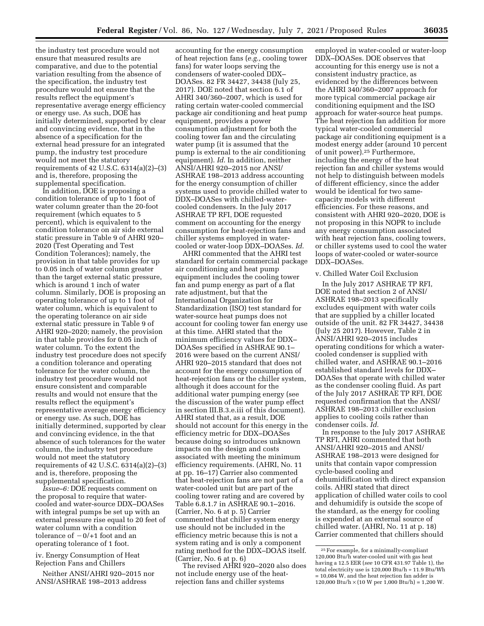the industry test procedure would not ensure that measured results are comparative, and due to the potential variation resulting from the absence of the specification, the industry test procedure would not ensure that the results reflect the equipment's representative average energy efficiency or energy use. As such, DOE has initially determined, supported by clear and convincing evidence, that in the absence of a specification for the external head pressure for an integrated pump, the industry test procedure would not meet the statutory requirements of 42 U.S.C. 6314(a)(2)–(3) and is, therefore, proposing the supplemental specification.

In addition, DOE is proposing a condition tolerance of up to 1 foot of water column greater than the 20-foot requirement (which equates to 5 percent), which is equivalent to the condition tolerance on air side external static pressure in Table 9 of AHRI 920– 2020 (Test Operating and Test Condition Tolerances); namely, the provision in that table provides for up to 0.05 inch of water column greater than the target external static pressure, which is around 1 inch of water column. Similarly, DOE is proposing an operating tolerance of up to 1 foot of water column, which is equivalent to the operating tolerance on air side external static pressure in Table 9 of AHRI 920–2020; namely, the provision in that table provides for 0.05 inch of water column. To the extent the industry test procedure does not specify a condition tolerance and operating tolerance for the water column, the industry test procedure would not ensure consistent and comparable results and would not ensure that the results reflect the equipment's representative average energy efficiency or energy use. As such, DOE has initially determined, supported by clear and convincing evidence, in the that absence of such tolerances for the water column, the industry test procedure would not meet the statutory requirements of 42 U.S.C. 6314(a)(2)–(3) and is, therefore, proposing the supplemental specification.

*Issue–6:* DOE requests comment on the proposal to require that watercooled and water-source DDX–DOASes with integral pumps be set up with an external pressure rise equal to 20 feet of water column with a condition tolerance of  $-0/+1$  foot and an operating tolerance of 1 foot.

iv. Energy Consumption of Heat Rejection Fans and Chillers

Neither ANSI/AHRI 920–2015 nor ANSI/ASHRAE 198–2013 address

accounting for the energy consumption of heat rejection fans (*e.g.,* cooling tower fans) for water loops serving the condensers of water-cooled DDX– DOASes. 82 FR 34427, 34438 (July 25, 2017). DOE noted that section 6.1 of AHRI 340/360–2007, which is used for rating certain water-cooled commercial package air conditioning and heat pump equipment, provides a power consumption adjustment for both the cooling tower fan and the circulating water pump (it is assumed that the pump is external to the air conditioning equipment). *Id*. In addition, neither ANSI/AHRI 920–2015 nor ANSI/ ASHRAE 198–2013 address accounting for the energy consumption of chiller systems used to provide chilled water to DDX–DOASes with chilled-watercooled condensers. In the July 2017 ASHRAE TP RFI, DOE requested comment on accounting for the energy consumption for heat-rejection fans and chiller systems employed in watercooled or water-loop DDX–DOASes. *Id*.

AHRI commented that the AHRI test standard for certain commercial package air conditioning and heat pump equipment includes the cooling tower fan and pump energy as part of a flat rate adjustment, but that the International Organization for Standardization (ISO) test standard for water-source heat pumps does not account for cooling tower fan energy use at this time. AHRI stated that the minimum efficiency values for DDX– DOASes specified in ASHRAE 90.1– 2016 were based on the current ANSI/ AHRI 920–2015 standard that does not account for the energy consumption of heat-rejection fans or the chiller system, although it does account for the additional water pumping energy (see the discussion of the water pump effect in section III.B.3.e.iii of this document). AHRI stated that, as a result, DOE should not account for this energy in the efficiency metric for DDX–DOASes because doing so introduces unknown impacts on the design and costs associated with meeting the minimum efficiency requirements. (AHRI, No. 11 at pp. 16–17) Carrier also commented that heat-rejection fans are not part of a water-cooled unit but are part of the cooling tower rating and are covered by Table 6.8.1.7 in ASHRAE 90.1–2016. (Carrier, No. 6 at p. 5) Carrier commented that chiller system energy use should not be included in the efficiency metric because this is not a system rating and is only a component rating method for the DDX–DOAS itself. (Carrier, No. 6 at p. 6)

The revised AHRI 920–2020 also does not include energy use of the heatrejection fans and chiller systems

employed in water-cooled or water-loop DDX–DOASes. DOE observes that accounting for this energy use is not a consistent industry practice, as evidenced by the differences between the AHRI 340/360–2007 approach for more typical commercial package air conditioning equipment and the ISO approach for water-source heat pumps. The heat rejection fan addition for more typical water-cooled commercial package air conditioning equipment is a modest energy adder (around 10 percent of unit power).25 Furthermore, including the energy of the heat rejection fan and chiller systems would not help to distinguish between models of different efficiency, since the adder would be identical for two samecapacity models with different efficiencies. For these reasons, and consistent with AHRI 920–2020, DOE is not proposing in this NOPR to include any energy consumption associated with heat rejection fans, cooling towers, or chiller systems used to cool the water loops of water-cooled or water-source DDX–DOASes.

### v. Chilled Water Coil Exclusion

In the July 2017 ASHRAE TP RFI, DOE noted that section 2 of ANSI/ ASHRAE 198–2013 specifically excludes equipment with water coils that are supplied by a chiller located outside of the unit. 82 FR 34427, 34438 (July 25 2017). However, Table 2 in ANSI/AHRI 920–2015 includes operating conditions for which a watercooled condenser is supplied with chilled water, and ASHRAE 90.1–2016 established standard levels for DDX– DOASes that operate with chilled water as the condenser cooling fluid. As part of the July 2017 ASHRAE TP RFI, DOE requested confirmation that the ANSI/ ASHRAE 198–2013 chiller exclusion applies to cooling coils rather than condenser coils. *Id.* 

In response to the July 2017 ASHRAE TP RFI, AHRI commented that both ANSI/AHRI 920–2015 and ANSI/ ASHRAE 198–2013 were designed for units that contain vapor compression cycle-based cooling and dehumidification with direct expansion coils. AHRI stated that direct application of chilled water coils to cool and dehumidify is outside the scope of the standard, as the energy for cooling is expended at an external source of chilled water. (AHRI, No. 11 at p. 18) Carrier commented that chillers should

<sup>25</sup>For example, for a minimally-compliant 120,000 Btu/h water-cooled unit with gas heat having a 12.5 EER (*see* 10 CFR 431.97 Table 1), the total electricity use is 120,000 Btu/h ÷ 11.9 Btu/Wh = 10,084 W, and the heat rejection fan adder is 120,000 Btu/h  $\times$  (10 W per 1,000 Btu/h) = 1,200 W.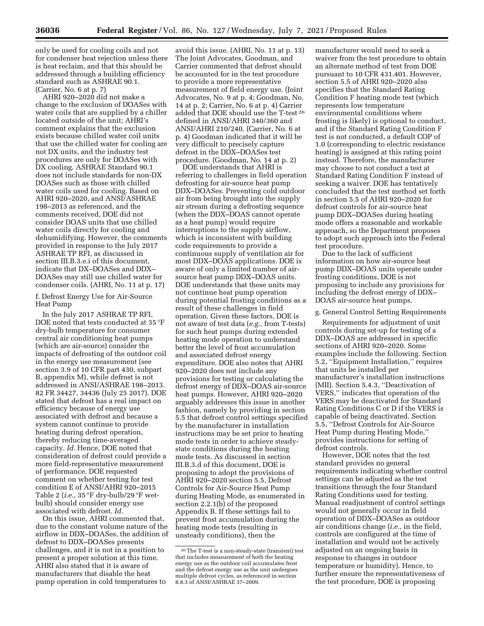only be used for cooling coils and not for condenser heat rejection unless there is heat reclaim, and that this should be addressed through a building efficiency standard such as ASHRAE 90.1. (Carrier, No. 6 at p. 7)

AHRI 920–2020 did not make a change to the exclusion of DOASes with water coils that are supplied by a chiller located outside of the unit; AHRI's comment explains that the exclusion exists because chilled water coil units that use the chilled water for cooling are not DX units, and the industry test procedures are only for DOASes with DX cooling. ASHRAE Standard 90.1 does not include standards for non-DX DOASes such as those with chilled water coils used for cooling. Based on AHRI 920–2020, and ANSI/ASHRAE 198–2013 as referenced, and the comments received, DOE did not consider DOAS units that use chilled water coils directly for cooling and dehumidifying. However, the comments provided in response to the July 2017 ASHRAE TP RFI, as discussed in section III.B.3.e.i of this document, indicate that DX–DOASes and DDX– DOASes may still use chilled water for condenser coils. (AHRI, No. 11 at p. 17)

f. Defrost Energy Use for Air-Source Heat Pump

In the July 2017 ASHRAE TP RFI, DOE noted that tests conducted at 35 °F dry-bulb temperature for consumer central air conditioning heat pumps (which are air-source) consider the impacts of defrosting of the outdoor coil in the energy use measurement (see section 3.9 of 10 CFR part 430, subpart B, appendix M), while defrost is not addressed in ANSI/ASHRAE 198–2013. 82 FR 34427, 34436 (July 25 2017). DOE stated that defrost has a real impact on efficiency because of energy use associated with defrost and because a system cannot continue to provide heating during defrost operation, thereby reducing time-averaged capacity. *Id.* Hence, DOE noted that consideration of defrost could provide a more field-representative measurement of performance. DOE requested comment on whether testing for test condition E of ANSI/AHRI 920–2015 Table 2 (*i.e.,* 35 °F dry-bulb/29 °F wetbulb) should consider energy use associated with defrost. *Id.* 

On this issue, AHRI commented that, due to the constant volume nature of the airflow in DDX–DOASes, the addition of defrost to DDX–DOASes presents challenges, and it is not in a position to present a proper solution at this time. AHRI also stated that it is aware of manufacturers that disable the heat pump operation in cold temperatures to

avoid this issue. (AHRI, No. 11 at p. 13) The Joint Advocates, Goodman, and Carrier commented that defrost should be accounted for in the test procedure to provide a more representative measurement of field energy use. (Joint Advocates, No. 9 at p. 4; Goodman, No. 14 at p. 2; Carrier, No. 6 at p. 4) Carrier added that DOE should use the T-test 26 defined in ANSI/AHRI 340/360 and ANSI/AHRI 210/240. (Carrier, No. 6 at p. 4) Goodman indicated that it will be very difficult to precisely capture defrost in the DDX–DOASes test procedure. (Goodman, No. 14 at p. 2)

DOE understands that AHRI is referring to challenges in field operation defrosting for air-source heat pump DDX–DOASes. Preventing cold outdoor air from being brought into the supply air stream during a defrosting sequence (when the DDX–DOAS cannot operate as a heat pump) would require interruptions to the supply airflow, which is inconsistent with building code requirements to provide a continuous supply of ventilation air for most DDX–DOAS applications. DOE is aware of only a limited number of airsource heat pump DDX–DOAS units. DOE understands that these units may not continue heat pump operation during potential frosting conditions as a result of these challenges in field operation. Given these factors, DOE is not aware of test data (*e.g.,* from T-tests) for such heat pumps during extended heating mode operation to understand better the level of frost accumulation and associated defrost energy expenditure. DOE also notes that AHRI 920–2020 does not include any provisions for testing or calculating the defrost energy of DDX–DOAS air-source heat pumps. However, AHRI 920–2020 arguably addresses this issue in another fashion, namely by providing in section 5.5 that defrost control settings specified by the manufacturer in installation instructions may be set prior to heating mode tests in order to achieve steadystate conditions during the heating mode tests. As discussed in section III.B.3.d of this document, DOE is proposing to adopt the provisions of AHRI 920–2020 section 5.5, Defrost Controls for Air-Source Heat Pump during Heating Mode, as enumerated in section 2.2.1(b) of the proposed Appendix B. If these settings fail to prevent frost accumulation during the heating mode tests (resulting in unsteady conditions), then the

manufacturer would need to seek a waiver from the test procedure to obtain an alternate method of test from DOE pursuant to 10 CFR 431.401. However, section 5.5 of AHRI 920–2020 also specifies that the Standard Rating Condition F heating mode test (which represents low temperature environmental conditions where frosting is likely) is optional to conduct, and if the Standard Rating Condition F test is not conducted, a default COP of 1.0 (corresponding to electric resistance heating) is assigned at this rating point instead. Therefore, the manufacturer may choose to not conduct a test at Standard Rating Condition F instead of seeking a waiver. DOE has tentatively concluded that the test method set forth in section 5.5 of AHRI 920–2020 for defrost controls for air-source heat pump DDX–DOASes during heating mode offers a reasonable and workable approach, so the Department proposes to adopt such approach into the Federal test procedure.

Due to the lack of sufficient information on how air-source heat pump DDX–DOAS units operate under frosting conditions, DOE is not proposing to include any provisions for including the defrost energy of DDX– DOAS air-source heat pumps.

# g. General Control Setting Requirements

Requirements for adjustment of unit controls during set-up for testing of a DDX–DOAS are addressed in specific sections of AHRI 920–2020. Some examples include the following. Section 5.2, ''Equipment Installation,'' requires that units be installed per manufacturer's installation instructions (MII). Section 5.4.3, ''Deactivation of VERS,'' indicates that operation of the VERS may be deactivated for Standard Rating Conditions C or D if the VERS is capable of being deactivated. Section 5.5, ''Defrost Controls for Air-Source Heat Pump during Heating Mode,'' provides instructions for setting of defrost controls.

However, DOE notes that the test standard provides no general requirements indicating whether control settings can be adjusted as the test transitions through the four Standard Rating Conditions used for testing. Manual readjustment of control settings would not generally occur in field operation of DDX–DOASes as outdoor air conditions change (*i.e.,* in the field, controls are configured at the time of installation and would not be actively adjusted on an ongoing basis in response to changes in outdoor temperature or humidity). Hence, to further ensure the representativeness of the test procedure, DOE is proposing

<sup>26</sup>The T-test is a non-steady-state (transient) test that includes measurement of both the heating energy use as the outdoor coil accumulates frost and the defrost energy use as the unit undergoes multiple defrost cycles, as referenced in section 8.8.3 of ANSI/ASHRAE 37–2009.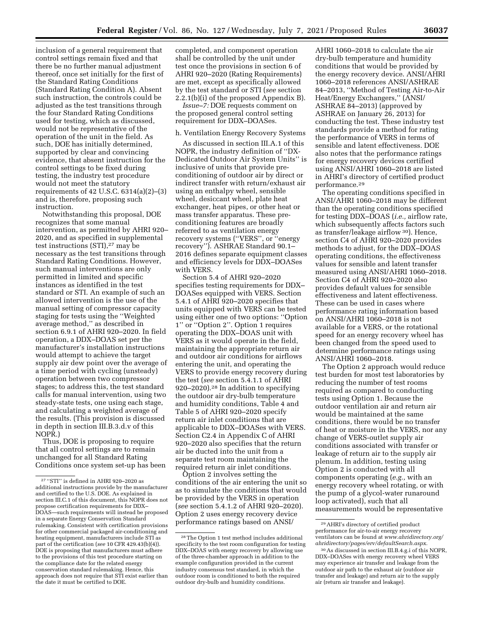inclusion of a general requirement that control settings remain fixed and that there be no further manual adjustment thereof, once set initially for the first of the Standard Rating Conditions (Standard Rating Condition A). Absent such instruction, the controls could be adjusted as the test transitions through the four Standard Rating Conditions used for testing, which as discussed, would not be representative of the operation of the unit in the field. As such, DOE has initially determined, supported by clear and convincing evidence, that absent instruction for the control settings to be fixed during testing, the industry test procedure would not meet the statutory requirements of 42 U.S.C. 6314(a)(2)–(3) and is, therefore, proposing such instruction.

Notwithstanding this proposal, DOE recognizes that some manual intervention, as permitted by AHRI 920– 2020, and as specified in supplemental test instructions (STI),27 may be necessary as the test transitions through Standard Rating Conditions. However, such manual interventions are only permitted in limited and specific instances as identified in the test standard or STI. An example of such an allowed intervention is the use of the manual setting of compressor capacity staging for tests using the ''Weighted average method,'' as described in section 6.9.1 of AHRI 920–2020. In field operation, a DDX–DOAS set per the manufacturer's installation instructions would attempt to achieve the target supply air dew point over the average of a time period with cycling (unsteady) operation between two compressor stages; to address this, the test standard calls for manual intervention, using two steady-state tests, one using each stage, and calculating a weighted average of the results. (This provision is discussed in depth in section III.B.3.d.v of this NOPR.)

Thus, DOE is proposing to require that all control settings are to remain unchanged for all Standard Rating Conditions once system set-up has been

completed, and component operation shall be controlled by the unit under test once the provisions in section 6 of AHRI 920–2020 (Rating Requirements) are met, except as specifically allowed by the test standard or STI (*see* section 2.2.1(b)(i) of the proposed Appendix B).

*Issue–7:* DOE requests comment on the proposed general control setting requirement for DDX–DOASes.

#### h. Ventilation Energy Recovery Systems

As discussed in section III.A.1 of this NOPR, the industry definition of ''DX-Dedicated Outdoor Air System Units'' is inclusive of units that provide preconditioning of outdoor air by direct or indirect transfer with return/exhaust air using an enthalpy wheel, sensible wheel, desiccant wheel, plate heat exchanger, heat pipes, or other heat or mass transfer apparatus. These preconditioning features are broadly referred to as ventilation energy recovery systems (''VERS'', or ''energy recovery''). ASHRAE Standard 90.1– 2016 defines separate equipment classes and efficiency levels for DDX–DOASes with VERS.

Section 5.4 of AHRI 920–2020 specifies testing requirements for DDX– DOASes equipped with VERS. Section 5.4.1 of AHRI 920–2020 specifies that units equipped with VERS can be tested using either one of two options: ''Option 1'' or ''Option 2''. Option 1 requires operating the DDX–DOAS unit with VERS as it would operate in the field, maintaining the appropriate return air and outdoor air conditions for airflows entering the unit, and operating the VERS to provide energy recovery during the test (*see* section 5.4.1.1 of AHRI 920–2020).28 In addition to specifying the outdoor air dry-bulb temperature and humidity conditions, Table 4 and Table 5 of AHRI 920–2020 specify return air inlet conditions that are applicable to DDX–DOASes with VERS. Section C2.4 in Appendix C of AHRI 920–2020 also specifies that the return air be ducted into the unit from a separate test room maintaining the required return air inlet conditions.

Option 2 involves setting the conditions of the air entering the unit so as to simulate the conditions that would be provided by the VERS in operation (*see* section 5.4.1.2 of AHRI 920–2020). Option 2 uses energy recovery device performance ratings based on ANSI/

AHRI 1060–2018 to calculate the air dry-bulb temperature and humidity conditions that would be provided by the energy recovery device. ANSI/AHRI 1060–2018 references ANSI/ASHRAE 84–2013, ''Method of Testing Air-to-Air Heat/Energy Exchangers,'' (ANSI/ ASHRAE 84–2013) (approved by ASHRAE on January 26, 2013) for conducting the test. These industry test standards provide a method for rating the performance of VERS in terms of sensible and latent effectiveness. DOE also notes that the performance ratings for energy recovery devices certified using ANSI/AHRI 1060–2018 are listed in AHRI's directory of certified product performance.29

The operating conditions specified in ANSI/AHRI 1060–2018 may be different than the operating conditions specified for testing DDX–DOAS (*i.e.,* airflow rate, which subsequently affects factors such as transfer/leakage airflow 30). Hence, section C4 of AHRI 920–2020 provides methods to adjust, for the DDX–DOAS operating conditions, the effectiveness values for sensible and latent transfer measured using ANSI/AHRI 1060–2018. Section C4 of AHRI 920–2020 also provides default values for sensible effectiveness and latent effectiveness. These can be used in cases where performance rating information based on ANSI/AHRI 1060–2018 is not available for a VERS, or the rotational speed for an energy recovery wheel has been changed from the speed used to determine performance ratings using ANSI/AHRI 1060–2018.

The Option 2 approach would reduce test burden for most test laboratories by reducing the number of test rooms required as compared to conducting tests using Option 1. Because the outdoor ventilation air and return air would be maintained at the same conditions, there would be no transfer of heat or moisture in the VERS, nor any change of VERS-outlet supply air conditions associated with transfer or leakage of return air to the supply air plenum. In addition, testing using Option 2 is conducted with all components operating (*e.g.,* with an energy recovery wheel rotating, or with the pump of a glycol-water runaround loop activated), such that all measurements would be representative

 $^{27}\,$  ''STI'' is defined in AHRI 920–2020 as additional instructions provide by the manufacturer and certified to the U.S. DOE. As explained in section III.C.1 of this document, this NOPR does not propose certification requirements for DDX– DOAS—such requirements will instead be proposed in a separate Energy Conservation Standard rulemaking. Consistent with certification provisions for other commercial packaged air-conditioning and heating equipment, manufacturers include STI as part of the certification (*see* 10 CFR 429.43(b)(4)). DOE is proposing that manufacturers must adhere to the provisions of this test procedure starting on the compliance date for the related energy conservation standard rulemaking. Hence, this approach does not require that STI exist earlier than the date it must be certified to DOE.

<sup>28</sup>The Option 1 test method includes additional specificity to the test room configuration for testing DDX–DOAS with energy recovery by allowing use of the three-chamber approach in addition to the example configuration provided in the current industry consensus test standard, in which the outdoor room is conditioned to both the required outdoor dry-bulb and humidity conditions.

<sup>29</sup>AHRI's directory of certified product performance for air-to-air energy recovery ventilators can be found at *[www.ahridirectory.org/](http://www.ahridirectory.org/ahridirectory/pages/erv/defaultSearch.aspx)  [ahridirectory/pages/erv/defaultSearch.aspx](http://www.ahridirectory.org/ahridirectory/pages/erv/defaultSearch.aspx)*.

<sup>30</sup>As discussed in section III.B.4.g.i of this NOPR, DDX–DOASes with energy recovery wheel VERS may experience air transfer and leakage from the outdoor air path to the exhaust air (outdoor air transfer and leakage) and return air to the supply air (return air transfer and leakage).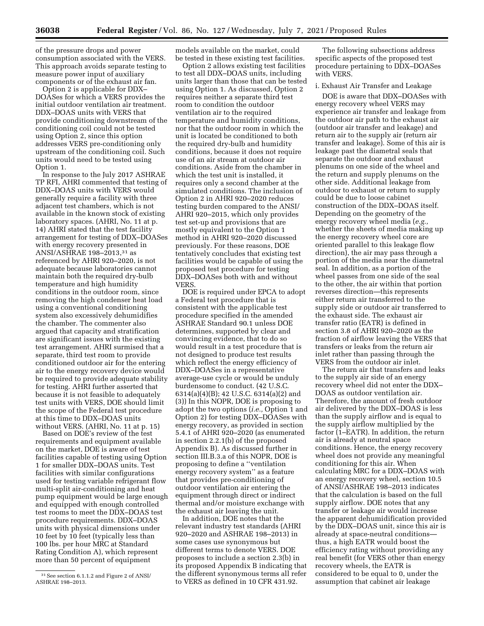of the pressure drops and power consumption associated with the VERS. This approach avoids separate testing to measure power input of auxiliary components or of the exhaust air fan.

Option 2 is applicable for DDX– DOASes for which a VERS provides the initial outdoor ventilation air treatment. DDX–DOAS units with VERS that provide conditioning downstream of the conditioning coil could not be tested using Option 2, since this option addresses VERS pre-conditioning only upstream of the conditioning coil. Such units would need to be tested using Option 1.

In response to the July 2017 ASHRAE TP RFI, AHRI commented that testing of DDX–DOAS units with VERS would generally require a facility with three adjacent test chambers, which is not available in the known stock of existing laboratory spaces. (AHRI, No. 11 at p. 14) AHRI stated that the test facility arrangement for testing of DDX–DOASes with energy recovery presented in ANSI/ASHRAE 198–2013,31 as referenced by AHRI 920–2020, is not adequate because laboratories cannot maintain both the required dry-bulb temperature and high humidity conditions in the outdoor room, since removing the high condenser heat load using a conventional conditioning system also excessively dehumidifies the chamber. The commenter also argued that capacity and stratification are significant issues with the existing test arrangement. AHRI surmised that a separate, third test room to provide conditioned outdoor air for the entering air to the energy recovery device would be required to provide adequate stability for testing. AHRI further asserted that because it is not feasible to adequately test units with VERS, DOE should limit the scope of the Federal test procedure at this time to DDX–DOAS units without VERS. (AHRI, No. 11 at p. 15)

Based on DOE's review of the test requirements and equipment available on the market, DOE is aware of test facilities capable of testing using Option 1 for smaller DDX–DOAS units. Test facilities with similar configurations used for testing variable refrigerant flow multi-split air-conditioning and heat pump equipment would be large enough and equipped with enough controlled test rooms to meet the DDX–DOAS test procedure requirements. DDX–DOAS units with physical dimensions under 10 feet by 10 feet (typically less than 100 lbs. per hour MRC at Standard Rating Condition A), which represent more than 50 percent of equipment

models available on the market, could be tested in these existing test facilities.

Option 2 allows existing test facilities to test all DDX–DOAS units, including units larger than those that can be tested using Option 1. As discussed, Option 2 requires neither a separate third test room to condition the outdoor ventilation air to the required temperature and humidity conditions, nor that the outdoor room in which the unit is located be conditioned to both the required dry-bulb and humidity conditions, because it does not require use of an air stream at outdoor air conditions. Aside from the chamber in which the test unit is installed, it requires only a second chamber at the simulated conditions. The inclusion of Option 2 in AHRI 920–2020 reduces testing burden compared to the ANSI/ AHRI 920–2015, which only provides test set-up and provisions that are mostly equivalent to the Option 1 method in AHRI 920–2020 discussed previously. For these reasons, DOE tentatively concludes that existing test facilities would be capable of using the proposed test procedure for testing DDX–DOASes both with and without VERS.

DOE is required under EPCA to adopt a Federal test procedure that is consistent with the applicable test procedure specified in the amended ASHRAE Standard 90.1 unless DOE determines, supported by clear and convincing evidence, that to do so would result in a test procedure that is not designed to produce test results which reflect the energy efficiency of DDX–DOASes in a representative average-use cycle or would be unduly burdensome to conduct. (42 U.S.C. 6314(a)(4)(B); 42 U.S.C. 6314(a)(2) and (3)) In this NOPR, DOE is proposing to adopt the two options (*i.e.,* Option 1 and Option 2) for testing DDX–DOASes with energy recovery, as provided in section 5.4.1 of AHRI 920–2020 (as enumerated in section 2.2.1(b) of the proposed Appendix B). As discussed further in section III.B.3.a of this NOPR, DOE is proposing to define a ''ventilation energy recovery system'' as a feature that provides pre-conditioning of outdoor ventilation air entering the equipment through direct or indirect thermal and/or moisture exchange with the exhaust air leaving the unit.

In addition, DOE notes that the relevant industry test standards (AHRI 920–2020 and ASHRAE 198–2013) in some cases use synonymous but different terms to denote VERS. DOE proposes to include a section 2.3(b) in its proposed Appendix B indicating that the different synonymous terms all refer to VERS as defined in 10 CFR 431.92.

The following subsections address specific aspects of the proposed test procedure pertaining to DDX–DOASes with VERS.

### i. Exhaust Air Transfer and Leakage

DOE is aware that DDX–DOASes with energy recovery wheel VERS may experience air transfer and leakage from the outdoor air path to the exhaust air (outdoor air transfer and leakage) and return air to the supply air (return air transfer and leakage). Some of this air is leakage past the diametral seals that separate the outdoor and exhaust plenums on one side of the wheel and the return and supply plenums on the other side. Additional leakage from outdoor to exhaust or return to supply could be due to loose cabinet construction of the DDX–DOAS itself. Depending on the geometry of the energy recovery wheel media (*e.g.,*  whether the sheets of media making up the energy recovery wheel core are oriented parallel to this leakage flow direction), the air may pass through a portion of the media near the diametral seal. In addition, as a portion of the wheel passes from one side of the seal to the other, the air within that portion reverses direction—this represents either return air transferred to the supply side or outdoor air transferred to the exhaust side. The exhaust air transfer ratio (EATR) is defined in section 3.8 of AHRI 920–2020 as the fraction of airflow leaving the VERS that transfers or leaks from the return air inlet rather than passing through the VERS from the outdoor air inlet.

The return air that transfers and leaks to the supply air side of an energy recovery wheel did not enter the DDX– DOAS as outdoor ventilation air. Therefore, the amount of fresh outdoor air delivered by the DDX–DOAS is less than the supply airflow and is equal to the supply airflow multiplied by the factor (1–EATR). In addition, the return air is already at neutral space conditions. Hence, the energy recovery wheel does not provide any meaningful conditioning for this air. When calculating MRC for a DDX–DOAS with an energy recovery wheel, section 10.5 of ANSI/ASHRAE 198–2013 indicates that the calculation is based on the full supply airflow. DOE notes that any transfer or leakage air would increase the apparent dehumidification provided by the DDX–DOAS unit, since this air is already at space-neutral conditions thus, a high EATR would boost the efficiency rating without providing any real benefit (for VERS other than energy recovery wheels, the EATR is considered to be equal to 0, under the assumption that cabinet air leakage

<sup>31</sup>See section 6.1.1.2 and Figure 2 of ANSI/ ASHRAE 198–2013.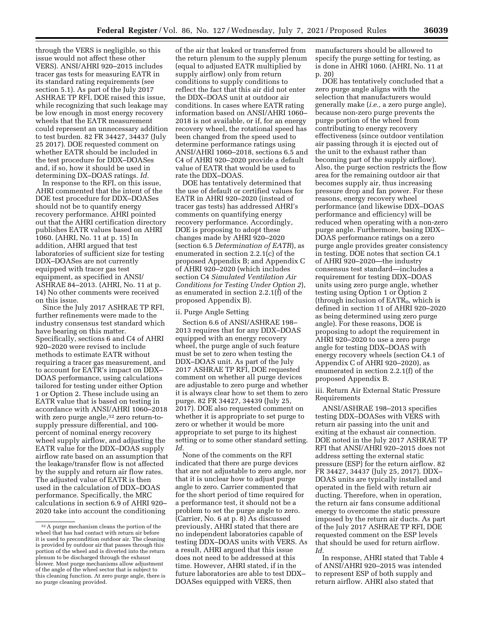through the VERS is negligible, so this issue would not affect these other VERS). ANSI/AHRI 920–2015 includes tracer gas tests for measuring EATR in its standard rating requirements (see section 5.1). As part of the July 2017 ASHRAE TP RFI, DOE raised this issue, while recognizing that such leakage may be low enough in most energy recovery wheels that the EATR measurement could represent an unnecessary addition to test burden. 82 FR 34427, 34437 (July 25 2017). DOE requested comment on whether EATR should be included in the test procedure for DDX–DOASes and, if so, how it should be used in determining DX–DOAS ratings. *Id.* 

In response to the RFI, on this issue, AHRI commented that the intent of the DOE test procedure for DDX–DOASes should not be to quantify energy recovery performance. AHRI pointed out that the AHRI certification directory publishes EATR values based on AHRI 1060. (AHRI, No. 11 at p. 15) In addition, AHRI argued that test laboratories of sufficient size for testing DDX–DOASes are not currently equipped with tracer gas test equipment, as specified in ANSI/ ASHRAE 84–2013. (AHRI, No. 11 at p. 14) No other comments were received on this issue.

Since the July 2017 ASHRAE TP RFI, further refinements were made to the industry consensus test standard which have bearing on this matter. Specifically, sections 6 and C4 of AHRI 920–2020 were revised to include methods to estimate EATR without requiring a tracer gas measurement, and to account for EATR's impact on DDX– DOAS performance, using calculations tailored for testing under either Option 1 or Option 2. These include using an EATR value that is based on testing in accordance with ANSI/AHRI 1060–2018 with zero purge angle,<sup>32</sup> zero return-tosupply pressure differential, and 100 percent of nominal energy recovery wheel supply airflow, and adjusting the EATR value for the DDX–DOAS supply airflow rate based on an assumption that the leakage/transfer flow is not affected by the supply and return air flow rates. The adjusted value of EATR is then used in the calculation of DDX–DOAS performance. Specifically, the MRC calculations in section 6.9 of AHRI 920– 2020 take into account the conditioning

of the air that leaked or transferred from the return plenum to the supply plenum (equal to adjusted EATR multiplied by supply airflow) only from return conditions to supply conditions to reflect the fact that this air did not enter the DDX–DOAS unit at outdoor air conditions. In cases where EATR rating information based on ANSI/AHRI 1060– 2018 is not available, or if, for an energy recovery wheel, the rotational speed has been changed from the speed used to determine performance ratings using ANSI/AHRI 1060–2018, sections 6.5 and C4 of AHRI 920–2020 provide a default value of EATR that would be used to rate the DDX–DOAS.

DOE has tentatively determined that the use of default or certified values for EATR in AHRI 920–2020 (instead of tracer gas tests) has addressed AHRI's comments on quantifying energy recovery performance. Accordingly, DOE is proposing to adopt these changes made by AHRI 920–2020 (section 6.5 *Determination of EATR*), as enumerated in section 2.2.1(c) of the proposed Appendix B; and Appendix C of AHRI 920–2020 (which includes section C4 *Simulated Ventilation Air Conditions for Testing Under Option 2*), as enumerated in section 2.2.1(f) of the proposed Appendix B).

# ii. Purge Angle Setting

Section 6.6 of ANSI/ASHRAE 198– 2013 requires that for any DDX–DOAS equipped with an energy recovery wheel, the purge angle of such feature must be set to zero when testing the DDX–DOAS unit. As part of the July 2017 ASHRAE TP RFI, DOE requested comment on whether all purge devices are adjustable to zero purge and whether it is always clear how to set them to zero purge. 82 FR 34427, 34439 (July 25, 2017). DOE also requested comment on whether it is appropriate to set purge to zero or whether it would be more appropriate to set purge to its highest setting or to some other standard setting. *Id.* 

None of the comments on the RFI indicated that there are purge devices that are not adjustable to zero angle, nor that it is unclear how to adjust purge angle to zero. Carrier commented that for the short period of time required for a performance test, it should not be a problem to set the purge angle to zero. (Carrier, No. 6 at p. 8) As discussed previously, AHRI stated that there are no independent laboratories capable of testing DDX–DOAS units with VERS. As a result, AHRI argued that this issue does not need to be addressed at this time. However, AHRI stated, if in the future laboratories are able to test DDX– DOASes equipped with VERS, then

manufacturers should be allowed to specify the purge setting for testing, as is done in AHRI 1060. (AHRI, No. 11 at p. 20)

DOE has tentatively concluded that a zero purge angle aligns with the selection that manufacturers would generally make (*i.e.,* a zero purge angle), because non-zero purge prevents the purge portion of the wheel from contributing to energy recovery effectiveness (since outdoor ventilation air passing through it is ejected out of the unit to the exhaust rather than becoming part of the supply airflow). Also, the purge section restricts the flow area for the remaining outdoor air that becomes supply air, thus increasing pressure drop and fan power. For these reasons, energy recovery wheel performance (and likewise DDX–DOAS performance and efficiency) will be reduced when operating with a non-zero purge angle. Furthermore, basing DDX– DOAS performance ratings on a zero purge angle provides greater consistency in testing. DOE notes that section C4.1 of AHRI 920–2020—the industry consensus test standard—includes a requirement for testing DDX–DOAS units using zero purge angle, whether testing using Option 1 or Option 2 (through inclusion of  $EATR<sub>0</sub>$ , which is defined in section 11 of AHRI 920–2020 as being determined using zero purge angle). For these reasons, DOE is proposing to adopt the requirement in AHRI 920–2020 to use a zero purge angle for testing DDX–DOAS with energy recovery wheels (section C4.1 of Appendix C of AHRI 920–2020), as enumerated in section 2.2.1(f) of the proposed Appendix B.

iii. Return Air External Static Pressure Requirements

ANSI/ASHRAE 198–2013 specifies testing DDX–DOASes with VERS with return air passing into the unit and exiting at the exhaust air connection. DOE noted in the July 2017 ASHRAE TP RFI that ANSI/AHRI 920–2015 does not address setting the external static pressure (ESP) for the return airflow. 82 FR 34427, 34437 (July 25, 2017). DDX– DOAS units are typically installed and operated in the field with return air ducting. Therefore, when in operation, the return air fans consume additional energy to overcome the static pressure imposed by the return air ducts. As part of the July 2017 ASHRAE TP RFI, DOE requested comment on the ESP levels that should be used for return airflow. *Id.* 

In response, AHRI stated that Table 4 of ANSI/AHRI 920–2015 was intended to represent ESP of both supply and return airflow. AHRI also stated that

<sup>32</sup>A purge mechanism cleans the portion of the wheel that has had contact with return air before it is used to precondition outdoor air. The cleaning is provided by outdoor air that passes through this portion of the wheel and is diverted into the return plenum to be discharged through the exhaust blower. Most purge mechanisms allow adjustment of the angle of the wheel sector that is subject to this cleaning function. At zero purge angle, there is no purge cleaning provided.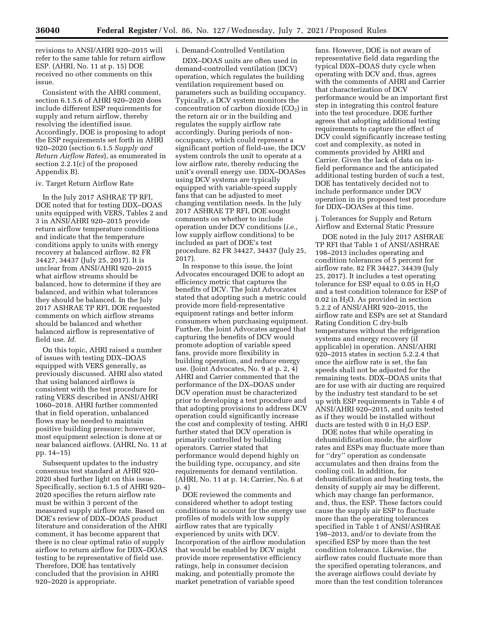revisions to ANSI/AHRI 920–2015 will refer to the same table for return airflow ESP. (AHRI, No. 11 at p. 15) DOE received no other comments on this issue.

Consistent with the AHRI comment, section 6.1.5.6 of AHRI 920–2020 does include different ESP requirements for supply and return airflow, thereby resolving the identified issue. Accordingly, DOE is proposing to adopt the ESP requirements set forth in AHRI 920–2020 (section 6.1.5 *Supply and Return Airflow Rates*), as enumerated in section 2.2.1(c) of the proposed Appendix B).

#### iv. Target Return Airflow Rate

In the July 2017 ASHRAE TP RFI, DOE noted that for testing DDX–DOAS units equipped with VERS, Tables 2 and 3 in ANSI/AHRI 920–2015 provide return airflow temperature conditions and indicate that the temperature conditions apply to units with energy recovery at balanced airflow. 82 FR 34427, 34437 (July 25, 2017). It is unclear from ANSI/AHRI 920–2015 what airflow streams should be balanced, how to determine if they are balanced, and within what tolerances they should be balanced. In the July 2017 ASHRAE TP RFI, DOE requested comments on which airflow streams should be balanced and whether balanced airflow is representative of field use. *Id.* 

On this topic, AHRI raised a number of issues with testing DDX–DOAS equipped with VERS generally, as previously discussed. AHRI also stated that using balanced airflows is consistent with the test procedure for rating VERS described in ANSI/AHRI 1060–2018. AHRI further commented that in field operation, unbalanced flows may be needed to maintain positive building pressure; however, most equipment selection is done at or near balanced airflows. (AHRI, No. 11 at pp. 14–15)

Subsequent updates to the industry consensus test standard at AHRI 920– 2020 shed further light on this issue. Specifically, section 6.1.5 of AHRI 920– 2020 specifies the return airflow rate must be within 3 percent of the measured supply airflow rate. Based on DOE's review of DDX–DOAS product literature and consideration of the AHRI comment, it has become apparent that there is no clear optimal ratio of supply airflow to return airflow for DDX–DOAS testing to be representative of field use. Therefore, DOE has tentatively concluded that the provision in AHRI 920–2020 is appropriate.

### i. Demand-Controlled Ventilation

DDX–DOAS units are often used in demand-controlled ventilation (DCV) operation, which regulates the building ventilation requirement based on parameters such as building occupancy. Typically, a DCV system monitors the concentration of carbon dioxide  $(CO<sub>2</sub>)$  in the return air or in the building and regulates the supply airflow rate accordingly. During periods of nonoccupancy, which could represent a significant portion of field-use, the DCV system controls the unit to operate at a low airflow rate, thereby reducing the unit's overall energy use. DDX–DOASes using DCV systems are typically equipped with variable-speed supply fans that can be adjusted to meet changing ventilation needs. In the July 2017 ASHRAE TP RFI, DOE sought comments on whether to include operation under DCV conditions (*i.e.,*  low supply airflow conditions) to be included as part of DOE's test procedure. 82 FR 34427, 34437 (July 25, 2017).

In response to this issue, the Joint Advocates encouraged DOE to adopt an efficiency metric that captures the benefits of DCV. The Joint Advocates stated that adopting such a metric could provide more field-representative equipment ratings and better inform consumers when purchasing equipment. Further, the Joint Advocates argued that capturing the benefits of DCV would promote adoption of variable speed fans, provide more flexibility in building operation, and reduce energy use. (Joint Advocates, No. 9 at p. 2, 4) AHRI and Carrier commented that the performance of the DX–DOAS under DCV operation must be characterized prior to developing a test procedure and that adopting provisions to address DCV operation could significantly increase the cost and complexity of testing. AHRI further stated that DCV operation is primarily controlled by building operators. Carrier stated that performance would depend highly on the building type, occupancy, and site requirements for demand ventilation. (AHRI, No. 11 at p. 14; Carrier, No. 6 at p. 4)

DOE reviewed the comments and considered whether to adopt testing conditions to account for the energy use profiles of models with low supply airflow rates that are typically experienced by units with DCV. Incorporation of the airflow modulation that would be enabled by DCV might provide more representative efficiency ratings, help in consumer decision making, and potentially promote the market penetration of variable speed

fans. However, DOE is not aware of representative field data regarding the typical DDX–DOAS duty cycle when operating with DCV and, thus, agrees with the comments of AHRI and Carrier that characterization of DCV performance would be an important first step in integrating this control feature into the test procedure. DOE further agrees that adopting additional testing requirements to capture the effect of DCV could significantly increase testing cost and complexity, as noted in comments provided by AHRI and Carrier. Given the lack of data on infield performance and the anticipated additional testing burden of such a test, DOE has tentatively decided not to include performance under DCV operation in its proposed test procedure for DDX–DOASes at this time.

j. Tolerances for Supply and Return Airflow and External Static Pressure

DOE noted in the July 2017 ASHRAE TP RFI that Table 1 of ANSI/ASHRAE 198–2013 includes operating and condition tolerances of 5 percent for airflow rate. 82 FR 34427, 34439 (July 25, 2017). It includes a test operating tolerance for ESP equal to  $0.05$  in  $H<sub>2</sub>O$ and a test condition tolerance for ESP of 0.02 in  $H_2O$ . As provided in section 5.2.2 of ANSI/AHRI 920–2015, the airflow rate and ESPs are set at Standard Rating Condition C dry-bulb temperatures without the refrigeration systems and energy recovery (if applicable) in operation. ANSI/AHRI 920–2015 states in section 5.2.2.4 that once the airflow rate is set, the fan speeds shall not be adjusted for the remaining tests. DDX–DOAS units that are for use with air ducting are required by the industry test standard to be set up with ESP requirements in Table 4 of ANSI/AHRI 920–2015, and units tested as if they would be installed without ducts are tested with 0 in  $H_2O$  ESP.

DOE notes that while operating in dehumidification mode, the airflow rates and ESPs may fluctuate more than for ''dry'' operation as condensate accumulates and then drains from the cooling coil. In addition, for dehumidification and heating tests, the density of supply air may be different, which may change fan performance, and, thus, the ESP. These factors could cause the supply air ESP to fluctuate more than the operating tolerances specified in Table 1 of ANSI/ASHRAE 198–2013, and/or to deviate from the specified ESP by more than the test condition tolerance. Likewise, the airflow rates could fluctuate more than the specified operating tolerances, and the average airflows could deviate by more than the test condition tolerances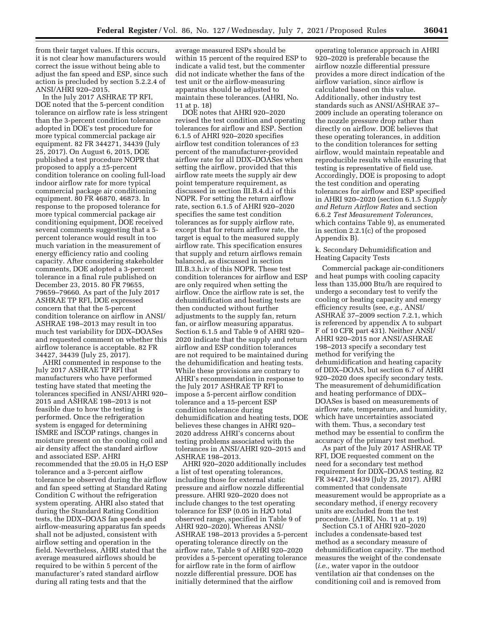from their target values. If this occurs, it is not clear how manufacturers would correct the issue without being able to adjust the fan speed and ESP, since such action is precluded by section 5.2.2.4 of ANSI/AHRI 920–2015.

In the July 2017 ASHRAE TP RFI, DOE noted that the 5-percent condition tolerance on airflow rate is less stringent than the 3-percent condition tolerance adopted in DOE's test procedure for more typical commercial package air equipment. 82 FR 344271, 34439 (July 25, 2017). On August 6, 2015, DOE published a test procedure NOPR that proposed to apply a ±5-percent condition tolerance on cooling full-load indoor airflow rate for more typical commercial package air conditioning equipment. 80 FR 46870, 46873. In response to the proposed tolerance for more typical commercial package air conditioning equipment, DOE received several comments suggesting that a 5 percent tolerance would result in too much variation in the measurement of energy efficiency ratio and cooling capacity. After considering stakeholder comments, DOE adopted a 3-percent tolerance in a final rule published on December 23, 2015. 80 FR 79655, 79659–79660. As part of the July 2017 ASHRAE TP RFI, DOE expressed concern that that the 5-percent condition tolerance on airflow in ANSI/ ASHRAE 198–2013 may result in too much test variability for DDX–DOASes and requested comment on whether this airflow tolerance is acceptable. 82 FR 34427, 34439 (July 25, 2017).

AHRI commented in response to the July 2017 ASHRAE TP RFI that manufacturers who have performed testing have stated that meeting the tolerances specified in ANSI/AHRI 920– 2015 and ASHRAE 198–2013 is not feasible due to how the testing is performed. Once the refrigeration system is engaged for determining ISMRE and ISCOP ratings, changes in moisture present on the cooling coil and air density affect the standard airflow and associated ESP. AHRI recommended that the  $\pm 0.05$  in  $H_2O$  ESP tolerance and a 3-percent airflow tolerance be observed during the airflow and fan speed setting at Standard Rating Condition C without the refrigeration system operating. AHRI also stated that during the Standard Rating Condition tests, the DDX–DOAS fan speeds and airflow-measuring apparatus fan speeds shall not be adjusted, consistent with airflow setting and operation in the field. Nevertheless, AHRI stated that the average measured airflows should be required to be within 5 percent of the manufacturer's rated standard airflow during all rating tests and that the

average measured ESPs should be within 15 percent of the required ESP to indicate a valid test, but the commenter did not indicate whether the fans of the test unit or the airflow-measuring apparatus should be adjusted to maintain these tolerances. (AHRI, No. 11 at p. 18)

DOE notes that AHRI 920–2020 revised the test condition and operating tolerances for airflow and ESP. Section 6.1.5 of AHRI 920–2020 specifies airflow test condition tolerances of ±3 percent of the manufacturer-provided airflow rate for all DDX–DOASes when setting the airflow, provided that this airflow rate meets the supply air dew point temperature requirement, as discussed in section III.B.4.d.i of this NOPR. For setting the return airflow rate, section 6.1.5 of AHRI 920–2020 specifies the same test condition tolerances as for supply airflow rate, except that for return airflow rate, the target is equal to the measured supply airflow rate. This specification ensures that supply and return airflows remain balanced, as discussed in section III.B.3.h.iv of this NOPR. These test condition tolerances for airflow and ESP are only required when setting the airflow. Once the airflow rate is set, the dehumidification and heating tests are then conducted without further adjustments to the supply fan, return fan, or airflow measuring apparatus. Section 6.1.5 and Table 9 of AHRI 920– 2020 indicate that the supply and return airflow and ESP condition tolerances are not required to be maintained during the dehumidification and heating tests. While these provisions are contrary to AHRI's recommendation in response to the July 2017 ASHRAE TP RFI to impose a 5-percent airflow condition tolerance and a 15-percent ESP condition tolerance during dehumidification and heating tests, DOE believes these changes in AHRI 920– 2020 address AHRI's concerns about testing problems associated with the tolerances in ANSI/AHRI 920–2015 and ASHRAE 198–2013.

AHRI 920–2020 additionally includes a list of test operating tolerances, including those for external static pressure and airflow nozzle differential pressure. AHRI 920–2020 does not include changes to the test operating tolerance for ESP (0.05 in H*2*O total observed range, specified in Table 9 of AHRI 920–2020). Whereas ANSI/ ASHRAE 198–2013 provides a 5-percent operating tolerance directly on the airflow rate, Table 9 of AHRI 920–2020 provides a 5-percent operating tolerance for airflow rate in the form of airflow nozzle differential pressure. DOE has initially determined that the airflow

operating tolerance approach in AHRI 920–2020 is preferable because the airflow nozzle differential pressure provides a more direct indication of the airflow variation, since airflow is calculated based on this value. Additionally, other industry test standards such as ANSI/ASHRAE 37– 2009 include an operating tolerance on the nozzle pressure drop rather than directly on airflow. DOE believes that these operating tolerances, in addition to the condition tolerances for setting airflow, would maintain repeatable and reproducible results while ensuring that testing is representative of field use. Accordingly, DOE is proposing to adopt the test condition and operating tolerances for airflow and ESP specified in AHRI 920–2020 (section 6.1.5 *Supply and Return Airflow Rates* and section 6.6.2 *Test Measurement Tolerances*, which contains Table 9), as enumerated in section 2.2.1(c) of the proposed Appendix B).

### k. Secondary Dehumidification and Heating Capacity Tests

Commercial package air-conditioners and heat pumps with cooling capacity less than 135,000 Btu/h are required to undergo a secondary test to verify the cooling or heating capacity and energy efficiency results (see, *e.g.,* ANSI/ ASHRAE 37–2009 section 7.2.1, which is referenced by appendix A to subpart F of 10 CFR part 431). Neither ANSI/ AHRI 920–2015 nor ANSI/ASHRAE 198–2013 specify a secondary test method for verifying the dehumidification and heating capacity of DDX–DOAS, but section 6.7 of AHRI 920–2020 does specify secondary tests. The measurement of dehumidification and heating performance of DDX– DOASes is based on measurements of airflow rate, temperature, and humidity, which have uncertainties associated with them. Thus, a secondary test method may be essential to confirm the accuracy of the primary test method.

As part of the July 2017 ASHRAE TP RFI, DOE requested comment on the need for a secondary test method requirement for DDX–DOAS testing. 82 FR 34427, 34439 (July 25, 2017). AHRI commented that condensate measurement would be appropriate as a secondary method, if energy recovery units are excluded from the test procedure. (AHRI, No. 11 at p. 19)

Section C5.1 of AHRI 920–2020 includes a condensate-based test method as a secondary measure of dehumidification capacity. The method measures the weight of the condensate (*i.e.,* water vapor in the outdoor ventilation air that condenses on the conditioning coil and is removed from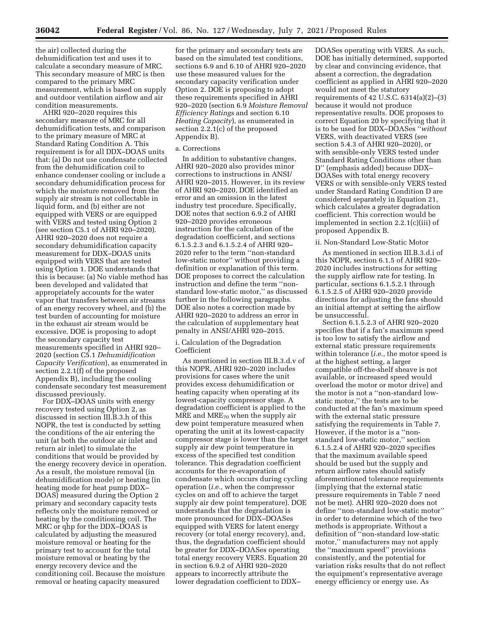the air) collected during the dehumidification test and uses it to calculate a secondary measure of MRC. This secondary measure of MRC is then compared to the primary MRC measurement, which is based on supply and outdoor ventilation airflow and air condition measurements.

AHRI 920–2020 requires this secondary measure of MRC for all dehumidification tests, and comparison to the primary measure of MRC at Standard Rating Condition A. This requirement is for all DDX–DOAS units that: (a) Do not use condensate collected from the dehumidification coil to enhance condenser cooling or include a secondary dehumidification process for which the moisture removed from the supply air stream is not collectable in liquid form, and (b) either are not equipped with VERS or are equipped with VERS and tested using Option 2 (see section C5.1 of AHRI 920–2020). AHRI 920–2020 does not require a secondary dehumidification capacity measurement for DDX–DOAS units equipped with VERS that are tested using Option 1. DOE understands that this is because: (a) No viable method has been developed and validated that appropriately accounts for the water vapor that transfers between air streams of an energy recovery wheel, and (b) the test burden of accounting for moisture in the exhaust air stream would be excessive. DOE is proposing to adopt the secondary capacity test measurements specified in AHRI 920– 2020 (section C5.1 *Dehumidification Capacity Verification*), as enumerated in section 2.2.1(f) of the proposed Appendix B), including the cooling condensate secondary test measurement discussed previously.

For DDX–DOAS units with energy recovery tested using Option 2, as discussed in section III.B.3.h of this NOPR, the test is conducted by setting the conditions of the air entering the unit (at both the outdoor air inlet and return air inlet) to simulate the conditions that would be provided by the energy recovery device in operation. As a result, the moisture removal (in dehumidification mode) or heating (in heating mode for heat pump DDX– DOAS) measured during the Option 2 primary and secondary capacity tests reflects only the moisture removed or heating by the conditioning coil. The MRC or qhp for the DDX–DOAS is calculated by adjusting the measured moisture removal or heating for the primary test to account for the total moisture removal or heating by the energy recovery device and the conditioning coil. Because the moisture removal or heating capacity measured

for the primary and secondary tests are based on the simulated test conditions, sections 6.9 and 6.10 of AHRI 920–2020 use these measured values for the secondary capacity verification under Option 2. DOE is proposing to adopt these requirements specified in AHRI 920–2020 (section 6.9 *Moisture Removal Efficiency Ratings* and section 6.10 *Heating Capacity*), as enumerated in section 2.2.1(c) of the proposed Appendix B).

#### a. Corrections

In addition to substantive changes, AHRI 920–2020 also provides minor corrections to instructions in ANSI/ AHRI 920–2015. However, in its review of AHRI 920–2020, DOE identified an error and an omission in the latest industry test procedure. Specifically, DOE notes that section 6.9.2 of AHRI 920–2020 provides erroneous instruction for the calculation of the degradation coefficient, and sections 6.1.5.2.3 and 6.1.5.2.4 of AHRI 920– 2020 refer to the term ''non-standard low-static motor'' without providing a definition or explanation of this term. DOE proposes to correct the calculation instruction and define the term ''nonstandard low-static motor,'' as discussed further in the following paragraphs. DOE also notes a correction made by AHRI 920–2020 to address an error in the calculation of supplementary heat penalty in ANSI/AHRI 920–2015.

### i. Calculation of the Degradation Coefficient

As mentioned in section III.B.3.d.v of this NOPR, AHRI 920–2020 includes provisions for cases where the unit provides excess dehumidification or heating capacity when operating at its lowest-capacity compressor stage. A degradation coefficient is applied to the MRE and MRE70 when the supply air dew point temperature measured when operating the unit at its lowest-capacity compressor stage is lower than the target supply air dew point temperature in excess of the specified test condition tolerance. This degradation coefficient accounts for the re-evaporation of condensate which occurs during cycling operation (*i.e.,* when the compressor cycles on and off to achieve the target supply air dew point temperature). DOE understands that the degradation is more pronounced for DDX–DOASes equipped with VERS for latent energy recovery (or total energy recovery), and, thus, the degradation coefficient should be greater for DDX–DOASes operating total energy recovery VERS. Equation 20 in section 6.9.2 of AHRI 920–2020 appears to incorrectly attribute the lower degradation coefficient to DDX–

DOASes operating with VERS. As such, DOE has initially determined, supported by clear and convincing evidence, that absent a correction, the degradation coefficient as applied in AHRI 920–2020 would not meet the statutory requirements of 42 U.S.C. 6314(a)(2)–(3) because it would not produce representative results. DOE proposes to correct Equation 20 by specifying that it is to be used for DDX–DOASes ''*without*  VERS, with deactivated VERS (see section 5.4.3 of AHRI 920–2020), or with sensible-only VERS tested under Standard Rating Conditions other than D'' (emphasis added) because DDX– DOASes with total energy recovery VERS or with sensible-only VERS tested under Standard Rating Condition D are considered separately in Equation 21, which calculates a greater degradation coefficient. This correction would be implemented in section 2.2.1(c)(iii) of proposed Appendix B.

#### ii. Non-Standard Low-Static Motor

As mentioned in section III.B.3.d.i of this NOPR, section 6.1.5 of AHRI 920– 2020 includes instructions for setting the supply airflow rate for testing. In particular, sections 6.1.5.2.1 through 6.1.5.2.5 of AHRI 920–2020 provide directions for adjusting the fans should an initial attempt at setting the airflow be unsuccessful.

Section 6.1.5.2.3 of AHRI 920–2020 specifies that if a fan's maximum speed is too low to satisfy the airflow and external static pressure requirements within tolerance (*i.e.,* the motor speed is at the highest setting, a larger compatible off-the-shelf sheave is not available, or increased speed would overload the motor or motor drive) and the motor is not a ''non-standard lowstatic motor,'' the tests are to be conducted at the fan's maximum speed with the external static pressure satisfying the requirements in Table 7. However, if the motor is a ''nonstandard low-static motor,'' section 6.1.5.2.4 of AHRI 920–2020 specifies that the maximum available speed should be used but the supply and return airflow rates should satisfy aforementioned tolerance requirements (implying that the external static pressure requirements in Table 7 need not be met). AHRI 920–2020 does not define ''non-standard low-static motor'' in order to determine which of the two methods is appropriate. Without a definition of ''non-standard low-static motor,'' manufacturers may not apply the ''maximum speed'' provisions consistently, and the potential for variation risks results that do not reflect the equipment's representative average energy efficiency or energy use. As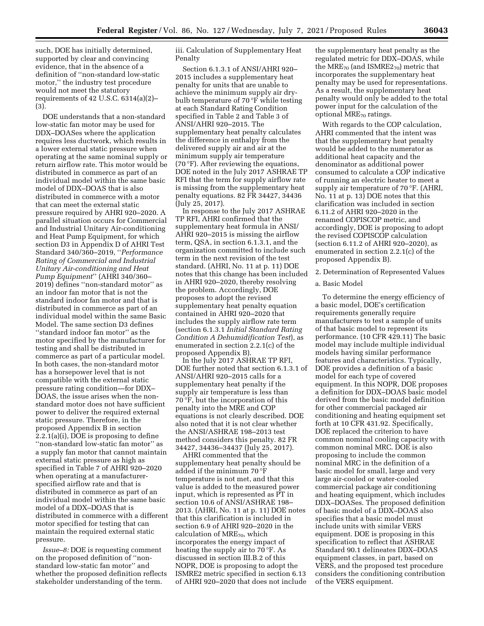such, DOE has initially determined, supported by clear and convincing evidence, that in the absence of a definition of ''non-standard low-static motor,'' the industry test procedure would not meet the statutory requirements of 42 U.S.C. 6314(a)(2)– (3).

DOE understands that a non-standard low-static fan motor may be used for DDX–DOASes where the application requires less ductwork, which results in a lower external static pressure when operating at the same nominal supply or return airflow rate. This motor would be distributed in commerce as part of an individual model within the same basic model of DDX–DOAS that is also distributed in commerce with a motor that can meet the external static pressure required by AHRI 920–2020. A parallel situation occurs for Commercial and Industrial Unitary Air-conditioning and Heat Pump Equipment, for which section D3 in Appendix D of AHRI Test Standard 340/360–2019, ''*Performance Rating of Commercial and Industrial Unitary Air-conditioning and Heat Pump Equipment*'' (AHRI 340/360– 2019) defines ''non-standard motor'' as an indoor fan motor that is not the standard indoor fan motor and that is distributed in commerce as part of an individual model within the same Basic Model. The same section D3 defines ''standard indoor fan motor'' as the motor specified by the manufacturer for testing and shall be distributed in commerce as part of a particular model. In both cases, the non-standard motor has a horsepower level that is not compatible with the external static pressure rating condition—for DDX– DOAS, the issue arises when the nonstandard motor does not have sufficient power to deliver the required external static pressure. Therefore, in the proposed Appendix B in section 2.2.1(a)(i), DOE is proposing to define ''non-standard low-static fan motor'' as a supply fan motor that cannot maintain external static pressure as high as specified in Table 7 of AHRI 920–2020 when operating at a manufacturerspecified airflow rate and that is distributed in commerce as part of an individual model within the same basic model of a DDX–DOAS that is distributed in commerce with a different motor specified for testing that can maintain the required external static pressure.

*Issue–8:* DOE is requesting comment on the proposed definition of ''nonstandard low-static fan motor'' and whether the proposed definition reflects stakeholder understanding of the term.

iii. Calculation of Supplementary Heat Penalty

Section 6.1.3.1 of ANSI/AHRI 920– 2015 includes a supplementary heat penalty for units that are unable to achieve the minimum supply air drybulb temperature of 70 °F while testing at each Standard Rating Condition specified in Table 2 and Table 3 of ANSI/AHRI 920–2015. The supplementary heat penalty calculates the difference in enthalpy from the delivered supply air and air at the minimum supply air temperature (70 °F). After reviewing the equations, DOE noted in the July 2017 ASHRAE TP RFI that the term for supply airflow rate is missing from the supplementary heat penalty equations. 82 FR 34427, 34436 (July 25, 2017).

In response to the July 2017 ASHRAE TP RFI, AHRI confirmed that the supplementary heat formula in ANSI/ AHRI 920–2015 is missing the airflow term, QSA, in section 6.1.3.1, and the organization committed to include such term in the next revision of the test standard. (AHRI, No. 11 at p. 11) DOE notes that this change has been included in AHRI 920–2020, thereby resolving the problem. Accordingly, DOE proposes to adopt the revised supplementary heat penalty equation contained in AHRI 920–2020 that includes the supply airflow rate term (section 6.1.3.1 *Initial Standard Rating Condition A Dehumidification Test*), as enumerated in section 2.2.1(c) of the proposed Appendix B).

In the July 2017 ASHRAE TP RFI, DOE further noted that section 6.1.3.1 of ANSI/AHRI 920–2015 calls for a supplementary heat penalty if the supply air temperature is less than 70 °F, but the incorporation of this penalty into the MRE and COP equations is not clearly described. DOE also noted that it is not clear whether the ANSI/ASHRAE 198–2013 test method considers this penalty. 82 FR 34427, 34436–34437 (July 25, 2017).

AHRI commented that the supplementary heat penalty should be added if the minimum 70 °F temperature is not met, and that this value is added to the measured power input, which is represented as PT in section 10.6 of ANSI/ASHRAE 198– 2013. (AHRI, No. 11 at p. 11) DOE notes that this clarification is included in section 6.9 of AHRI 920–2020 in the calculation of MRE<sub>70</sub>, which incorporates the energy impact of heating the supply air to 70 °F. As discussed in section III.B.2 of this NOPR, DOE is proposing to adopt the ISMRE2 metric specified in section 6.13 of AHRI 920–2020 that does not include

the supplementary heat penalty as the regulated metric for DDX–DOAS, while the MRE<sub>70</sub> (and ISMRE2<sub>70</sub>) metric that incorporates the supplementary heat penalty may be used for representations. As a result, the supplementary heat penalty would only be added to the total power input for the calculation of the optional MRE $_{70}$  ratings.

With regards to the COP calculation, AHRI commented that the intent was that the supplementary heat penalty would be added to the numerator as additional heat capacity and the denominator as additional power consumed to calculate a COP indicative of running an electric heater to meet a supply air temperature of 70 °F. (AHRI, No. 11 at p. 13) DOE notes that this clarification was included in section 6.11.2 of AHRI 920–2020 in the renamed COPISCOP metric, and accordingly, DOE is proposing to adopt the revised COPISCOP calculation (section 6.11.2 of AHRI 920–2020), as enumerated in section 2.2.1(c) of the proposed Appendix B).

2. Determination of Represented Values

a. Basic Model

To determine the energy efficiency of a basic model, DOE's certification requirements generally require manufacturers to test a sample of units of that basic model to represent its performance. (10 CFR 429.11) The basic model may include multiple individual models having similar performance features and characteristics. Typically, DOE provides a definition of a basic model for each type of covered equipment. In this NOPR, DOE proposes a definition for DDX–DOAS basic model derived from the basic model definition for other commercial packaged air conditioning and heating equipment set forth at 10 CFR 431.92. Specifically, DOE replaced the criterion to have common nominal cooling capacity with common nominal MRC. DOE is also proposing to include the common nominal MRC in the definition of a basic model for small, large and very large air-cooled or water-cooled commercial package air conditioning and heating equipment, which includes DDX–DOASes. The proposed definition of basic model of a DDX–DOAS also specifies that a basic model must include units with similar VERS equipment. DOE is proposing in this specification to reflect that ASHRAE Standard 90.1 delineates DDX–DOAS equipment classes, in part, based on VERS, and the proposed test procedure considers the conditioning contribution of the VERS equipment.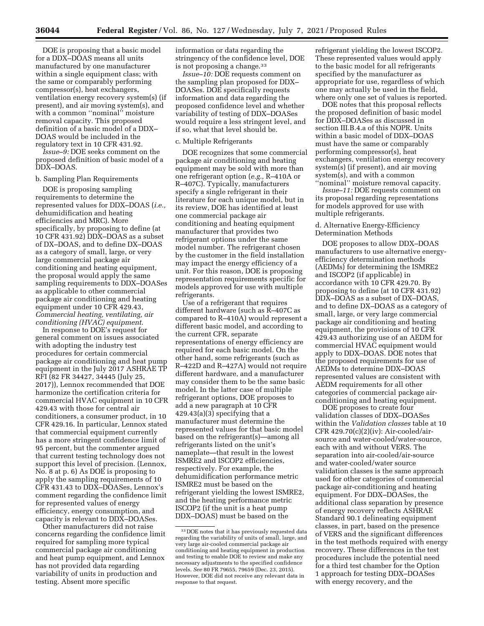DOE is proposing that a basic model for a DDX–DOAS means all units manufactured by one manufacturer within a single equipment class; with the same or comparably performing compressor(s), heat exchangers, ventilation energy recovery system(s) (if present), and air moving system(s), and with a common ''nominal'' moisture removal capacity. This proposed definition of a basic model of a DDX– DOAS would be included in the regulatory text in 10 CFR 431.92.

*Issue–9:* DOE seeks comment on the proposed definition of basic model of a DDX–DOAS.

### b. Sampling Plan Requirements

DOE is proposing sampling requirements to determine the represented values for DDX–DOAS (*i.e.,*  dehumidification and heating efficiencies and MRC). More specifically, by proposing to define (at 10 CFR 431.92) DDX–DOAS as a subset of DX–DOAS, and to define DX–DOAS as a category of small, large, or very large commercial package air conditioning and heating equipment, the proposal would apply the same sampling requirements to DDX–DOASes as applicable to other commercial package air conditioning and heating equipment under 10 CFR 429.43, *Commercial heating, ventilating, air conditioning (HVAC) equipment*.

In response to DOE's request for general comment on issues associated with adopting the industry test procedures for certain commercial package air conditioning and heat pump equipment in the July 2017 ASHRAE TP RFI (82 FR 34427, 34445 (July 25, 2017)), Lennox recommended that DOE harmonize the certification criteria for commercial HVAC equipment in 10 CFR 429.43 with those for central air conditioners, a consumer product, in 10 CFR 429.16. In particular, Lennox stated that commercial equipment currently has a more stringent confidence limit of 95 percent, but the commenter argued that current testing technology does not support this level of precision. (Lennox, No. 8 at p. 6) As DOE is proposing to apply the sampling requirements of 10 CFR 431.43 to DDX–DOASes, Lennox's comment regarding the confidence limit for represented values of energy efficiency, energy consumption, and capacity is relevant to DDX–DOASes.

Other manufacturers did not raise concerns regarding the confidence limit required for sampling more typical commercial package air conditioning and heat pump equipment, and Lennox has not provided data regarding variability of units in production and testing. Absent more specific

information or data regarding the stringency of the confidence level, DOE is not proposing a change.<sup>33</sup>

*Issue–10:* DOE requests comment on the sampling plan proposed for DDX– DOASes. DOE specifically requests information and data regarding the proposed confidence level and whether variability of testing of DDX–DOASes would require a less stringent level, and if so, what that level should be.

#### c. Multiple Refrigerants

DOE recognizes that some commercial package air conditioning and heating equipment may be sold with more than one refrigerant option (*e.g.,* R–410A or R–407C). Typically, manufacturers specify a single refrigerant in their literature for each unique model, but in its review, DOE has identified at least one commercial package air conditioning and heating equipment manufacturer that provides two refrigerant options under the same model number. The refrigerant chosen by the customer in the field installation may impact the energy efficiency of a unit. For this reason, DOE is proposing representation requirements specific for models approved for use with multiple refrigerants.

Use of a refrigerant that requires different hardware (such as R–407C as compared to R–410A) would represent a different basic model, and according to the current CFR, separate representations of energy efficiency are required for each basic model. On the other hand, some refrigerants (such as R–422D and R–427A) would not require different hardware, and a manufacturer may consider them to be the same basic model. In the latter case of multiple refrigerant options, DOE proposes to add a new paragraph at 10 CFR  $429.43(a)(3)$  specifying that a manufacturer must determine the represented values for that basic model based on the refrigerant(s)—among all refrigerants listed on the unit's nameplate—that result in the lowest ISMRE2 and ISCOP2 efficiencies, respectively. For example, the dehumidification performance metric ISMRE2 must be based on the refrigerant yielding the lowest ISMRE2, and the heating performance metric ISCOP2 (if the unit is a heat pump DDX–DOAS) must be based on the

refrigerant yielding the lowest ISCOP2. These represented values would apply to the basic model for all refrigerants specified by the manufacturer as appropriate for use, regardless of which one may actually be used in the field, where only one set of values is reported.

DOE notes that this proposal reflects the proposed definition of basic model for DDX–DOASes as discussed in section III.B.4.a of this NOPR. Units within a basic model of DDX–DOAS must have the same or comparably performing compressor(s), heat exchangers, ventilation energy recovery system(s) (if present), and air moving system(s), and with a common ''nominal'' moisture removal capacity.

*Issue–11:* DOE requests comment on its proposal regarding representations for models approved for use with multiple refrigerants.

### d. Alternative Energy-Efficiency Determination Methods

DOE proposes to allow DDX–DOAS manufacturers to use alternative energyefficiency determination methods (AEDMs) for determining the ISMRE2 and ISCOP2 (if applicable) in accordance with 10 CFR 429.70. By proposing to define (at 10 CFR 431.92) DDX–DOAS as a subset of DX–DOAS, and to define DX–DOAS as a category of small, large, or very large commercial package air conditioning and heating equipment, the provisions of 10 CFR 429.43 authorizing use of an AEDM for commercial HVAC equipment would apply to DDX–DOAS. DOE notes that the proposed requirements for use of AEDMs to determine DDX–DOAS represented values are consistent with AEDM requirements for all other categories of commercial package airconditioning and heating equipment.

DOE proposes to create four validation classes of DDX–DOASes within the *Validation classes* table at 10 CFR  $429.70(c)(2)(iv)$ : Air-cooled/airsource and water-cooled/water-source, each with and without VERS. The separation into air-cooled/air-source and water-cooled/water source validation classes is the same approach used for other categories of commercial package air-conditioning and heating equipment. For DDX–DOASes, the additional class separation by presence of energy recovery reflects ASHRAE Standard 90.1 delineating equipment classes, in part, based on the presence of VERS and the significant differences in the test methods required with energy recovery. These differences in the test procedures include the potential need for a third test chamber for the Option 1 approach for testing DDX–DOASes with energy recovery, and the

<sup>33</sup> DOE notes that it has previously requested data regarding the variability of units of small, large, and very large air-cooled commercial package air conditioning and heating equipment in production and testing to enable DOE to review and make any necessary adjustments to the specified confidence levels. *See* 80 FR 79655, 79659 (Dec. 23, 2015). However, DOE did not receive any relevant data in response to that request.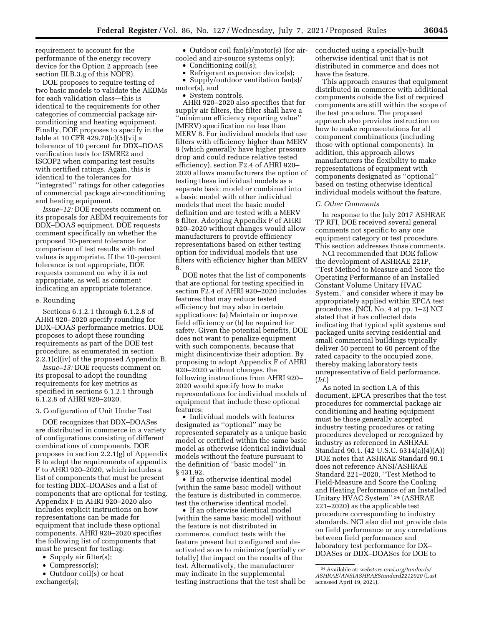requirement to account for the performance of the energy recovery device for the Option 2 approach (see section III.B.3.g of this NOPR).

DOE proposes to require testing of two basic models to validate the AEDMs for each validation class—this is identical to the requirements for other categories of commercial package airconditioning and heating equipment. Finally, DOE proposes to specify in the table at 10 CFR 429.70(c)(5)(vi) a tolerance of 10 percent for DDX–DOAS verification tests for ISMRE2 and ISCOP2 when comparing test results with certified ratings. Again, this is identical to the tolerances for ''integrated'' ratings for other categories of commercial package air-conditioning and heating equipment.

*Issue–12:* DOE requests comment on its proposals for AEDM requirements for DDX–DOAS equipment. DOE requests comment specifically on whether the proposed 10-percent tolerance for comparison of test results with rated values is appropriate. If the 10-percent tolerance is not appropriate, DOE requests comment on why it is not appropriate, as well as comment indicating an appropriate tolerance.

### e. Rounding

Sections 6.1.2.1 through 6.1.2.8 of AHRI 920–2020 specify rounding for DDX–DOAS performance metrics. DOE proposes to adopt these rounding requirements as part of the DOE test procedure, as enumerated in section 2.2.1(c)(iv) of the proposed Appendix B.

*Issue–13:* DOE requests comment on its proposal to adopt the rounding requirements for key metrics as specified in sections 6.1.2.1 through 6.1.2.8 of AHRI 920–2020.

#### 3. Configuration of Unit Under Test

DOE recognizes that DDX–DOASes are distributed in commerce in a variety of configurations consisting of different combinations of components. DOE proposes in section 2.2.1(g) of Appendix B to adopt the requirements of appendix F to AHRI 920–2020, which includes a list of components that must be present for testing DDX–DOASes and a list of components that are optional for testing. Appendix F in AHRI 920–2020 also includes explicit instructions on how representations can be made for equipment that include these optional components. AHRI 920–2020 specifies the following list of components that must be present for testing:

- Supply air filter(s);
- Compressor(s);
- Outdoor coil(s) or heat exchanger(s);

• Outdoor coil fan(s)/motor(s) (for aircooled and air-source systems only);

- Conditioning coil(s);
- Refrigerant expansion device(s); • Supply/outdoor ventilation fan(s)/
- motor(s), and
	- System controls.

AHRI 920–2020 also specifies that for supply air filters, the filter shall have a ''minimum efficiency reporting value'' (MERV) specification no less than MERV 8. For individual models that use filters with efficiency higher than MERV 8 (which generally have higher pressure drop and could reduce relative tested efficiency), section F2.4 of AHRI 920– 2020 allows manufacturers the option of testing these individual models as a separate basic model or combined into a basic model with other individual models that meet the basic model definition and are tested with a MERV 8 filter. Adopting Appendix F of AHRI 920–2020 without changes would allow manufacturers to provide efficiency representations based on either testing option for individual models that use filters with efficiency higher than MERV 8.

DOE notes that the list of components that are optional for testing specified in section F2.4 of AHRI 920–2020 includes features that may reduce tested efficiency but may also in certain applications: (a) Maintain or improve field efficiency or (b) be required for safety. Given the potential benefits, DOE does not want to penalize equipment with such components, because that might disincentivize their adoption. By proposing to adopt Appendix F of AHRI 920–2020 without changes, the following instructions from AHRI 920– 2020 would specify how to make representations for individual models of equipment that include these optional features:

• Individual models with features designated as ''optional'' may be represented separately as a unique basic model or certified within the same basic model as otherwise identical individual models without the feature pursuant to the definition of ''basic model'' in § 431.92.

• If an otherwise identical model (within the same basic model) without the feature is distributed in commerce, test the otherwise identical model.

• If an otherwise identical model (within the same basic model) without the feature is not distributed in commerce, conduct tests with the feature present but configured and deactivated so as to minimize (partially or totally) the impact on the results of the test. Alternatively, the manufacturer may indicate in the supplemental testing instructions that the test shall be conducted using a specially-built otherwise identical unit that is not distributed in commerce and does not have the feature.

This approach ensures that equipment distributed in commerce with additional components outside the list of required components are still within the scope of the test procedure. The proposed approach also provides instruction on how to make representations for all component combinations (including those with optional components). In addition, this approach allows manufacturers the flexibility to make representations of equipment with components designated as ''optional'' based on testing otherwise identical individual models without the feature.

#### *C. Other Comments*

In response to the July 2017 ASHRAE TP RFI, DOE received several general comments not specific to any one equipment category or test procedure. This section addresses those comments.

NCI recommended that DOE follow the development of ASHRAE 221P, ''Test Method to Measure and Score the Operating Performance of an Installed Constant Volume Unitary HVAC System,'' and consider where it may be appropriately applied within EPCA test procedures. (NCI, No. 4 at pp. 1–2) NCI stated that it has collected data indicating that typical split systems and packaged units serving residential and small commercial buildings typically deliver 50 percent to 60 percent of the rated capacity to the occupied zone, thereby making laboratory tests unrepresentative of field performance. (*Id.*)

As noted in section I.A of this document, EPCA prescribes that the test procedures for commercial package air conditioning and heating equipment must be those generally accepted industry testing procedures or rating procedures developed or recognized by industry as referenced in ASHRAE Standard 90.1. (42 U.S.C. 6314(a)(4)(A)) DOE notes that ASHRAE Standard 90.1 does not reference ANSI/ASHRAE Standard 221–2020, ''Test Method to Field-Measure and Score the Cooling and Heating Performance of an Installed Unitary HVAC System'' 34 (ASHRAE 221–2020) as the applicable test procedure corresponding to industry standards. NCI also did not provide data on field performance or any correlations between field performance and laboratory test performance for DX– DOASes or DDX–DOASes for DOE to

<sup>34</sup>Available at: *webstore.ansi.org/tandards/ ASHRAE/ANSIASHRAEStandard2212020* (Last accessed April 19, 2021).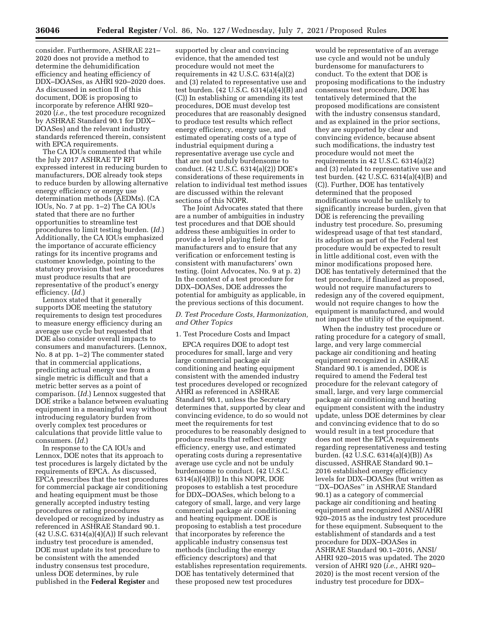consider. Furthermore, ASHRAE 221– 2020 does not provide a method to determine the dehumidification efficiency and heating efficiency of DDX–DOASes, as AHRI 920–2020 does. As discussed in section II of this document, DOE is proposing to incorporate by reference AHRI 920– 2020 (*i.e.,* the test procedure recognized by ASHRAE Standard 90.1 for DDX– DOASes) and the relevant industry standards referenced therein, consistent with EPCA requirements.

The CA IOUs commented that while the July 2017 ASHRAE TP RFI expressed interest in reducing burden to manufacturers, DOE already took steps to reduce burden by allowing alternative energy efficiency or energy use determination methods (AEDMs). (CA IOUs, No. 7 at pp. 1–2) The CA IOUs stated that there are no further opportunities to streamline test procedures to limit testing burden. (*Id.*) Additionally, the CA IOUs emphasized the importance of accurate efficiency ratings for its incentive programs and customer knowledge, pointing to the statutory provision that test procedures must produce results that are representative of the product's energy efficiency. (*Id.*)

Lennox stated that it generally supports DOE meeting the statutory requirements to design test procedures to measure energy efficiency during an average use cycle but requested that DOE also consider overall impacts to consumers and manufacturers. (Lennox, No. 8 at pp. 1–2) The commenter stated that in commercial applications, predicting actual energy use from a single metric is difficult and that a metric better serves as a point of comparison. (*Id.*) Lennox suggested that DOE strike a balance between evaluating equipment in a meaningful way without introducing regulatory burden from overly complex test procedures or calculations that provide little value to consumers. (*Id.*)

In response to the CA IOUs and Lennox, DOE notes that its approach to test procedures is largely dictated by the requirements of EPCA. As discussed, EPCA prescribes that the test procedures for commercial package air conditioning and heating equipment must be those generally accepted industry testing procedures or rating procedures developed or recognized by industry as referenced in ASHRAE Standard 90.1. (42 U.S.C. 6314(a)(4)(A)) If such relevant industry test procedure is amended, DOE must update its test procedure to be consistent with the amended industry consensus test procedure, unless DOE determines, by rule published in the **Federal Register** and

supported by clear and convincing evidence, that the amended test procedure would not meet the requirements in 42 U.S.C. 6314(a)(2) and (3) related to representative use and test burden. (42 U.S.C. 6314(a)(4)(B) and (C)) In establishing or amending its test procedures, DOE must develop test procedures that are reasonably designed to produce test results which reflect energy efficiency, energy use, and estimated operating costs of a type of industrial equipment during a representative average use cycle and that are not unduly burdensome to conduct. (42 U.S.C. 6314(a)(2)) DOE's considerations of these requirements in relation to individual test method issues are discussed within the relevant sections of this NOPR.

The Joint Advocates stated that there are a number of ambiguities in industry test procedures and that DOE should address these ambiguities in order to provide a level playing field for manufacturers and to ensure that any verification or enforcement testing is consistent with manufacturers' own testing. (Joint Advocates, No. 9 at p. 2) In the context of a test procedure for DDX–DOASes, DOE addresses the potential for ambiguity as applicable, in the previous sections of this document.

### *D. Test Procedure Costs, Harmonization, and Other Topics*

# 1. Test Procedure Costs and Impact

EPCA requires DOE to adopt test procedures for small, large and very large commercial package air conditioning and heating equipment consistent with the amended industry test procedures developed or recognized AHRI as referenced in ASHRAE Standard 90.1, unless the Secretary determines that, supported by clear and convincing evidence, to do so would not meet the requirements for test procedures to be reasonably designed to produce results that reflect energy efficiency, energy use, and estimated operating costs during a representative average use cycle and not be unduly burdensome to conduct. (42 U.S.C.  $6314(a)(4)(B)$  In this NOPR, DOE proposes to establish a test procedure for DDX–DOASes, which belong to a category of small, large, and very large commercial package air conditioning and heating equipment. DOE is proposing to establish a test procedure that incorporates by reference the applicable industry consensus test methods (including the energy efficiency descriptors) and that establishes representation requirements. DOE has tentatively determined that these proposed new test procedures

would be representative of an average use cycle and would not be unduly burdensome for manufacturers to conduct. To the extent that DOE is proposing modifications to the industry consensus test procedure, DOE has tentatively determined that the proposed modifications are consistent with the industry consensus standard, and as explained in the prior sections, they are supported by clear and convincing evidence, because absent such modifications, the industry test procedure would not meet the requirements in 42 U.S.C. 6314(a)(2) and (3) related to representative use and test burden. (42 U.S.C. 6314(a)(4)(B) and (C)). Further, DOE has tentatively determined that the proposed modifications would be unlikely to significantly increase burden, given that DOE is referencing the prevailing industry test procedure. So, presuming widespread usage of that test standard, its adoption as part of the Federal test procedure would be expected to result in little additional cost, even with the minor modifications proposed here. DOE has tentatively determined that the test procedure, if finalized as proposed, would not require manufacturers to redesign any of the covered equipment, would not require changes to how the equipment is manufactured, and would not impact the utility of the equipment.

When the industry test procedure or rating procedure for a category of small, large, and very large commercial package air conditioning and heating equipment recognized in ASHRAE Standard 90.1 is amended, DOE is required to amend the Federal test procedure for the relevant category of small, large, and very large commercial package air conditioning and heating equipment consistent with the industry update, unless DOE determines by clear and convincing evidence that to do so would result in a test procedure that does not meet the EPCA requirements regarding representativeness and testing burden.  $(42 \text{ U.S.C. } 6314(a)(4)(B))$  As discussed, ASHRAE Standard 90.1– 2016 established energy efficiency levels for DDX–DOASes (but written as ''DX–DOASes'' in ASHRAE Standard 90.1) as a category of commercial package air conditioning and heating equipment and recognized ANSI/AHRI 920–2015 as the industry test procedure for these equipment. Subsequent to the establishment of standards and a test procedure for DDX–DOASes in ASHRAE Standard 90.1–2016, ANSI/ AHRI 920–2015 was updated. The 2020 version of AHRI 920 (*i.e.,* AHRI 920– 2020) is the most recent version of the industry test procedure for DDX–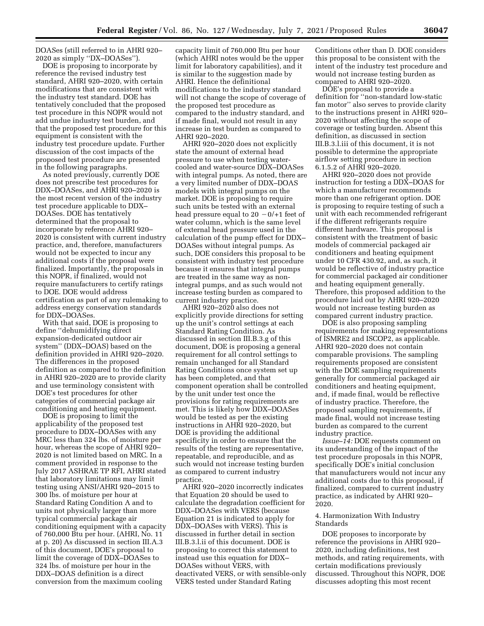DOASes (still referred to in AHRI 920– 2020 as simply ''DX–DOASes'').

DOE is proposing to incorporate by reference the revised industry test standard, AHRI 920–2020, with certain modifications that are consistent with the industry test standard. DOE has tentatively concluded that the proposed test procedure in this NOPR would not add undue industry test burden, and that the proposed test procedure for this equipment is consistent with the industry test procedure update. Further discussion of the cost impacts of the proposed test procedure are presented in the following paragraphs.

As noted previously, currently DOE does not prescribe test procedures for DDX–DOASes, and AHRI 920–2020 is the most recent version of the industry test procedure applicable to DDX– DOASes. DOE has tentatively determined that the proposal to incorporate by reference AHRI 920– 2020 is consistent with current industry practice, and, therefore, manufacturers would not be expected to incur any additional costs if the proposal were finalized. Importantly, the proposals in this NOPR, if finalized, would not require manufacturers to certify ratings to DOE. DOE would address certification as part of any rulemaking to address energy conservation standards for DDX–DOASes.

With that said, DOE is proposing to define ''dehumidifying direct expansion-dedicated outdoor air system'' (DDX–DOAS) based on the definition provided in AHRI 920–2020. The differences in the proposed definition as compared to the definition in AHRI 920–2020 are to provide clarity and use terminology consistent with DOE's test procedures for other categories of commercial package air conditioning and heating equipment.

DOE is proposing to limit the applicability of the proposed test procedure to DDX–DOASes with any MRC less than 324 lbs. of moisture per hour, whereas the scope of AHRI 920– 2020 is not limited based on MRC. In a comment provided in response to the July 2017 ASHRAE TP RFI, AHRI stated that laboratory limitations may limit testing using ANSI/AHRI 920–2015 to 300 lbs. of moisture per hour at Standard Rating Condition A and to units not physically larger than more typical commercial package air conditioning equipment with a capacity of 760,000 Btu per hour. (AHRI, No. 11 at p. 20) As discussed in section III.A.3 of this document, DOE's proposal to limit the coverage of DDX–DOASes to 324 lbs. of moisture per hour in the DDX–DOAS definition is a direct conversion from the maximum cooling

capacity limit of 760,000 Btu per hour (which AHRI notes would be the upper limit for laboratory capabilities), and it is similar to the suggestion made by AHRI. Hence the definitional modifications to the industry standard will not change the scope of coverage of the proposed test procedure as compared to the industry standard, and if made final, would not result in any increase in test burden as compared to AHRI 920–2020.

AHRI 920–2020 does not explicitly state the amount of external head pressure to use when testing watercooled and water-source DDX–DOASes with integral pumps. As noted, there are a very limited number of DDX–DOAS models with integral pumps on the market. DOE is proposing to require such units be tested with an external head pressure equal to  $20 - 0/41$  feet of water column, which is the same level of external head pressure used in the calculation of the pump effect for DDX– DOASes without integral pumps. As such, DOE considers this proposal to be consistent with industry test procedure because it ensures that integral pumps are treated in the same way as nonintegral pumps, and as such would not increase testing burden as compared to current industry practice.

AHRI 920–2020 also does not explicitly provide directions for setting up the unit's control settings at each Standard Rating Condition. As discussed in section III.B.3.g of this document, DOE is proposing a general requirement for all control settings to remain unchanged for all Standard Rating Conditions once system set up has been completed, and that component operation shall be controlled by the unit under test once the provisions for rating requirements are met. This is likely how DDX–DOASes would be tested as per the existing instructions in AHRI 920–2020, but DOE is providing the additional specificity in order to ensure that the results of the testing are representative, repeatable, and reproducible, and as such would not increase testing burden as compared to current industry practice.

AHRI 920–2020 incorrectly indicates that Equation 20 should be used to calculate the degradation coefficient for DDX–DOASes with VERS (because Equation 21 is indicated to apply for DDX–DOASes with VERS). This is discussed in further detail in section III.B.3.l.ii of this document. DOE is proposing to correct this statement to instead use this equation for DDX– DOASes without VERS, with deactivated VERS, or with sensible-only VERS tested under Standard Rating

Conditions other than D. DOE considers this proposal to be consistent with the intent of the industry test procedure and would not increase testing burden as compared to AHRI 920–2020.

DOE's proposal to provide a definition for ''non-standard low-static fan motor'' also serves to provide clarity to the instructions present in AHRI 920– 2020 without affecting the scope of coverage or testing burden. Absent this definition, as discussed in section III.B.3.l.iii of this document, it is not possible to determine the appropriate airflow setting procedure in section 6.1.5.2 of AHRI 920–2020.

AHRI 920–2020 does not provide instruction for testing a DDX–DOAS for which a manufacturer recommends more than one refrigerant option. DOE is proposing to require testing of such a unit with each recommended refrigerant if the different refrigerants require different hardware. This proposal is consistent with the treatment of basic models of commercial packaged air conditioners and heating equipment under 10 CFR 430.92, and, as such, it would be reflective of industry practice for commercial packaged air conditioner and heating equipment generally. Therefore, this proposed addition to the procedure laid out by AHRI 920–2020 would not increase testing burden as compared current industry practice.

DOE is also proposing sampling requirements for making representations of ISMRE2 and ISCOP2, as applicable. AHRI 920–2020 does not contain comparable provisions. The sampling requirements proposed are consistent with the DOE sampling requirements generally for commercial packaged air conditioners and heating equipment, and, if made final, would be reflective of industry practice. Therefore, the proposed sampling requirements, if made final, would not increase testing burden as compared to the current industry practice.

*Issue–14:* DOE requests comment on its understanding of the impact of the test procedure proposals in this NOPR, specifically DOE's initial conclusion that manufacturers would not incur any additional costs due to this proposal, if finalized, compared to current industry practice, as indicated by AHRI 920– 2020.

### 4. Harmonization With Industry Standards

DOE proposes to incorporate by reference the provisions in AHRI 920– 2020, including definitions, test methods, and rating requirements, with certain modifications previously discussed. Throughout this NOPR, DOE discusses adopting this most recent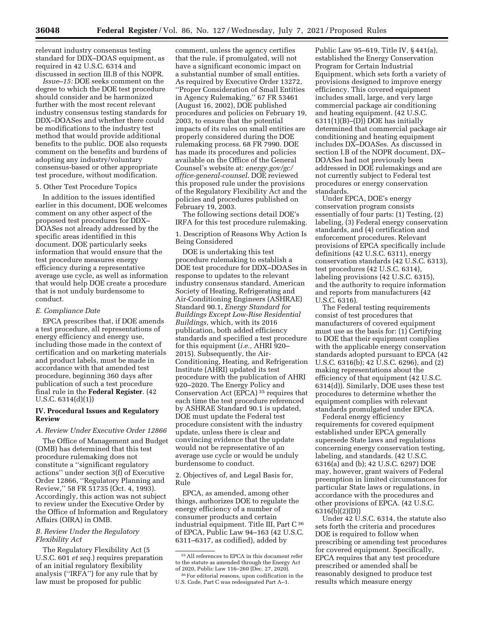relevant industry consensus testing standard for DDX–DOAS equipment, as required in 42 U.S.C. 6314 and

discussed in section III.B of this NOPR. *Issue–15:* DOE seeks comment on the degree to which the DOE test procedure should consider and be harmonized further with the most recent relevant industry consensus testing standards for DDX–DOASes and whether there could be modifications to the industry test method that would provide additional benefits to the public. DOE also requests comment on the benefits and burdens of adopting any industry/voluntary consensus-based or other appropriate test procedure, without modification.

#### 5. Other Test Procedure Topics

In addition to the issues identified earlier in this document, DOE welcomes comment on any other aspect of the proposed test procedures for DDX– DOASes not already addressed by the specific areas identified in this document. DOE particularly seeks information that would ensure that the test procedure measures energy efficiency during a representative average use cycle, as well as information that would help DOE create a procedure that is not unduly burdensome to conduct.

#### *E. Compliance Date*

EPCA prescribes that, if DOE amends a test procedure, all representations of energy efficiency and energy use, including those made in the context of certification and on marketing materials and product labels, must be made in accordance with that amended test procedure, beginning 360 days after publication of such a test procedure final rule in the **Federal Register**. (42 U.S.C. 6314(d)(1))

### **IV. Procedural Issues and Regulatory Review**

# *A. Review Under Executive Order 12866*

The Office of Management and Budget (OMB) has determined that this test procedure rulemaking does not constitute a ''significant regulatory actions'' under section 3(f) of Executive Order 12866, ''Regulatory Planning and Review,'' 58 FR 51735 (Oct. 4, 1993). Accordingly, this action was not subject to review under the Executive Order by the Office of Information and Regulatory Affairs (OIRA) in OMB.

### *B. Review Under the Regulatory Flexibility Act*

The Regulatory Flexibility Act (5 U.S.C. 601 *et seq.*) requires preparation of an initial regulatory flexibility analysis (''IRFA'') for any rule that by law must be proposed for public

comment, unless the agency certifies that the rule, if promulgated, will not have a significant economic impact on a substantial number of small entities. As required by Executive Order 13272, ''Proper Consideration of Small Entities in Agency Rulemaking,'' 67 FR 53461 (August 16, 2002), DOE published procedures and policies on February 19, 2003, to ensure that the potential impacts of its rules on small entities are properly considered during the DOE rulemaking process. 68 FR 7990. DOE has made its procedures and policies available on the Office of the General Counsel's website at: *energy.gov/gc/ office-general-counsel*. DOE reviewed this proposed rule under the provisions of the Regulatory Flexibility Act and the policies and procedures published on February 19, 2003.

The following sections detail DOE's IRFA for this test procedure rulemaking.

1. Description of Reasons Why Action Is Being Considered

DOE is undertaking this test procedure rulemaking to establish a DOE test procedure for DDX–DOASes in response to updates to the relevant industry consensus standard, American Society of Heating, Refrigerating and Air-Conditioning Engineers (ASHRAE) Standard 90.1, *Energy Standard for Buildings Except Low-Rise Residential Buildings*, which, with its 2016 publication, both added efficiency standards and specified a test procedure for this equipment (*i.e.,* AHRI 920– 2015). Subsequently, the Air-Conditioning, Heating, and Refrigeration Institute (AHRI) updated its test procedure with the publication of AHRI 920–2020. The Energy Policy and Conservation Act (EPCA) 35 requires that each time the test procedure referenced by ASHRAE Standard 90.1 is updated, DOE must update the Federal test procedure consistent with the industry update, unless there is clear and convincing evidence that the update would not be representative of an average use cycle or would be unduly burdensome to conduct.

2. Objectives of, and Legal Basis for, Rule

EPCA, as amended, among other things, authorizes DOE to regulate the energy efficiency of a number of consumer products and certain industrial equipment. Title III, Part  $C^{36}$ of EPCA, Public Law 94–163 (42 U.S.C. 6311–6317, as codified), added by

Public Law 95–619, Title IV, § 441(a), established the Energy Conservation Program for Certain Industrial Equipment, which sets forth a variety of provisions designed to improve energy efficiency. This covered equipment includes small, large, and very large commercial package air conditioning and heating equipment. (42 U.S.C. 6311(1)(B)–(D)) DOE has initially determined that commercial package air conditioning and heating equipment includes DX–DOASes. As discussed in section I.B of the NOPR document, DX– DOASes had not previously been addressed in DOE rulemakings and are not currently subject to Federal test procedures or energy conservation standards.

Under EPCA, DOE's energy conservation program consists essentially of four parts: (1) Testing, (2) labeling, (3) Federal energy conservation standards, and (4) certification and enforcement procedures. Relevant provisions of EPCA specifically include definitions (42 U.S.C. 6311), energy conservation standards (42 U.S.C. 6313), test procedures (42 U.S.C. 6314), labeling provisions (42 U.S.C. 6315), and the authority to require information and reports from manufacturers (42 U.S.C. 6316).

The Federal testing requirements consist of test procedures that manufacturers of covered equipment must use as the basis for: (1) Certifying to DOE that their equipment complies with the applicable energy conservation standards adopted pursuant to EPCA (42 U.S.C. 6316(b); 42 U.S.C. 6296), and (2) making representations about the efficiency of that equipment (42 U.S.C. 6314(d)). Similarly, DOE uses these test procedures to determine whether the equipment complies with relevant standards promulgated under EPCA.

Federal energy efficiency requirements for covered equipment established under EPCA generally supersede State laws and regulations concerning energy conservation testing, labeling, and standards. (42 U.S.C. 6316(a) and (b); 42 U.S.C. 6297) DOE may, however, grant waivers of Federal preemption in limited circumstances for particular State laws or regulations, in accordance with the procedures and other provisions of EPCA. (42 U.S.C. 6316(b)(2)(D))

Under 42 U.S.C. 6314, the statute also sets forth the criteria and procedures DOE is required to follow when prescribing or amending test procedures for covered equipment. Specifically, EPCA requires that any test procedure prescribed or amended shall be reasonably designed to produce test results which measure energy

<sup>35</sup>All references to EPCA in this document refer to the statute as amended through the Energy Act of 2020, Public Law 116–260 (Dec. 27, 2020).

<sup>36</sup>For editorial reasons, upon codification in the U.S. Code, Part C was redesignated Part A–1.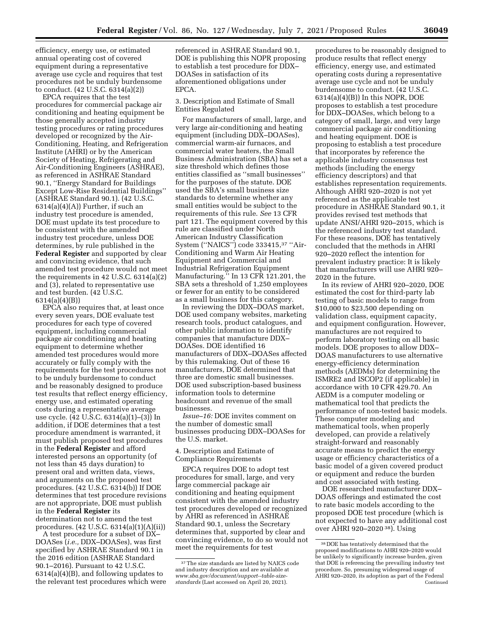efficiency, energy use, or estimated annual operating cost of covered equipment during a representative average use cycle and requires that test procedures not be unduly burdensome to conduct. (42 U.S.C. 6314(a)(2))

EPCA requires that the test procedures for commercial package air conditioning and heating equipment be those generally accepted industry testing procedures or rating procedures developed or recognized by the Air-Conditioning, Heating, and Refrigeration Institute (AHRI) or by the American Society of Heating, Refrigerating and Air-Conditioning Engineers (ASHRAE), as referenced in ASHRAE Standard 90.1, ''Energy Standard for Buildings Except Low-Rise Residential Buildings'' (ASHRAE Standard 90.1). (42 U.S.C.  $6314(a)(4)(A)$  Further, if such an industry test procedure is amended, DOE must update its test procedure to be consistent with the amended industry test procedure, unless DOE determines, by rule published in the **Federal Register** and supported by clear and convincing evidence, that such amended test procedure would not meet the requirements in 42 U.S.C. 6314(a)(2) and (3), related to representative use and test burden. (42 U.S.C. 6314(a)(4)(B))

EPCA also requires that, at least once every seven years, DOE evaluate test procedures for each type of covered equipment, including commercial package air conditioning and heating equipment to determine whether amended test procedures would more accurately or fully comply with the requirements for the test procedures not to be unduly burdensome to conduct and be reasonably designed to produce test results that reflect energy efficiency, energy use, and estimated operating costs during a representative average use cycle. (42 U.S.C. 6314(a)(1)–(3)) In addition, if DOE determines that a test procedure amendment is warranted, it must publish proposed test procedures in the **Federal Register** and afford interested persons an opportunity (of not less than 45 days duration) to present oral and written data, views, and arguments on the proposed test procedures. (42 U.S.C. 6314(b)) If DOE determines that test procedure revisions are not appropriate, DOE must publish in the **Federal Register** its determination not to amend the test procedures. (42 U.S.C. 6314(a)(1)(A)(ii))

A test procedure for a subset of DX– DOASes (*i.e.,* DDX–DOASes), was first specified by ASHRAE Standard 90.1 in the 2016 edition (ASHRAE Standard 90.1–2016). Pursuant to 42 U.S.C. 6314(a)(4)(B), and following updates to the relevant test procedures which were referenced in ASHRAE Standard 90.1, DOE is publishing this NOPR proposing to establish a test procedure for DDX– DOASes in satisfaction of its aforementioned obligations under EPCA.

3. Description and Estimate of Small Entities Regulated

For manufacturers of small, large, and very large air-conditioning and heating equipment (including DDX–DOASes), commercial warm-air furnaces, and commercial water heaters, the Small Business Administration (SBA) has set a size threshold which defines those entities classified as ''small businesses'' for the purposes of the statute. DOE used the SBA's small business size standards to determine whether any small entities would be subject to the requirements of this rule. *See* 13 CFR part 121. The equipment covered by this rule are classified under North American Industry Classification System (''NAICS'') code 333415,37 ''Air-Conditioning and Warm Air Heating Equipment and Commercial and Industrial Refrigeration Equipment Manufacturing.'' In 13 CFR 121.201, the SBA sets a threshold of 1,250 employees or fewer for an entity to be considered as a small business for this category.

In reviewing the DDX–DOAS market, DOE used company websites, marketing research tools, product catalogues, and other public information to identify companies that manufacture DDX– DOASes. DOE identified 16 manufacturers of DDX–DOASes affected by this rulemaking. Out of these 16 manufacturers, DOE determined that three are domestic small businesses. DOE used subscription-based business information tools to determine headcount and revenue of the small businesses.

*Issue–16:* DOE invites comment on the number of domestic small businesses producing DDX–DOASes for the U.S. market.

4. Description and Estimate of Compliance Requirements

EPCA requires DOE to adopt test procedures for small, large, and very large commercial package air conditioning and heating equipment consistent with the amended industry test procedures developed or recognized by AHRI as referenced in ASHRAE Standard 90.1, unless the Secretary determines that, supported by clear and convincing evidence, to do so would not meet the requirements for test

procedures to be reasonably designed to produce results that reflect energy efficiency, energy use, and estimated operating costs during a representative average use cycle and not be unduly burdensome to conduct. (42 U.S.C. 6314(a)(4)(B)) In this NOPR, DOE proposes to establish a test procedure for DDX–DOASes, which belong to a category of small, large, and very large commercial package air conditioning and heating equipment. DOE is proposing to establish a test procedure that incorporates by reference the applicable industry consensus test methods (including the energy efficiency descriptors) and that establishes representation requirements. Although AHRI 920–2020 is not yet referenced as the applicable test procedure in ASHRAE Standard 90.1, it provides revised test methods that update ANSI/AHRI 920–2015, which is the referenced industry test standard. For these reasons, DOE has tentatively concluded that the methods in AHRI 920–2020 reflect the intention for prevalent industry practice: It is likely that manufacturers will use AHRI 920– 2020 in the future.

In its review of AHRI 920–2020, DOE estimated the cost for third-party lab testing of basic models to range from \$10,000 to \$23,500 depending on validation class, equipment capacity, and equipment configuration. However, manufactures are not required to perform laboratory testing on all basic models. DOE proposes to allow DDX– DOAS manufacturers to use alternative energy-efficiency determination methods (AEDMs) for determining the ISMRE2 and ISCOP2 (if applicable) in accordance with 10 CFR 429.70. An AEDM is a computer modeling or mathematical tool that predicts the performance of non-tested basic models. These computer modeling and mathematical tools, when properly developed, can provide a relatively straight-forward and reasonably accurate means to predict the energy usage or efficiency characteristics of a basic model of a given covered product or equipment and reduce the burden and cost associated with testing.

DOE researched manufacturer DDX– DOAS offerings and estimated the cost to rate basic models according to the proposed DOE test procedure (which is not expected to have any additional cost over AHRI 920–2020 38). Using

<sup>&</sup>lt;sup>37</sup>The size standards are listed by NAICS code and industry description and are available at *[www.sba.gov/document/support--table-size](http://www.sba.gov/document/support--table-size-standards)[standards](http://www.sba.gov/document/support--table-size-standards)* (Last accessed on April 20, 2021).

<sup>38</sup> DOE has tentatively determined that the proposed modifications to AHRI 920–2020 would be unlikely to significantly increase burden, given that DOE is referencing the prevailing industry test procedure. So, presuming widespread usage of AHRI 920–2020, its adoption as part of the Federal Continued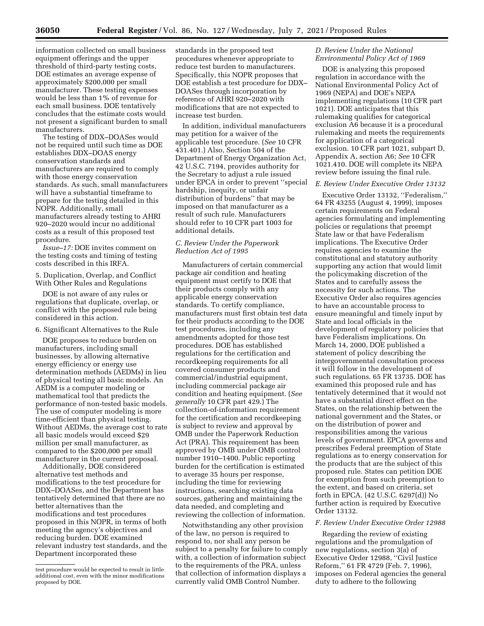information collected on small business equipment offerings and the upper threshold of third-party testing costs, DOE estimates an average expense of approximately \$200,000 per small manufacturer. These testing expenses would be less than 1% of revenue for each small business. DOE tentatively concludes that the estimate costs would not present a significant burden to small manufacturers.

The testing of DDX–DOASes would not be required until such time as DOE establishes DDX–DOAS energy conservation standards and manufacturers are required to comply with those energy conservation standards. As such, small manufacturers will have a substantial timeframe to prepare for the testing detailed in this NOPR. Additionally, small manufacturers already testing to AHRI 920–2020 would incur no additional costs as a result of this proposed test procedure.

*Issue–17:* DOE invites comment on the testing costs and timing of testing costs described in this IRFA.

5. Duplication, Overlap, and Conflict With Other Rules and Regulations

DOE is not aware of any rules or regulations that duplicate, overlap, or conflict with the proposed rule being considered in this action.

6. Significant Alternatives to the Rule

DOE proposes to reduce burden on manufacturers, including small businesses, by allowing alternative energy efficiency or energy use determination methods (AEDMs) in lieu of physical testing all basic models. An AEDM is a computer modeling or mathematical tool that predicts the performance of non-tested basic models. The use of computer modeling is more time-efficient than physical testing. Without AEDMs, the average cost to rate all basic models would exceed \$29 million per small manufacturer, as compared to the \$200,000 per small manufacturer in the current proposal.

Additionally, DOE considered alternative test methods and modifications to the test procedure for DDX–DOASes, and the Department has tentatively determined that there are no better alternatives than the modifications and test procedures proposed in this NOPR, in terms of both meeting the agency's objectives and reducing burden. DOE examined relevant industry test standards, and the Department incorporated these

standards in the proposed test procedures whenever appropriate to reduce test burden to manufacturers. Specifically, this NOPR proposes that DOE establish a test procedure for DDX– DOASes through incorporation by reference of AHRI 920–2020 with modifications that are not expected to increase test burden.

In addition, individual manufacturers may petition for a waiver of the applicable test procedure. (*See* 10 CFR 431.401.) Also, Section 504 of the Department of Energy Organization Act, 42 U.S.C. 7194, provides authority for the Secretary to adjust a rule issued under EPCA in order to prevent ''special hardship, inequity, or unfair distribution of burdens'' that may be imposed on that manufacturer as a result of such rule. Manufacturers should refer to 10 CFR part 1003 for additional details.

### *C. Review Under the Paperwork Reduction Act of 1995*

Manufacturers of certain commercial package air condition and heating equipment must certify to DOE that their products comply with any applicable energy conservation standards. To certify compliance, manufacturers must first obtain test data for their products according to the DOE test procedures, including any amendments adopted for those test procedures. DOE has established regulations for the certification and recordkeeping requirements for all covered consumer products and commercial/industrial equipment, including commercial package air condition and heating equipment. (*See generally* 10 CFR part 429.) The collection-of-information requirement for the certification and recordkeeping is subject to review and approval by OMB under the Paperwork Reduction Act (PRA). This requirement has been approved by OMB under OMB control number 1910–1400. Public reporting burden for the certification is estimated to average 35 hours per response, including the time for reviewing instructions, searching existing data sources, gathering and maintaining the data needed, and completing and reviewing the collection of information.

Notwithstanding any other provision of the law, no person is required to respond to, nor shall any person be subject to a penalty for failure to comply with, a collection of information subject to the requirements of the PRA, unless that collection of information displays a currently valid OMB Control Number.

### *D. Review Under the National Environmental Policy Act of 1969*

DOE is analyzing this proposed regulation in accordance with the National Environmental Policy Act of 1969 (NEPA) and DOE's NEPA implementing regulations (10 CFR part 1021). DOE anticipates that this rulemaking qualifies for categorical exclusion A6 because it is a procedural rulemaking and meets the requirements for application of a categorical exclusion. 10 CFR part 1021, subpart D, Appendix A, section A6; *See* 10 CFR 1021.410. DOE will complete its NEPA review before issuing the final rule.

### *E. Review Under Executive Order 13132*

Executive Order 13132, ''Federalism,'' 64 FR 43255 (August 4, 1999), imposes certain requirements on Federal agencies formulating and implementing policies or regulations that preempt State law or that have Federalism implications. The Executive Order requires agencies to examine the constitutional and statutory authority supporting any action that would limit the policymaking discretion of the States and to carefully assess the necessity for such actions. The Executive Order also requires agencies to have an accountable process to ensure meaningful and timely input by State and local officials in the development of regulatory policies that have Federalism implications. On March 14, 2000, DOE published a statement of policy describing the intergovernmental consultation process it will follow in the development of such regulations. 65 FR 13735. DOE has examined this proposed rule and has tentatively determined that it would not have a substantial direct effect on the States, on the relationship between the national government and the States, or on the distribution of power and responsibilities among the various levels of government. EPCA governs and prescribes Federal preemption of State regulations as to energy conservation for the products that are the subject of this proposed rule. States can petition DOE for exemption from such preemption to the extent, and based on criteria, set forth in EPCA. (42 U.S.C. 6297(d)) No further action is required by Executive Order 13132.

# *F. Review Under Executive Order 12988*

Regarding the review of existing regulations and the promulgation of new regulations, section 3(a) of Executive Order 12988, ''Civil Justice Reform,'' 61 FR 4729 (Feb. 7, 1996), imposes on Federal agencies the general duty to adhere to the following

test procedure would be expected to result in little additional cost, even with the minor modifications proposed by DOE.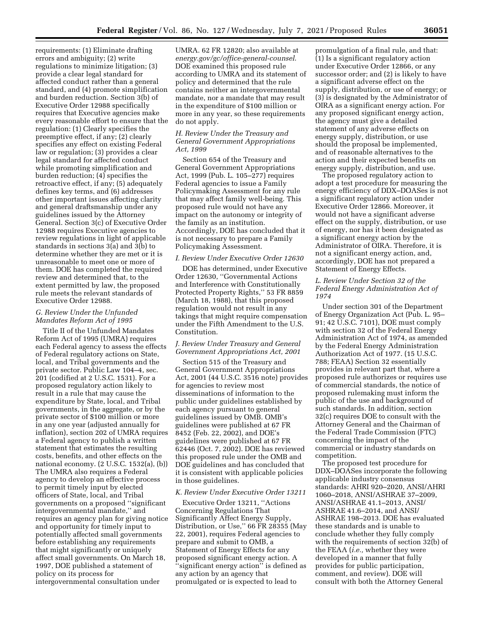requirements: (1) Eliminate drafting errors and ambiguity; (2) write regulations to minimize litigation; (3) provide a clear legal standard for affected conduct rather than a general standard, and (4) promote simplification and burden reduction. Section 3(b) of Executive Order 12988 specifically requires that Executive agencies make every reasonable effort to ensure that the regulation: (1) Clearly specifies the preemptive effect, if any; (2) clearly specifies any effect on existing Federal law or regulation; (3) provides a clear legal standard for affected conduct while promoting simplification and burden reduction; (4) specifies the retroactive effect, if any; (5) adequately defines key terms, and (6) addresses other important issues affecting clarity and general draftsmanship under any guidelines issued by the Attorney General. Section 3(c) of Executive Order 12988 requires Executive agencies to review regulations in light of applicable standards in sections 3(a) and 3(b) to determine whether they are met or it is unreasonable to meet one or more of them. DOE has completed the required review and determined that, to the extent permitted by law, the proposed rule meets the relevant standards of Executive Order 12988.

# *G. Review Under the Unfunded Mandates Reform Act of 1995*

Title II of the Unfunded Mandates Reform Act of 1995 (UMRA) requires each Federal agency to assess the effects of Federal regulatory actions on State, local, and Tribal governments and the private sector. Public Law 104–4, sec. 201 (codified at 2 U.S.C. 1531). For a proposed regulatory action likely to result in a rule that may cause the expenditure by State, local, and Tribal governments, in the aggregate, or by the private sector of \$100 million or more in any one year (adjusted annually for inflation), section 202 of UMRA requires a Federal agency to publish a written statement that estimates the resulting costs, benefits, and other effects on the national economy. (2 U.S.C. 1532(a), (b)) The UMRA also requires a Federal agency to develop an effective process to permit timely input by elected officers of State, local, and Tribal governments on a proposed ''significant intergovernmental mandate,'' and requires an agency plan for giving notice and opportunity for timely input to potentially affected small governments before establishing any requirements that might significantly or uniquely affect small governments. On March 18, 1997, DOE published a statement of policy on its process for intergovernmental consultation under

UMRA. 62 FR 12820; also available at *energy.gov/gc/office-general-counsel*. DOE examined this proposed rule according to UMRA and its statement of policy and determined that the rule contains neither an intergovernmental mandate, nor a mandate that may result in the expenditure of \$100 million or more in any year, so these requirements do not apply.

### *H. Review Under the Treasury and General Government Appropriations Act, 1999*

Section 654 of the Treasury and General Government Appropriations Act, 1999 (Pub. L. 105–277) requires Federal agencies to issue a Family Policymaking Assessment for any rule that may affect family well-being. This proposed rule would not have any impact on the autonomy or integrity of the family as an institution. Accordingly, DOE has concluded that it is not necessary to prepare a Family Policymaking Assessment.

# *I. Review Under Executive Order 12630*

DOE has determined, under Executive Order 12630, ''Governmental Actions and Interference with Constitutionally Protected Property Rights,'' 53 FR 8859 (March 18, 1988), that this proposed regulation would not result in any takings that might require compensation under the Fifth Amendment to the U.S. Constitution.

### *J. Review Under Treasury and General Government Appropriations Act, 2001*

Section 515 of the Treasury and General Government Appropriations Act, 2001 (44 U.S.C. 3516 note) provides for agencies to review most disseminations of information to the public under guidelines established by each agency pursuant to general guidelines issued by OMB. OMB's guidelines were published at 67 FR 8452 (Feb. 22, 2002), and DOE's guidelines were published at 67 FR 62446 (Oct. 7, 2002). DOE has reviewed this proposed rule under the OMB and DOE guidelines and has concluded that it is consistent with applicable policies in those guidelines.

### *K. Review Under Executive Order 13211*

Executive Order 13211, ''Actions Concerning Regulations That Significantly Affect Energy Supply, Distribution, or Use,'' 66 FR 28355 (May 22, 2001), requires Federal agencies to prepare and submit to OMB, a Statement of Energy Effects for any proposed significant energy action. A ''significant energy action'' is defined as any action by an agency that promulgated or is expected to lead to

promulgation of a final rule, and that: (1) Is a significant regulatory action under Executive Order 12866, or any successor order; and (2) is likely to have a significant adverse effect on the supply, distribution, or use of energy; or (3) is designated by the Administrator of OIRA as a significant energy action. For any proposed significant energy action, the agency must give a detailed statement of any adverse effects on energy supply, distribution, or use should the proposal be implemented, and of reasonable alternatives to the action and their expected benefits on energy supply, distribution, and use.

The proposed regulatory action to adopt a test procedure for measuring the energy efficiency of DDX–DOASes is not a significant regulatory action under Executive Order 12866. Moreover, it would not have a significant adverse effect on the supply, distribution, or use of energy, nor has it been designated as a significant energy action by the Administrator of OIRA. Therefore, it is not a significant energy action, and, accordingly, DOE has not prepared a Statement of Energy Effects.

### *L. Review Under Section 32 of the Federal Energy Administration Act of 1974*

Under section 301 of the Department of Energy Organization Act (Pub. L. 95– 91; 42 U.S.C. 7101), DOE must comply with section 32 of the Federal Energy Administration Act of 1974, as amended by the Federal Energy Administration Authorization Act of 1977. (15 U.S.C. 788; FEAA) Section 32 essentially provides in relevant part that, where a proposed rule authorizes or requires use of commercial standards, the notice of proposed rulemaking must inform the public of the use and background of such standards. In addition, section 32(c) requires DOE to consult with the Attorney General and the Chairman of the Federal Trade Commission (FTC) concerning the impact of the commercial or industry standards on competition.

The proposed test procedure for DDX–DOASes incorporate the following applicable industry consensus standards: AHRI 920–2020, ANSI/AHRI 1060–2018, ANSI/ASHRAE 37–2009, ANSI/ASHRAE 41.1–2013, ANSI/ ASHRAE 41.6–2014, and ANSI/ ASHRAE 198–2013. DOE has evaluated these standards and is unable to conclude whether they fully comply with the requirements of section 32(b) of the FEAA (*i.e.,* whether they were developed in a manner that fully provides for public participation, comment, and review). DOE will consult with both the Attorney General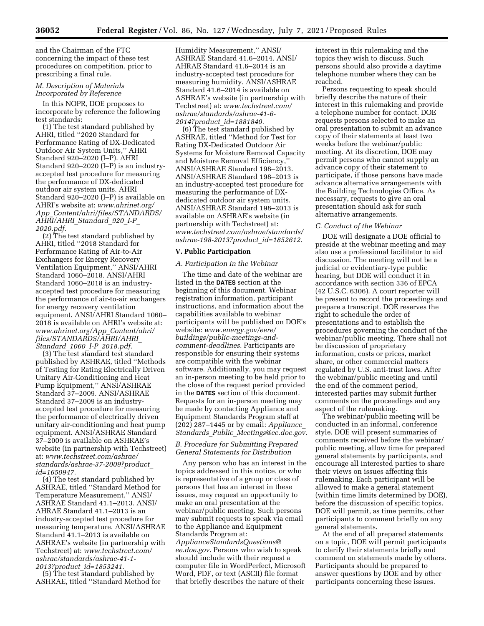and the Chairman of the FTC concerning the impact of these test procedures on competition, prior to prescribing a final rule.

### *M. Description of Materials Incorporated by Reference*

In this NOPR, DOE proposes to incorporate by reference the following test standards:

(1) The test standard published by AHRI, titled ''2020 Standard for Performance Rating of DX-Dedicated Outdoor Air System Units,'' AHRI Standard 920–2020 (I–P). AHRI Standard 920–2020 (I–P) is an industryaccepted test procedure for measuring the performance of DX-dedicated outdoor air system units. AHRI Standard 920–2020 (I–P) is available on AHRI's website at: *[www.ahrinet.org/](http://www.ahrinet.org/App_Content/ahri/files/STANDARDS/AHRI/AHRI_Standard_920_I-P_2020.pdf) App*\_*[Content/ahri/files/STANDARDS/](http://www.ahrinet.org/App_Content/ahri/files/STANDARDS/AHRI/AHRI_Standard_920_I-P_2020.pdf)  [AHRI/AHRI](http://www.ahrinet.org/App_Content/ahri/files/STANDARDS/AHRI/AHRI_Standard_920_I-P_2020.pdf)*\_*Standard*\_*920*\_*I-P*\_ *[2020.pdf.](http://www.ahrinet.org/App_Content/ahri/files/STANDARDS/AHRI/AHRI_Standard_920_I-P_2020.pdf)* 

(2) The test standard published by AHRI, titled ''2018 Standard for Performance Rating of Air-to-Air Exchangers for Energy Recovery Ventilation Equipment,'' ANSI/AHRI Standard 1060–2018. ANSI/AHRI Standard 1060–2018 is an industryaccepted test procedure for measuring the performance of air-to-air exchangers for energy recovery ventilation equipment. ANSI/AHRI Standard 1060– 2018 is available on AHRI's website at: *[www.ahrinet.org/App](http://www.ahrinet.org/App_Content/ahri/files/STANDARDS/AHRI/AHRI_Standard_1060_I-P_2018.pdf)*\_*Content/ahri/ [files/STANDARDS/AHRI/AHRI](http://www.ahrinet.org/App_Content/ahri/files/STANDARDS/AHRI/AHRI_Standard_1060_I-P_2018.pdf)*\_ *Standard*\_*1060*\_*I-P*\_*[2018.pdf.](http://www.ahrinet.org/App_Content/ahri/files/STANDARDS/AHRI/AHRI_Standard_1060_I-P_2018.pdf)* 

(3) The test standard test standard published by ASHRAE, titled ''Methods of Testing for Rating Electrically Driven Unitary Air-Conditioning and Heat Pump Equipment,'' ANSI/ASHRAE Standard 37–2009. ANSI/ASHRAE Standard 37–2009 is an industryaccepted test procedure for measuring the performance of electrically driven unitary air-conditioning and heat pump equipment. ANSI/ASHRAE Standard 37–2009 is available on ASHRAE's website (in partnership with Techstreet) at: *[www.techstreet.com/ashrae/](http://www.techstreet.com/ashrae/standards/ashrae-37-2009?product_id=1650947)  [standards/ashrae-37-2009?product](http://www.techstreet.com/ashrae/standards/ashrae-37-2009?product_id=1650947)*\_ *[id=1650947.](http://www.techstreet.com/ashrae/standards/ashrae-37-2009?product_id=1650947)* 

(4) The test standard published by ASHRAE, titled ''Standard Method for Temperature Measurement,'' ANSI/ ASHRAE Standard 41.1–2013. ANSI/ AHRAE Standard 41.1–2013 is an industry-accepted test procedure for measuring temperature. ANSI/ASHRAE Standard 41.1–2013 is available on ASHRAE's website (in partnership with Techstreet) at: *[www.techstreet.com/](http://www.techstreet.com/ashrae/standards/ashrae-41-1-2013?product_id=1853241) [ashrae/standards/ashrae-41-1-](http://www.techstreet.com/ashrae/standards/ashrae-41-1-2013?product_id=1853241)  [2013?product](http://www.techstreet.com/ashrae/standards/ashrae-41-1-2013?product_id=1853241)*\_*id=1853241.* 

(5) The test standard published by ASHRAE, titled ''Standard Method for Humidity Measurement,'' ANSI/ ASHRAE Standard 41.6–2014. ANSI/ AHRAE Standard 41.6–2014 is an industry-accepted test procedure for measuring humidity. ANSI/ASHRAE Standard 41.6–2014 is available on ASHRAE's website (in partnership with Techstreet) at: *[www.techstreet.com/](http://www.techstreet.com/ashrae/standards/ashrae-41-6-2014?product_id=1881840) [ashrae/standards/ashrae-41-6-](http://www.techstreet.com/ashrae/standards/ashrae-41-6-2014?product_id=1881840)  [2014?product](http://www.techstreet.com/ashrae/standards/ashrae-41-6-2014?product_id=1881840)*\_*id=1881840.* 

(6) The test standard published by ASHRAE, titled ''Method for Test for Rating DX-Dedicated Outdoor Air Systems for Moisture Removal Capacity and Moisture Removal Efficiency,'' ANSI/ASHRAE Standard 198–2013. ANSI/ASHRAE Standard 198–2013 is an industry-accepted test procedure for measuring the performance of DXdedicated outdoor air system units. ANSI/ASHRAE Standard 198–2013 is available on ASHRAE's website (in partnership with Techstreet) at: *[www.techstreet.com/ashrae/standards/](http://www.techstreet.com/ashrae/standards/ashrae-198-2013?product_id=1852612)  [ashrae-198-2013?product](http://www.techstreet.com/ashrae/standards/ashrae-198-2013?product_id=1852612)*\_*id=1852612.* 

### **V. Public Participation**

### *A. Participation in the Webinar*

The time and date of the webinar are listed in the **DATES** section at the beginning of this document. Webinar registration information, participant instructions, and information about the capabilities available to webinar participants will be published on DOE's website: *[www.energy.gov/eere/](http://www.energy.gov/eere/buildings/public-meetings-and-comment-deadlines) [buildings/public-meetings-and](http://www.energy.gov/eere/buildings/public-meetings-and-comment-deadlines)[comment-deadlines](http://www.energy.gov/eere/buildings/public-meetings-and-comment-deadlines)*. Participants are responsible for ensuring their systems are compatible with the webinar software. Additionally, you may request an in-person meeting to be held prior to the close of the request period provided in the **DATES** section of this document. Requests for an in-person meeting may be made by contacting Appliance and Equipment Standards Program staff at (202) 287–1445 or by email: *[Appliance](mailto:Appliance_Standards_Public_Meetings@ee.doe.gov)*\_ *Standards*\_*Public*\_*[Meetings@ee.doe.gov.](mailto:Appliance_Standards_Public_Meetings@ee.doe.gov)* 

### *B. Procedure for Submitting Prepared General Statements for Distribution*

Any person who has an interest in the topics addressed in this notice, or who is representative of a group or class of persons that has an interest in these issues, may request an opportunity to make an oral presentation at the webinar/public meeting. Such persons may submit requests to speak via email to the Appliance and Equipment Standards Program at: *[ApplianceStandardsQuestions@](mailto:ApplianceStandardsQuestions@ee.doe.gov) [ee.doe.gov.](mailto:ApplianceStandardsQuestions@ee.doe.gov)* Persons who wish to speak should include with their request a computer file in WordPerfect, Microsoft

Word, PDF, or text (ASCII) file format that briefly describes the nature of their interest in this rulemaking and the topics they wish to discuss. Such persons should also provide a daytime telephone number where they can be reached.

Persons requesting to speak should briefly describe the nature of their interest in this rulemaking and provide a telephone number for contact. DOE requests persons selected to make an oral presentation to submit an advance copy of their statements at least two weeks before the webinar/public meeting. At its discretion, DOE may permit persons who cannot supply an advance copy of their statement to participate, if those persons have made advance alternative arrangements with the Building Technologies Office. As necessary, requests to give an oral presentation should ask for such alternative arrangements.

### *C. Conduct of the Webinar*

DOE will designate a DOE official to preside at the webinar meeting and may also use a professional facilitator to aid discussion. The meeting will not be a judicial or evidentiary-type public hearing, but DOE will conduct it in accordance with section 336 of EPCA (42 U.S.C. 6306). A court reporter will be present to record the proceedings and prepare a transcript. DOE reserves the right to schedule the order of presentations and to establish the procedures governing the conduct of the webinar/public meeting. There shall not be discussion of proprietary information, costs or prices, market share, or other commercial matters regulated by U.S. anti-trust laws. After the webinar/public meeting and until the end of the comment period, interested parties may submit further comments on the proceedings and any aspect of the rulemaking.

The webinar/public meeting will be conducted in an informal, conference style. DOE will present summaries of comments received before the webinar/ public meeting, allow time for prepared general statements by participants, and encourage all interested parties to share their views on issues affecting this rulemaking. Each participant will be allowed to make a general statement (within time limits determined by DOE), before the discussion of specific topics. DOE will permit, as time permits, other participants to comment briefly on any general statements.

At the end of all prepared statements on a topic, DOE will permit participants to clarify their statements briefly and comment on statements made by others. Participants should be prepared to answer questions by DOE and by other participants concerning these issues.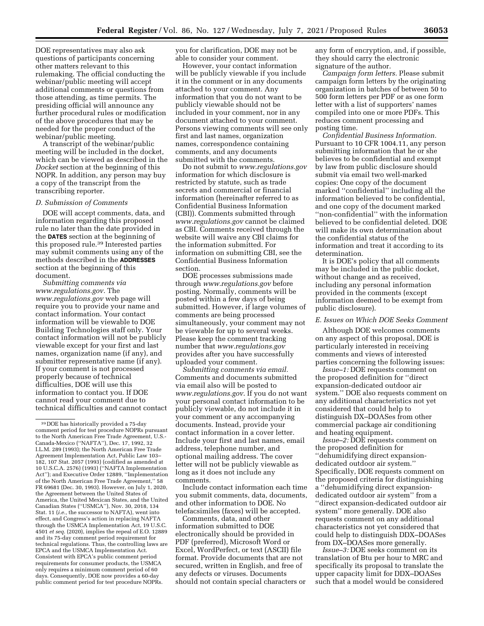DOE representatives may also ask questions of participants concerning other matters relevant to this rulemaking. The official conducting the webinar/public meeting will accept additional comments or questions from those attending, as time permits. The presiding official will announce any further procedural rules or modification of the above procedures that may be needed for the proper conduct of the webinar/public meeting.

A transcript of the webinar/public meeting will be included in the docket, which can be viewed as described in the *Docket* section at the beginning of this NOPR. In addition, any person may buy a copy of the transcript from the transcribing reporter.

#### *D. Submission of Comments*

DOE will accept comments, data, and information regarding this proposed rule no later than the date provided in the **DATES** section at the beginning of this proposed rule.39 Interested parties may submit comments using any of the methods described in the **ADDRESSES** section at the beginning of this document.

*Submitting comments via [www.regulations.gov.](http://www.regulations.gov)* The *[www.regulations.gov](http://www.regulations.gov)* web page will require you to provide your name and contact information. Your contact information will be viewable to DOE Building Technologies staff only. Your contact information will not be publicly viewable except for your first and last names, organization name (if any), and submitter representative name (if any). If your comment is not processed properly because of technical difficulties, DOE will use this information to contact you. If DOE cannot read your comment due to technical difficulties and cannot contact you for clarification, DOE may not be able to consider your comment.

However, your contact information will be publicly viewable if you include it in the comment or in any documents attached to your comment. Any information that you do not want to be publicly viewable should not be included in your comment, nor in any document attached to your comment. Persons viewing comments will see only first and last names, organization names, correspondence containing comments, and any documents submitted with the comments.

Do not submit to *[www.regulations.gov](http://www.regulations.gov)*  information for which disclosure is restricted by statute, such as trade secrets and commercial or financial information (hereinafter referred to as Confidential Business Information (CBI)). Comments submitted through *[www.regulations.gov](http://www.regulations.gov)* cannot be claimed as CBI. Comments received through the website will waive any CBI claims for the information submitted. For information on submitting CBI, see the Confidential Business Information section.

DOE processes submissions made through *[www.regulations.gov](http://www.regulations.gov)* before posting. Normally, comments will be posted within a few days of being submitted. However, if large volumes of comments are being processed simultaneously, your comment may not be viewable for up to several weeks. Please keep the comment tracking number that *[www.regulations.gov](http://www.regulations.gov)*  provides after you have successfully uploaded your comment.

*Submitting comments via email.*  Comments and documents submitted via email also will be posted to *[www.regulations.gov](http://www.regulations.gov)*. If you do not want your personal contact information to be publicly viewable, do not include it in your comment or any accompanying documents. Instead, provide your contact information in a cover letter. Include your first and last names, email address, telephone number, and optional mailing address. The cover letter will not be publicly viewable as long as it does not include any comments.

Include contact information each time you submit comments, data, documents, and other information to DOE. No telefacsimiles (faxes) will be accepted.

Comments, data, and other information submitted to DOE electronically should be provided in PDF (preferred), Microsoft Word or Excel, WordPerfect, or text (ASCII) file format. Provide documents that are not secured, written in English, and free of any defects or viruses. Documents should not contain special characters or any form of encryption, and, if possible, they should carry the electronic signature of the author.

*Campaign form letters.* Please submit campaign form letters by the originating organization in batches of between 50 to 500 form letters per PDF or as one form letter with a list of supporters' names compiled into one or more PDFs. This reduces comment processing and posting time.

*Confidential Business Information.*  Pursuant to 10 CFR 1004.11, any person submitting information that he or she believes to be confidential and exempt by law from public disclosure should submit via email two well-marked copies: One copy of the document marked ''confidential'' including all the information believed to be confidential, and one copy of the document marked ''non-confidential'' with the information believed to be confidential deleted. DOE will make its own determination about the confidential status of the information and treat it according to its determination.

It is DOE's policy that all comments may be included in the public docket, without change and as received, including any personal information provided in the comments (except information deemed to be exempt from public disclosure).

### *E. Issues on Which DOE Seeks Comment*

Although DOE welcomes comments on any aspect of this proposal, DOE is particularly interested in receiving comments and views of interested parties concerning the following issues:

*Issue–1:* DOE requests comment on the proposed definition for ''direct expansion-dedicated outdoor air system.'' DOE also requests comment on any additional characteristics not yet considered that could help to distinguish DX–DOASes from other commercial package air conditioning and heating equipment.

*Issue–2:* DOE requests comment on the proposed definition for ''dehumidifying direct expansiondedicated outdoor air system.'' Specifically, DOE requests comment on the proposed criteria for distinguishing a ''dehumidifying direct expansiondedicated outdoor air system'' from a ''direct expansion-dedicated outdoor air system'' more generally. DOE also requests comment on any additional characteristics not yet considered that could help to distinguish DDX–DOASes from DX–DOASes more generally.

*Issue–3:* DOE seeks comment on its translation of Btu per hour to MRC and specifically its proposal to translate the upper capacity limit for DDX–DOASes such that a model would be considered

<sup>39</sup> DOE has historically provided a 75-day comment period for test procedure NOPRs pursuant to the North American Free Trade Agreement, U.S.- Canada-Mexico (''NAFTA''), Dec. 17, 1992, 32 I.L.M. 289 (1993); the North American Free Trade Agreement Implementation Act, Public Law 103– 182, 107 Stat. 2057 (1993) (codified as amended at 10 U.S.C.A. 2576) (1993) (''NAFTA Implementation Act''); and Executive Order 12889, ''Implementation of the North American Free Trade Agreement,'' 58 FR 69681 (Dec. 30, 1993). However, on July 1, 2020, the Agreement between the United States of America, the United Mexican States, and the United Canadian States (''USMCA''), Nov. 30, 2018, 134 Stat. 11 (*i.e.,* the successor to NAFTA), went into effect, and Congress's action in replacing NAFTA through the USMCA Implementation Act, 19 U.S.C. 4501 *et seq.* (2020), implies the repeal of E.O. 12889 and its 75-day comment period requirement for technical regulations. Thus, the controlling laws are EPCA and the USMCA Implementation Act. Consistent with EPCA's public comment period requirements for consumer products, the USMCA only requires a minimum comment period of 60 days. Consequently, DOE now provides a 60-day public comment period for test procedure NOPRs.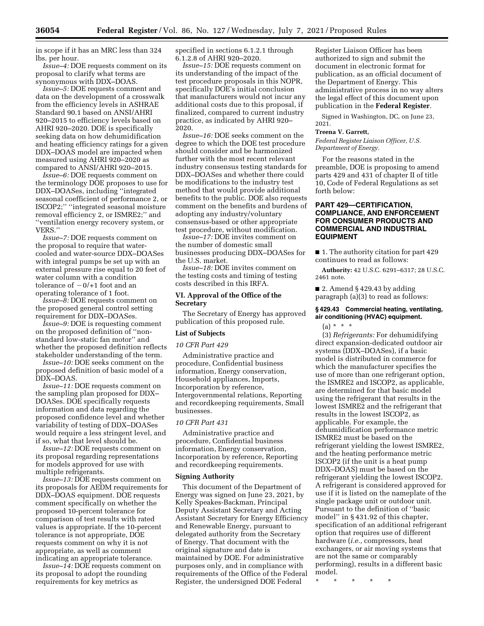in scope if it has an MRC less than 324 lbs. per hour.

*Issue–4:* DOE requests comment on its proposal to clarify what terms are synonymous with DDX–DOAS.

*Issue–5:* DOE requests comment and data on the development of a crosswalk from the efficiency levels in ASHRAE Standard 90.1 based on ANSI/AHRI 920–2015 to efficiency levels based on AHRI 920–2020. DOE is specifically seeking data on how dehumidification and heating efficiency ratings for a given DDX–DOAS model are impacted when measured using AHRI 920–2020 as compared to ANSI/AHRI 920–2015.

*Issue–6:* DOE requests comment on the terminology DOE proposes to use for DDX–DOASes, including ''integrated seasonal coefficient of performance 2, or ISCOP2;'' ''integrated seasonal moisture removal efficiency 2, or ISMRE2;'' and ''ventilation energy recovery system, or VERS.''

*Issue–7:* DOE requests comment on the proposal to require that watercooled and water-source DDX–DOASes with integral pumps be set up with an external pressure rise equal to 20 feet of water column with a condition tolerance of  $-0/+1$  foot and an operating tolerance of 1 foot.

*Issue–8:* DOE requests comment on the proposed general control setting requirement for DDX–DOASes.

*Issue–9:* DOE is requesting comment on the proposed definition of ''nonstandard low-static fan motor'' and whether the proposed definition reflects stakeholder understanding of the term.

*Issue–10:* DOE seeks comment on the proposed definition of basic model of a DDX–DOAS.

*Issue–11:* DOE requests comment on the sampling plan proposed for DDX– DOASes. DOE specifically requests information and data regarding the proposed confidence level and whether variability of testing of DDX–DOASes would require a less stringent level, and if so, what that level should be.

*Issue–12:* DOE requests comment on its proposal regarding representations for models approved for use with multiple refrigerants.

*Issue–13:* DOE requests comment on its proposals for AEDM requirements for DDX–DOAS equipment. DOE requests comment specifically on whether the proposed 10-percent tolerance for comparison of test results with rated values is appropriate. If the 10-percent tolerance is not appropriate, DOE requests comment on why it is not appropriate, as well as comment indicating an appropriate tolerance.

*Issue–14:* DOE requests comment on its proposal to adopt the rounding requirements for key metrics as

specified in sections 6.1.2.1 through 6.1.2.8 of AHRI 920–2020.

*Issue–15:* DOE requests comment on its understanding of the impact of the test procedure proposals in this NOPR, specifically DOE's initial conclusion that manufacturers would not incur any additional costs due to this proposal, if finalized, compared to current industry practice, as indicated by AHRI 920– 2020.

*Issue–16:* DOE seeks comment on the degree to which the DOE test procedure should consider and be harmonized further with the most recent relevant industry consensus testing standards for DDX–DOASes and whether there could be modifications to the industry test method that would provide additional benefits to the public. DOE also requests comment on the benefits and burdens of adopting any industry/voluntary consensus-based or other appropriate test procedure, without modification.

*Issue–17:* DOE invites comment on the number of domestic small businesses producing DDX–DOASes for the U.S. market.

*Issue–18:* DOE invites comment on the testing costs and timing of testing costs described in this IRFA.

### **VI. Approval of the Office of the Secretary**

The Secretary of Energy has approved publication of this proposed rule.

### **List of Subjects**

#### *10 CFR Part 429*

Administrative practice and procedure, Confidential business information, Energy conservation, Household appliances, Imports, Incorporation by reference, Intergovernmental relations, Reporting and recordkeeping requirements, Small businesses.

#### *10 CFR Part 431*

Administrative practice and procedure, Confidential business information, Energy conservation, Incorporation by reference, Reporting and recordkeeping requirements.

#### **Signing Authority**

This document of the Department of Energy was signed on June 23, 2021, by Kelly Speakes-Backman, Principal Deputy Assistant Secretary and Acting Assistant Secretary for Energy Efficiency and Renewable Energy, pursuant to delegated authority from the Secretary of Energy. That document with the original signature and date is maintained by DOE. For administrative purposes only, and in compliance with requirements of the Office of the Federal Register, the undersigned DOE Federal

Register Liaison Officer has been authorized to sign and submit the document in electronic format for publication, as an official document of the Department of Energy. This administrative process in no way alters the legal effect of this document upon publication in the **Federal Register**.

Signed in Washington, DC, on June 23, 2021.

#### **Treena V. Garrett,**

*Federal Register Liaison Officer, U.S. Department of Energy.* 

For the reasons stated in the preamble, DOE is proposing to amend parts 429 and 431 of chapter II of title 10, Code of Federal Regulations as set forth below:

# **PART 429—CERTIFICATION, COMPLIANCE, AND ENFORCEMENT FOR CONSUMER PRODUCTS AND COMMERCIAL AND INDUSTRIAL EQUIPMENT**

■ 1. The authority citation for part 429 continues to read as follows:

**Authority:** 42 U.S.C. 6291–6317; 28 U.S.C. 2461 note.

 $\blacksquare$  2. Amend § 429.43 by adding paragraph (a)(3) to read as follows:

### **§ 429.43 Commercial heating, ventilating, air conditioning (HVAC) equipment.**

 $(a) * * * *$ 

(3) *Refrigerants:* For dehumidifying direct expansion-dedicated outdoor air systems (DDX–DOASes), if a basic model is distributed in commerce for which the manufacturer specifies the use of more than one refrigerant option, the ISMRE2 and ISCOP2, as applicable, are determined for that basic model using the refrigerant that results in the lowest ISMRE2 and the refrigerant that results in the lowest ISCOP2, as applicable. For example, the dehumidification performance metric ISMRE2 must be based on the refrigerant yielding the lowest ISMRE2, and the heating performance metric ISCOP2 (if the unit is a heat pump DDX–DOAS) must be based on the refrigerant yielding the lowest ISCOP2. A refrigerant is considered approved for use if it is listed on the nameplate of the single package unit or outdoor unit. Pursuant to the definition of ''basic model'' in § 431.92 of this chapter, specification of an additional refrigerant option that requires use of different hardware (*i.e.,* compressors, heat exchangers, or air moving systems that are not the same or comparably performing), results in a different basic model.

\* \* \* \* \*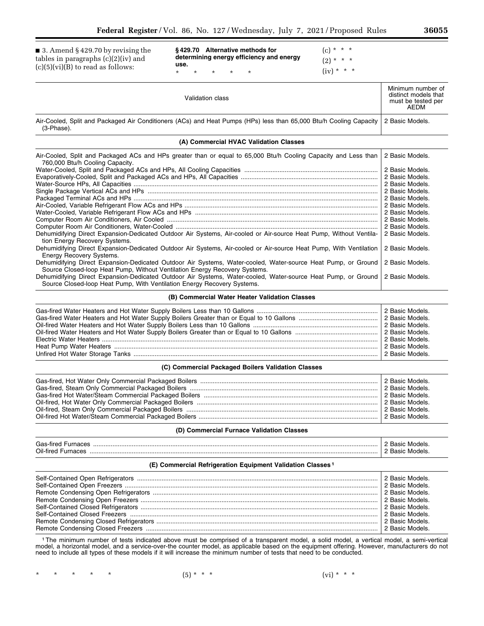■ 3. Amend § 429.70 by revising the tables in paragraphs (c)(2)(iv) and  $(c)(5)(vi)(B)$  to read as follows:

**§ 429.70 Alternative methods for determining energy efficiency and energy use.**  \* \* \* \* \*

 $(c) * * * *$  $(2) * * * *$  $(iv) * * * *$ 

| Validation class                                                                                                                   | Minimum number of<br>distinct models that<br>must be tested per<br>AEDM |
|------------------------------------------------------------------------------------------------------------------------------------|-------------------------------------------------------------------------|
| Air-Cooled, Split and Packaged Air Conditioners (ACs) and Heat Pumps (HPs) less than 65,000 Btu/h Cooling Capacity  <br>(3-Phase). | 2 Basic Models.                                                         |
| (A) Commercial HVAC Validation Classes                                                                                             |                                                                         |

| Air-Cooled, Split and Packaged ACs and HPs greater than or equal to 65,000 Btu/h Cooling Capacity and Less than<br>760,000 Btu/h Cooling Capacity.                                          | 2 Basic Models. |
|---------------------------------------------------------------------------------------------------------------------------------------------------------------------------------------------|-----------------|
|                                                                                                                                                                                             | 2 Basic Models. |
|                                                                                                                                                                                             |                 |
|                                                                                                                                                                                             | 2 Basic Models. |
|                                                                                                                                                                                             | 2 Basic Models. |
|                                                                                                                                                                                             | 2 Basic Models. |
|                                                                                                                                                                                             | 2 Basic Models. |
|                                                                                                                                                                                             | 2 Basic Models. |
|                                                                                                                                                                                             | 2 Basic Models. |
|                                                                                                                                                                                             | 2 Basic Models. |
|                                                                                                                                                                                             | 2 Basic Models. |
| Dehumidifying Direct Expansion-Dedicated Outdoor Air Systems, Air-cooled or Air-source Heat Pump, Without Ventila-<br>tion Energy Recovery Systems.                                         | 2 Basic Models. |
| Dehumidifying Direct Expansion-Dedicated Outdoor Air Systems, Air-cooled or Air-source Heat Pump, With Ventilation<br>Energy Recovery Systems.                                              | 2 Basic Models. |
| Dehumidifying Direct Expansion-Dedicated Outdoor Air Systems, Water-cooled, Water-source Heat Pump, or Ground<br>Source Closed-loop Heat Pump, Without Ventilation Energy Recovery Systems. | 2 Basic Models. |
| Dehumidifying Direct Expansion-Dedicated Outdoor Air Systems, Water-cooled, Water-source Heat Pump, or Ground<br>Source Closed-loop Heat Pump, With Ventilation Energy Recovery Systems.    | 2 Basic Models. |

**(B) Commercial Water Heater Validation Classes** 

### **(C) Commercial Packaged Boilers Validation Classes**

### **(D) Commercial Furnace Validation Classes**

| Gas:<br>-tır |  |
|--------------|--|
| Oil-fireo    |  |

# **(E) Commercial Refrigeration Equipment Validation Classes 1**

1The minimum number of tests indicated above must be comprised of a transparent model, a solid model, a vertical model, a semi-vertical model, a horizontal model, and a service-over-the counter model, as applicable based on the equipment offering. However, manufacturers do not need to include all types of these models if it will increase the minimum number of tests that need to be conducted.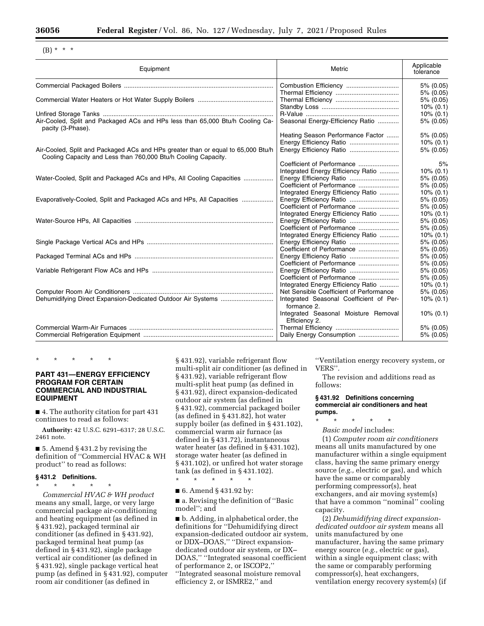$(B) * * * *$ 

| Equipment                                                                                                                                          | Metric                                                                             | Applicable<br>tolerance   |
|----------------------------------------------------------------------------------------------------------------------------------------------------|------------------------------------------------------------------------------------|---------------------------|
|                                                                                                                                                    |                                                                                    | 5% (0.05)                 |
|                                                                                                                                                    |                                                                                    | 5% (0.05)                 |
|                                                                                                                                                    |                                                                                    | 5% (0.05)<br>$10\% (0.1)$ |
|                                                                                                                                                    |                                                                                    | $10\% (0.1)$              |
| Air-Cooled, Split and Packaged ACs and HPs less than 65,000 Btu/h Cooling Ca-<br>pacity (3-Phase).                                                 | Seasonal Energy-Efficiency Ratio                                                   | 5% (0.05)                 |
|                                                                                                                                                    | Heating Season Performance Factor                                                  | 5% (0.05)                 |
|                                                                                                                                                    |                                                                                    | $10\% (0.1)$              |
| Air-Cooled, Split and Packaged ACs and HPs greater than or equal to 65,000 Btu/h<br>Cooling Capacity and Less than 760,000 Btu/h Cooling Capacity. | Energy Efficiency Ratio                                                            | 5% (0.05)                 |
|                                                                                                                                                    | Coefficient of Performance                                                         | 5%                        |
|                                                                                                                                                    | Integrated Energy Efficiency Ratio                                                 | $10\% (0.1)$              |
| Water-Cooled, Split and Packaged ACs and HPs, All Cooling Capacities                                                                               | Energy Efficiency Ratio                                                            | 5% (0.05)                 |
|                                                                                                                                                    | Coefficient of Performance                                                         | 5% (0.05)                 |
|                                                                                                                                                    | Integrated Energy Efficiency Ratio                                                 | $10\% (0.1)$              |
| Evaporatively-Cooled, Split and Packaged ACs and HPs, All Capacities                                                                               |                                                                                    | 5% (0.05)                 |
|                                                                                                                                                    |                                                                                    | 5% (0.05)                 |
|                                                                                                                                                    | Integrated Energy Efficiency Ratio                                                 | $10\% (0.1)$              |
|                                                                                                                                                    |                                                                                    | $5\%$ (0.05)              |
|                                                                                                                                                    | Coefficient of Performance                                                         | 5% (0.05)                 |
|                                                                                                                                                    | Integrated Energy Efficiency Ratio                                                 | $10\% (0.1)$              |
|                                                                                                                                                    |                                                                                    | 5% (0.05)                 |
|                                                                                                                                                    | Coefficient of Performance                                                         | 5% (0.05)                 |
|                                                                                                                                                    |                                                                                    | 5% (0.05)                 |
|                                                                                                                                                    | Coefficient of Performance                                                         | 5% (0.05)                 |
|                                                                                                                                                    |                                                                                    | 5% (0.05)                 |
|                                                                                                                                                    | Coefficient of Performance                                                         | 5% (0.05)                 |
|                                                                                                                                                    | Integrated Energy Efficiency Ratio                                                 | $10\%$ (0.1)              |
|                                                                                                                                                    | Net Sensible Coefficient of Performance<br>Integrated Seasonal Coefficient of Per- | 5% (0.05)                 |
|                                                                                                                                                    | formance 2.                                                                        | $10\% (0.1)$              |
|                                                                                                                                                    | Integrated Seasonal Moisture Removal<br>Efficiency 2.                              | $10\% (0.1)$              |
|                                                                                                                                                    |                                                                                    | 5% (0.05)                 |
|                                                                                                                                                    | Daily Energy Consumption                                                           | 5% (0.05)                 |

\* \* \* \* \*

# **PART 431—ENERGY EFFICIENCY PROGRAM FOR CERTAIN COMMERCIAL AND INDUSTRIAL EQUIPMENT**

■ 4. The authority citation for part 431 continues to read as follows:

**Authority:** 42 U.S.C. 6291–6317; 28 U.S.C. 2461 note.

■ 5. Amend § 431.2 by revising the definition of ''Commercial HVAC & WH product'' to read as follows:

# **§ 431.2 Definitions.**

\* \* \* \* \* *Commercial HVAC & WH product*  means any small, large, or very large commercial package air-conditioning and heating equipment (as defined in § 431.92), packaged terminal air conditioner (as defined in § 431.92), packaged terminal heat pump (as defined in § 431.92), single package vertical air conditioner (as defined in § 431.92), single package vertical heat pump (as defined in § 431.92), computer room air conditioner (as defined in

§ 431.92), variable refrigerant flow multi-split air conditioner (as defined in § 431.92), variable refrigerant flow multi-split heat pump (as defined in § 431.92), direct expansion-dedicated outdoor air system (as defined in § 431.92), commercial packaged boiler (as defined in § 431.82), hot water supply boiler (as defined in § 431.102), commercial warm air furnace (as defined in § 431.72), instantaneous water heater (as defined in § 431.102), storage water heater (as defined in § 431.102), or unfired hot water storage tank (as defined in § 431.102).

\* \* \* \* \*

■ 6. Amend § 431.92 by:

■ a. Revising the definition of "Basic model''; and

■ b. Adding, in alphabetical order, the definitions for ''Dehumidifying direct expansion-dedicated outdoor air system, or DDX–DOAS,'' ''Direct expansiondedicated outdoor air system, or DX– DOAS,'' ''Integrated seasonal coefficient of performance 2, or ISCOP2,'' ''Integrated seasonal moisture removal efficiency 2, or ISMRE2,'' and

''Ventilation energy recovery system, or VERS''.

The revision and additions read as follows:

#### **§ 431.92 Definitions concerning commercial air conditioners and heat pumps.**

\* \* \* \* \* *Basic model* includes:

(1) *Computer room air conditioners*  means all units manufactured by one manufacturer within a single equipment class, having the same primary energy source (*e.g.,* electric or gas), and which have the same or comparably performing compressor(s), heat exchangers, and air moving system(s) that have a common ''nominal'' cooling capacity.

(2) *Dehumidifying direct expansiondedicated outdoor air system* means all units manufactured by one manufacturer, having the same primary energy source (*e.g.,* electric or gas), within a single equipment class; with the same or comparably performing compressor(s), heat exchangers, ventilation energy recovery system(s) (if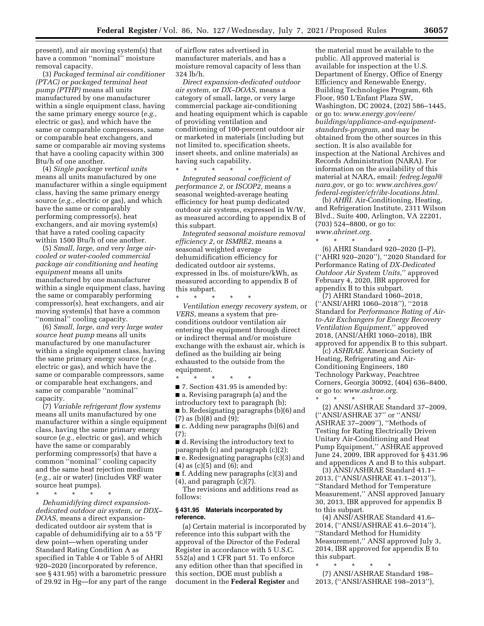present), and air moving system(s) that have a common ''nominal'' moisture removal capacity.

(3) *Packaged terminal air conditioner (PTAC) or packaged terminal heat pump (PTHP)* means all units manufactured by one manufacturer within a single equipment class, having the same primary energy source (*e.g.,*  electric or gas), and which have the same or comparable compressors, same or comparable heat exchangers, and same or comparable air moving systems that have a cooling capacity within 300 Btu/h of one another.

(4) *Single package vertical units*  means all units manufactured by one manufacturer within a single equipment class, having the same primary energy source (*e.g.,* electric or gas), and which have the same or comparably performing compressor(s), heat exchangers, and air moving system(s) that have a rated cooling capacity within 1500 Btu/h of one another.

(5) *Small, large, and very large aircooled or water-cooled commercial package air conditioning and heating equipment* means all units manufactured by one manufacturer within a single equipment class, having the same or comparably performing compressor(s), heat exchangers, and air moving system(s) that have a common "nominal" cooling capacity.

(6) *Small, large, and very large water source heat pump* means all units manufactured by one manufacturer within a single equipment class, having the same primary energy source (*e.g.,*  electric or gas), and which have the same or comparable compressors, same or comparable heat exchangers, and same or comparable ''nominal'' capacity.

(7) *Variable refrigerant flow systems*  means all units manufactured by one manufacturer within a single equipment class, having the same primary energy source (*e.g.,* electric or gas), and which have the same or comparably performing compressor(s) that have a common ''nominal'' cooling capacity and the same heat rejection medium (*e.g.,* air or water) (includes VRF water source heat pumps).

\* \* \* \* \* *Dehumidifying direct expansiondedicated outdoor air system, or DDX– DOAS,* means a direct expansiondedicated outdoor air system that is capable of dehumidifying air to a 55 °F dew point—when operating under Standard Rating Condition A as specified in Table 4 or Table 5 of AHRI 920–2020 (incorporated by reference, see § 431.95) with a barometric pressure of 29.92 in Hg—for any part of the range of airflow rates advertised in manufacturer materials, and has a moisture removal capacity of less than 324 lb/h.

*Direct expansion-dedicated outdoor air system,* or *DX–DOAS,* means a category of small, large, or very large commercial package air-conditioning and heating equipment which is capable of providing ventilation and conditioning of 100-percent outdoor air or marketed in materials (including but not limited to, specification sheets, insert sheets, and online materials) as having such capability.

\* \* \* \* \* *Integrated seasonal coefficient of performance 2,* or *ISCOP2,* means a seasonal weighted-average heating efficiency for heat pump dedicated outdoor air systems, expressed in W/W, as measured according to appendix B of this subpart.

*Integrated seasonal moisture removal efficiency 2,* or *ISMRE2,* means a seasonal weighted average dehumidification efficiency for dedicated outdoor air systems, expressed in lbs. of moisture/kWh, as measured according to appendix B of this subpart.

\* \* \* \* \* *Ventilation energy recovery system,* or *VERS,* means a system that preconditions outdoor ventilation air entering the equipment through direct or indirect thermal and/or moisture exchange with the exhaust air, which is defined as the building air being exhausted to the outside from the equipment.

\* \* \* \* \* ■ 7. Section 431.95 is amended by: ■ a. Revising paragraph (a) and the introductory text to paragraph (b); ■ b. Redesignating paragraphs (b)(6) and (7) as (b)(8) and (9);

■ c. Adding new paragraphs (b)(6) and (7);

■ d. Revising the introductory text to paragraph (c) and paragraph (c)(2); ■ e. Redesignating paragraphs (c)(3) and (4) as (c)(5) and (6); and

■ f. Adding new paragraphs (c)(3) and  $(4)$ , and paragraph  $(c)(7)$ .

The revisions and additions read as follows:

#### **§ 431.95 Materials incorporated by reference.**

(a) Certain material is incorporated by reference into this subpart with the approval of the Director of the Federal Register in accordance with 5 U.S.C. 552(a) and 1 CFR part 51. To enforce any edition other than that specified in this section, DOE must publish a document in the **Federal Register** and

the material must be available to the public. All approved material is available for inspection at the U.S. Department of Energy, Office of Energy Efficiency and Renewable Energy, Building Technologies Program, 6th Floor, 950 L'Enfant Plaza SW, Washington, DC 20024, (202) 586–1445, or go to: *[www.energy.gov/eere/](http://www.energy.gov/eere/buildings/appliance-and-equipment-standards-program)  [buildings/appliance-and-equipment](http://www.energy.gov/eere/buildings/appliance-and-equipment-standards-program)[standards-program,](http://www.energy.gov/eere/buildings/appliance-and-equipment-standards-program)* and may be obtained from the other sources in this section. It is also available for inspection at the National Archives and Records Administration (NARA). For information on the availability of this material at NARA, email: *[fedreg.legal@](mailto:fedreg.legal@nara.gov) [nara.gov,](mailto:fedreg.legal@nara.gov)* or go to: *[www.archives.gov/](http://www.archives.gov/federal-register/cfr/ibr-locations.html) [federal-register/cfr/ibr-locations.html.](http://www.archives.gov/federal-register/cfr/ibr-locations.html)* 

(b) *AHRI.* Air-Conditioning, Heating, and Refrigeration Institute, 2311 Wilson Blvd., Suite 400, Arlington, VA 22201, (703) 524–8800, or go to: *[www.ahrinet.org.](http://www.ahrinet.org)* 

\* \* \* \* \* (6) AHRI Standard 920–2020 (I–P), (''AHRI 920–2020''), ''2020 Standard for Performance Rating of *DX-Dedicated Outdoor Air System Units,*'' approved February 4, 2020, IBR approved for appendix B to this subpart.

(7) AHRI Standard 1060–2018, (''ANSI/AHRI 1060–2018''), ''2018 Standard for *Performance Rating of Airto-Air Exchangers for Energy Recovery Ventilation Equipment,*'' approved 2018, (ANSI/AHRI 1060–2018), IBR approved for appendix B to this subpart.

(c) *ASHRAE.* American Society of Heating, Refrigerating and Air-Conditioning Engineers, 180 Technology Parkway, Peachtree Corners, Georgia 30092, (404) 636–8400, or go to: *[www.ashrae.org.](http://www.ashrae.org)* 

\* \* \* \* \* (2) ANSI/ASHRAE Standard 37–2009, (''ANSI/ASHRAE 37'' or ''ANSI/ ASHRAE 37–2009''), ''Methods of Testing for Rating Electrically Driven Unitary Air-Conditioning and Heat Pump Equipment,'' ASHRAE approved June 24, 2009, IBR approved for § 431.96 and appendices A and B to this subpart.

(3) ANSI/ASHRAE Standard 41.1– 2013, (''ANSI/ASHRAE 41.1–2013''), ''Standard Method for Temperature Measurement,'' ANSI approved January 30, 2013, IBR approved for appendix B to this subpart.

(4) ANSI/ASHRAE Standard 41.6– 2014, (''ANSI/ASHRAE 41.6–2014''), ''Standard Method for Humidity Measurement,'' ANSI approved July 3, 2014, IBR approved for appendix B to this subpart.

\* \* \* \* \*

(7) ANSI/ASHRAE Standard 198– 2013, (''ANSI/ASHRAE 198–2013''),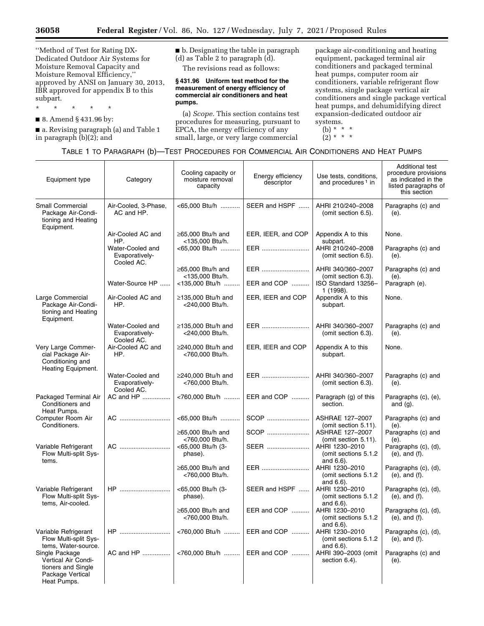Ξ

''Method of Test for Rating DX-Dedicated Outdoor Air Systems for Moisture Removal Capacity and Moisture Removal Efficiency,'' approved by ANSI on January 30, 2013, IBR approved for appendix B to this subpart.

\* \* \* \* \* ■ 8. Amend § 431.96 by:

■ a. Revising paragraph (a) and Table 1 in paragraph (b)(2); and

■ b. Designating the table in paragraph (d) as Table 2 to paragraph (d). The revisions read as follows:

**§ 431.96 Uniform test method for the measurement of energy efficiency of commercial air conditioners and heat pumps.** 

(a) *Scope.* This section contains test procedures for measuring, pursuant to EPCA, the energy efficiency of any small, large, or very large commercial

package air-conditioning and heating equipment, packaged terminal air conditioners and packaged terminal heat pumps, computer room air conditioners, variable refrigerant flow systems, single package vertical air conditioners and single package vertical heat pumps, and dehumidifying direct expansion-dedicated outdoor air systems.

(b) \* \* \*

 $(2) * * * *$ 

# TABLE 1 TO PARAGRAPH (b)—TEST PROCEDURES FOR COMMERCIAL AIR CONDITIONERS AND HEAT PUMPS

| Equipment type                                                                                 | Category                                                       | Cooling capacity or<br>moisture removal<br>capacity          | Energy efficiency<br>descriptor | Use tests, conditions,<br>and procedures <sup>1</sup> in                     | Additional test<br>procedure provisions<br>as indicated in the<br>listed paragraphs of<br>this section |
|------------------------------------------------------------------------------------------------|----------------------------------------------------------------|--------------------------------------------------------------|---------------------------------|------------------------------------------------------------------------------|--------------------------------------------------------------------------------------------------------|
| <b>Small Commercial</b><br>Package Air-Condi-<br>tioning and Heating<br>Equipment.             | Air-Cooled, 3-Phase,<br>AC and HP.                             | <65.000 Btu/h                                                | SEER and HSPF                   | AHRI 210/240-2008<br>(omit section 6.5).                                     | Paragraphs (c) and<br>(e).                                                                             |
|                                                                                                | Air-Cooled AC and<br>HP.<br>Water-Cooled and<br>Evaporatively- | $\geq$ 65,000 Btu/h and<br><135,000 Btu/h.<br><65,000 Btu/h  | EER, IEER, and COP<br>EER       | Appendix A to this<br>subpart.<br>AHRI 210/240-2008<br>(omit section 6.5).   | None.<br>Paragraphs (c) and<br>(e).                                                                    |
|                                                                                                | Cooled AC.<br>Water-Source HP                                  | $\geq$ 65,000 Btu/h and<br><135,000 Btu/h.<br><135,000 Btu/h | EER<br>EER and COP              | AHRI 340/360-2007<br>(omit section 6.3).<br>ISO Standard 13256-              | Paragraphs (c) and<br>(e).<br>Paragraph (e).                                                           |
| Large Commercial<br>Package Air-Condi-<br>tioning and Heating                                  | Air-Cooled AC and<br>HP.                                       | $\geq$ 135,000 Btu/h and<br><240,000 Btu/h.                  | EER, IEER and COP               | 1 (1998).<br>Appendix A to this<br>subpart.                                  | None.                                                                                                  |
| Equipment.                                                                                     | Water-Cooled and<br>Evaporatively-<br>Cooled AC.               | ≥135,000 Btu/h and<br><240,000 Btu/h.                        | EER                             | AHRI 340/360-2007<br>(omit section 6.3).                                     | Paragraphs (c) and<br>(e).                                                                             |
| Very Large Commer-<br>cial Package Air-<br>Conditioning and<br>Heating Equipment.              | Air-Cooled AC and<br>HP.                                       | $\geq$ 240,000 Btu/h and<br><760,000 Btu/h.                  | EER, IEER and COP               | Appendix A to this<br>subpart.                                               | None.                                                                                                  |
|                                                                                                | Water-Cooled and<br>Evaporatively-<br>Cooled AC.               | $\geq$ 240,000 Btu/h and<br><760,000 Btu/h.                  | EER                             | AHRI 340/360-2007<br>(omit section 6.3).                                     | Paragraphs (c) and<br>(e).                                                                             |
| Packaged Terminal Air<br>Conditioners and<br>Heat Pumps.                                       | AC and HP                                                      | <760,000 Btu/h                                               | EER and COP                     | Paragraph (g) of this<br>section.                                            | Paragraphs (c), (e),<br>and $(g)$ .                                                                    |
| Computer Room Air<br>Conditioners.                                                             | AC                                                             | <65,000 Btu/h<br>$\geq$ 65,000 Btu/h and                     | SCOP<br>SCOP                    | ASHRAE 127-2007<br>(omit section 5.11).<br>ASHRAE 127-2007                   | Paragraphs (c) and<br>(e).<br>Paragraphs (c) and                                                       |
| Variable Refrigerant<br>Flow Multi-split Sys-<br>tems.                                         | AC                                                             | <760,000 Btu/h.<br><65,000 Btu/h (3-<br>phase).              | SEER                            | (omit section 5.11).<br>AHRI 1230-2010<br>(omit sections 5.1.2)<br>and 6.6). | (e).<br>Paragraphs (c), (d),<br>$(e)$ , and $(f)$ .                                                    |
|                                                                                                |                                                                | $\geq$ 65.000 Btu/h and<br><760,000 Btu/h.                   | EER                             | AHRI 1230-2010<br>(omit sections 5.1.2)<br>and $6.6$ ).                      | Paragraphs (c), (d),<br>(e), and (f).                                                                  |
| Variable Refrigerant<br>Flow Multi-split Sys-<br>tems, Air-cooled.                             | HP                                                             | <65,000 Btu/h (3-<br>phase).                                 | SEER and HSPF                   | AHRI 1230-2010<br>(omit sections 5.1.2)<br>and $6.6$ ).                      | Paragraphs (c), (d),<br>$(e)$ , and $(f)$ .                                                            |
|                                                                                                |                                                                | $\geq$ 65,000 Btu/h and<br><760,000 Btu/h.                   | EER and COP    AHRI 1230-2010   | (omit sections 5.1.2)<br>and 6.6).                                           | Paragraphs (c), (d),<br>(e), and (f).                                                                  |
| Variable Refrigerant<br>Flow Multi-split Sys-<br>tems, Water-source.                           | <b>HP</b>                                                      | <760,000 Btu/h                                               | EER and COP                     | AHRI 1230-2010<br>(omit sections 5.1.2)<br>and $6.6$ ).                      | Paragraphs (c), (d),<br>$(e)$ , and $(f)$ .                                                            |
| Single Package<br>Vertical Air Condi-<br>tioners and Single<br>Package Vertical<br>Heat Pumps. | AC and HP                                                      | <760,000 Btu/h                                               | EER and COP                     | AHRI 390-2003 (omit<br>section 6.4).                                         | Paragraphs (c) and<br>(e).                                                                             |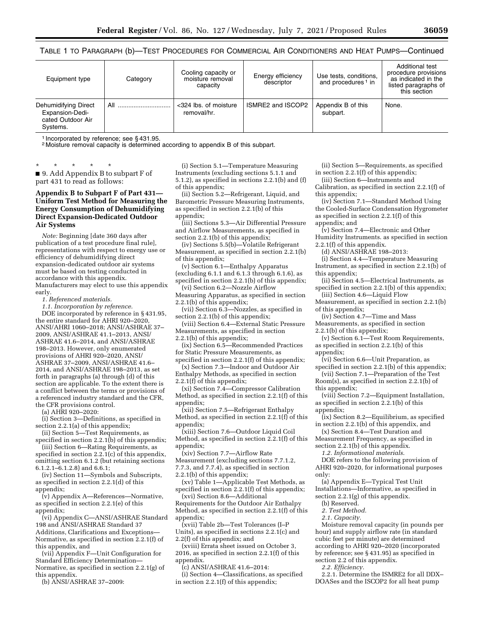TABLE 1 TO PARAGRAPH (b)—TEST PROCEDURES FOR COMMERCIAL AIR CONDITIONERS AND HEAT PUMPS—Continued

| Equipment type                                                           | Category | Cooling capacity or<br>moisture removal<br>capacity | Energy efficiency<br>descriptor | Use tests, conditions,<br>and procedures <sup>1</sup> in | Additional test<br>procedure provisions<br>as indicated in the<br>listed paragraphs of<br>this section |
|--------------------------------------------------------------------------|----------|-----------------------------------------------------|---------------------------------|----------------------------------------------------------|--------------------------------------------------------------------------------------------------------|
| Dehumidifying Direct<br>Expansion-Dedi-<br>cated Outdoor Air<br>Systems. | All      | <324 lbs. of moisture<br>removal/hr.                | ISMRE2 and ISCOP2               | Appendix B of this<br>subpart.                           | None.                                                                                                  |

1 Incorporated by reference; see § 431.95.

2 Moisture removal capacity is determined according to appendix B of this subpart.

\* \* \* \* \* ■ 9. Add Appendix B to subpart F of part 431 to read as follows:

### **Appendix B to Subpart F of Part 431— Uniform Test Method for Measuring the Energy Consumption of Dehumidifying Direct Expansion-Dedicated Outdoor Air Systems**

*Note:* Beginning [date 360 days after publication of a test procedure final rule], representations with respect to energy use or efficiency of dehumidifying direct expansion-dedicated outdoor air systems must be based on testing conducted in accordance with this appendix. Manufacturers may elect to use this appendix early.

*1. Referenced materials.* 

*1.1. Incorporation by reference.*  DOE incorporated by reference in § 431.95, the entire standard for AHRI 920–2020, ANSI/AHRI 1060–2018; ANSI/ASHRAE 37– 2009, ANSI/ASHRAE 41.1–2013, ANSI/ ASHRAE 41.6–2014, and ANSI/ASHRAE 198–2013. However, only enumerated provisions of AHRI 920–2020, ANSI/ ASHRAE 37–2009, ANSI/ASHRAE 41.6– 2014, and ANSI/ASHRAE 198–2013, as set forth in paragraphs (a) through (d) of this section are applicable. To the extent there is a conflict between the terms or provisions of a referenced industry standard and the CFR, the CFR provisions control.

(a) AHRI 920–2020:

(i) Section 3—Definitions, as specified in section 2.2.1(a) of this appendix;

(ii) Section 5—Test Requirements, as specified in section  $2.2.1(b)$  of this appendix;

(iii) Section 6—Rating Requirements, as specified in section 2.2.1(c) of this appendix, omitting section 6.1.2 (but retaining sections

6.1.2.1–6.1.2.8) and 6.6.1;

(iv) Section 11—Symbols and Subscripts, as specified in section 2.2.1(d) of this appendix;

(v) Appendix A—References—Normative, as specified in section 2.2.1(e) of this appendix;

(vi) Appendix C—ANSI/ASHRAE Standard 198 and ANSI/ASHRAE Standard 37 Additions, Clarifications and Exceptions— Normative, as specified in section 2.2.1(f) of this appendix, and

(vii) Appendix F—Unit Configuration for Standard Efficiency Determination— Normative, as specified in section 2.2.1(g) of this appendix.

(b) ANSI/ASHRAE 37–2009:

(i) Section 5.1—Temperature Measuring Instruments (excluding sections 5.1.1 and 5.1.2), as specified in sections 2.2.1(b) and (f) of this appendix;

(ii) Section 5.2—Refrigerant, Liquid, and Barometric Pressure Measuring Instruments, as specified in section 2.2.1(b) of this appendix;

(iii) Sections 5.3—Air Differential Pressure and Airflow Measurements, as specified in section 2.2.1(b) of this appendix;

(iv) Sections  $5.5(b)$ —Volatile Refrigerant Measurement, as specified in section 2.2.1(b) of this appendix;

(v) Section 6.1—Enthalpy Apparatus (excluding  $6.1.1$  and  $6.1.\overline{3}$  through  $6.1.\overline{6}$ ), as specified in section 2.2.1(b) of this appendix;

(vi) Section 6.2—Nozzle Airflow Measuring Apparatus, as specified in section 2.2.1(b) of this appendix;

(vii) Section 6.3—Nozzles, as specified in section 2.2.1(b) of this appendix;

(viii) Section 6.4—External Static Pressure Measurements, as specified in section 2.2.1(b) of this appendix;

(ix) Section 6.5—Recommended Practices for Static Pressure Measurements, as specified in section 2.2.1(f) of this appendix;

(x) Section 7.3—Indoor and Outdoor Air Enthalpy Methods, as specified in section 2.2.1(f) of this appendix;

(xi) Section 7.4—Compressor Calibration Method, as specified in section 2.2.1(f) of this appendix;

(xii) Section 7.5—Refrigerant Enthalpy Method, as specified in section 2.2.1(f) of this appendix;

(xiii) Section 7.6—Outdoor Liquid Coil Method, as specified in section 2.2.1(f) of this appendix;

(xiv) Section 7.7—Airflow Rate

Measurement (excluding sections 7.7.1.2,

7.7.3, and 7.7.4), as specified in section

2.2.1(b) of this appendix;

(xv) Table 1—Applicable Test Methods, as specified in section 2.2.1(f) of this appendix; (xvi) Section 8.6—Additional

Requirements for the Outdoor Air Enthalpy Method, as specified in section 2.2.1(f) of this appendix;

(xvii) Table 2b—Test Tolerances (I–P Units), as specified in sections 2.2.1(c) and 2.2(f) of this appendix; and

(xviii) Errata sheet issued on October 3, 2016, as specified in section 2.2.1(f) of this appendix.

(c) ANSI/ASHRAE 41.6–2014:

(i) Section 4—Classifications, as specified in section 2.2.1(f) of this appendix;

(ii) Section 5—Requirements, as specified in section 2.2.1(f) of this appendix;

(iii) Section 6—Instruments and Calibration, as specified in section 2.2.1(f) of

this appendix;

(iv) Section 7.1—Standard Method Using the Cooled-Surface Condensation Hygrometer as specified in section 2.2.1(f) of this appendix; and

(v) Section 7.4—Electronic and Other Humidity Instruments. as specified in section

2.2.1(f) of this appendix.

(d) ANSI/ASHRAE 198–2013:

(i) Section 4.4—Temperature Measuring Instrument, as specified in section 2.2.1(b) of this appendix;

(ii) Section 4.5—Electrical Instruments, as specified in section 2.2.1(b) of this appendix; (iii) Section 4.6—Liquid Flow

Measurement, as specified in section 2.2.1(b) of this appendix;

(iv) Section 4.7—Time and Mass Measurements, as specified in section

2.2.1(b) of this appendix;

(v) Section 6.1—Test Room Requirements, as specified in section 2.2.1(b) of this appendix;

(vi) Section 6.6—Unit Preparation, as specified in section 2.2.1(b) of this appendix;

(vii) Section 7.1—Preparation of the Test Room(s), as specified in section 2.2.1(b) of this appendix;

(viii) Section 7.2—Equipment Installation, as specified in section  $2.2.1(b)$  of this appendix;

(ix) Section 8.2—Equilibrium, as specified in section 2.2.1(b) of this appendix, and

(x) Section 8.4—Test Duration and Measurement Frequency, as specified in

section 2.2.1(b) of this appendix. *1.2. Informational materials*.

DOE refers to the following provision of AHRI 920–2020, for informational purposes only:

(a) Appendix E—Typical Test Unit Installations—Informative, as specified in section 2.2.1(g) of this appendix.

(b) Reserved.

*2. Test Method. 2.1. Capacity.* 

Moisture removal capacity (in pounds per hour) and supply airflow rate (in standard cubic feet per minute) are determined according to AHRI 920–2020 (incorporated by reference; see § 431.95) as specified in section 2.2 of this appendix.

*2.2. Efficiency.* 

2.2.1. Determine the ISMRE2 for all DDX– DOASes and the ISCOP2 for all heat pump